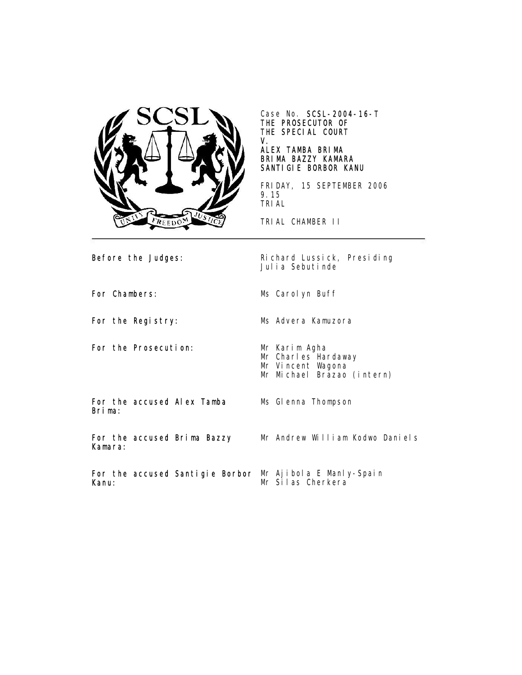

Case No. SCSL-2004-16-T THE PROSECUTOR OF THE SPECIAL COURT V.

### ALEX TAMBA BRIMA BRIMA BAZZY KAMARA SANTIGIE BORBOR KANU

FRIDAY, 15 SEPTEMBER 2006 9.15 TRIAL

TRIAL CHAMBER II

Before the Judges: Richard Lussick, Presiding Julia Sebutinde

For Chambers: Ms Carolyn Buff

For the Registry: Ms Advera Kamuzora

For the Prosecution: Mr Karim Agha

Mr Charles Hardaway Mr Vincent Wagona

Mr Michael Brazao (intern)

Ms Glenna Thompson

For the accused Alex Tamba Brima:

For the accused Brima Bazzy Kamara: Mr Andrew William Kodwo Daniels

For the accused Santigie Borbor Mr Ajibola E Manly-Spain Kanu: Mr Silas Cherkera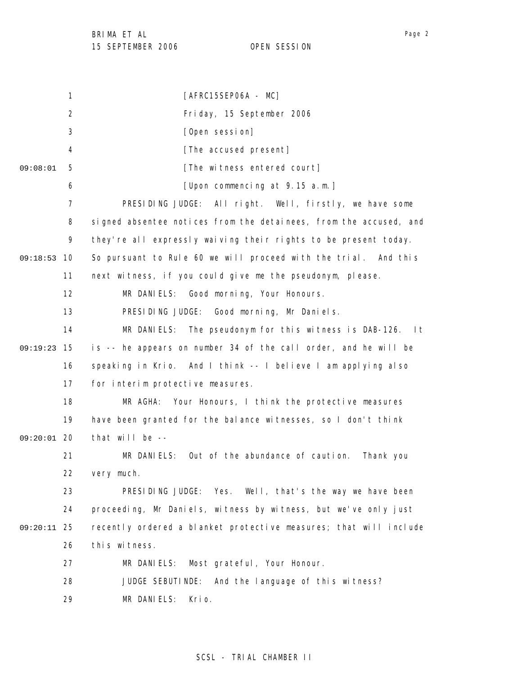1 2 3 4 5 6 7 8 9 09:18:53 10 11 12 13 14 15 09:19:23 16 17 18 19 09:20:01 20 21 22 23 24 25 09:20:11 26 27 28 29 09:08:01 [AFRC15SEP06A - MC] Friday, 15 September 2006 [Open session] [The accused present] [The witness entered court] [Upon commencing at 9.15 a.m.] PRESIDING JUDGE: All right. Well, firstly, we have some signed absentee notices from the detainees, from the accused, and they're all expressly waiving their rights to be present today. So pursuant to Rule 60 we will proceed with the trial. And this next witness, if you could give me the pseudonym, please. MR DANIELS: Good morning, Your Honours. PRESIDING JUDGE: Good morning, Mr Daniels. MR DANIELS: The pseudonym for this witness is DAB-126. It is -- he appears on number 34 of the call order, and he will be speaking in Krio. And I think -- I believe I am applying also for interim protective measures. MR AGHA: Your Honours, I think the protective measures have been granted for the balance witnesses, so I don't think that will be -- MR DANIELS: Out of the abundance of caution. Thank you very much. PRESIDING JUDGE: Yes. Well, that's the way we have been proceeding, Mr Daniels, witness by witness, but we've only just recently ordered a blanket protective measures; that will include this witness. MR DANIELS: Most grateful, Your Honour. JUDGE SEBUTINDE: And the language of this witness? MR DANIELS: Krio.

### SCSL - TRIAL CHAMBER II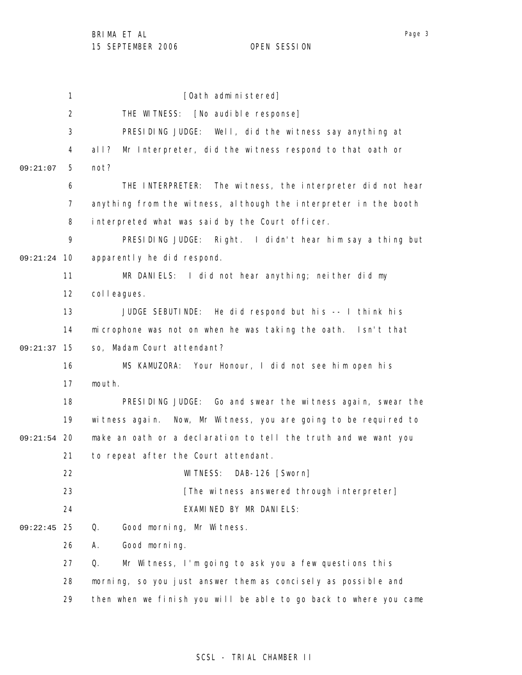1 2 3 4 5 6 7 8 9 09:21:24 10 11 12 13 14 15 09:21:37 16 17 18 19 09:21:54 20 21 22 23 24 25 09:22:45 26 27 28 29 09:21:07 [Oath administered] THE WITNESS: [No audible response] PRESIDING JUDGE: Well, did the witness say anything at all? Mr Interpreter, did the witness respond to that oath or not? THE INTERPRETER: The witness, the interpreter did not hear anything from the witness, although the interpreter in the booth interpreted what was said by the Court officer. PRESIDING JUDGE: Right. I didn't hear him say a thing but apparently he did respond. MR DANIELS: I did not hear anything; neither did my col I eagues. JUDGE SEBUTINDE: He did respond but his -- I think his microphone was not on when he was taking the oath. Isn't that so, Madam Court attendant? MS KAMUZORA: Your Honour, I did not see him open his mouth. PRESIDING JUDGE: Go and swear the witness again, swear the witness again. Now, Mr Witness, you are going to be required to make an oath or a declaration to tell the truth and we want you to repeat after the Court attendant. WITNESS: DAB-126 [Sworn] [The witness answered through interpreter] EXAMINED BY MR DANIELS: Q. Good morning, Mr Witness. A. Good morning. Q. Mr Witness, I'm going to ask you a few questions this morning, so you just answer them as concisely as possible and then when we finish you will be able to go back to where you came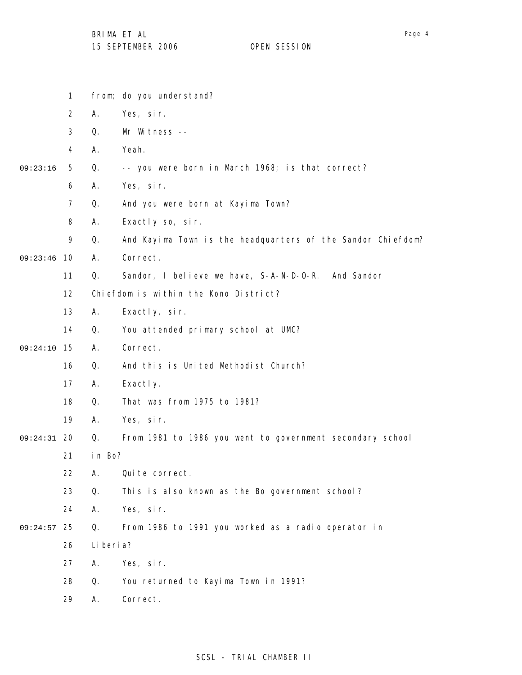|               | $\mathbf{1}$   |            | from; do you understand?                                    |
|---------------|----------------|------------|-------------------------------------------------------------|
|               | $\overline{2}$ | А.         | Yes, sir.                                                   |
|               | 3              | Q.         | Mr Witness --                                               |
|               | 4              | А.         | Yeah.                                                       |
| 09:23:16      | 5              | Q.         | -- you were born in March 1968; is that correct?            |
|               | 6              | Α.         | Yes, sir.                                                   |
|               | $\overline{7}$ | Q.         | And you were born at Kayima Town?                           |
|               | 8              | Α.         | Exactly so, sir.                                            |
|               | 9              | Q.         | And Kayima Town is the headquarters of the Sandor Chiefdom? |
| 09:23:46      | 10             | Α.         | Correct.                                                    |
|               | 11             | Q.         | Sandor, I believe we have, S-A-N-D-O-R. And Sandor          |
|               | 12             |            | Chiefdom is within the Kono District?                       |
|               | 13             | Α.         | Exactly, sir.                                               |
|               | 14             | Q.         | You attended primary school at UMC?                         |
| 09:24:10      | 15             | А.         | Correct.                                                    |
|               | 16             | Q.         | And this is United Methodist Church?                        |
|               | 17             | А.         | Exactly.                                                    |
|               | 18             | Q.         | That was from 1975 to 1981?                                 |
|               | 19             | А.         | Yes, sir.                                                   |
| $09:24:31$ 20 |                | Q.         | From 1981 to 1986 you went to government secondary school   |
|               | 21             | in Bo?     |                                                             |
|               | 22             |            | A. Quite correct.                                           |
|               | 23             | Q.         | This is also known as the Bo government school?             |
|               | 24             | Α.         | Yes, sir.                                                   |
| 09:24:57      | 25             | Q.         | From 1986 to 1991 you worked as a radio operator in         |
|               | 26             | Li beri a? |                                                             |
|               | 27             | Α.         | Yes, sir.                                                   |
|               | 28             | Q.         | You returned to Kayima Town in 1991?                        |
|               | 29             | А.         | Correct.                                                    |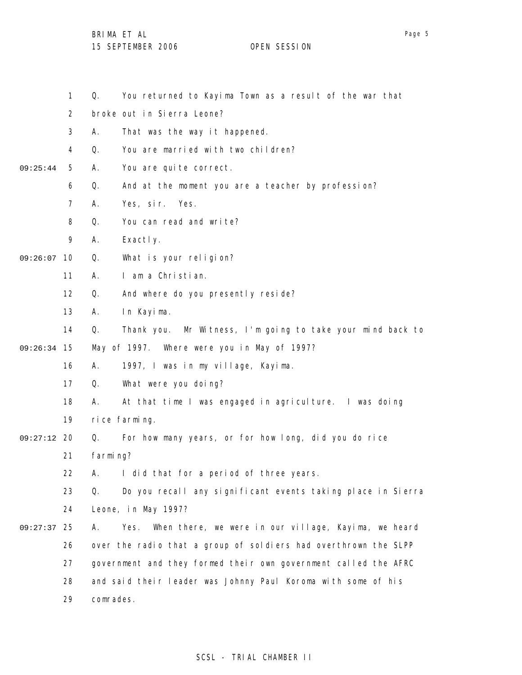|               | 1              | You returned to Kayima Town as a result of the war that<br>Q.      |
|---------------|----------------|--------------------------------------------------------------------|
|               | 2              | broke out in Sierra Leone?                                         |
|               | 3              | That was the way it happened.<br>А.                                |
|               | 4              | You are married with two children?<br>Q.                           |
| 09:25:44      | 5              | Α.<br>You are quite correct.                                       |
|               | 6              | And at the moment you are a teacher by profession?<br>Q.           |
|               | $\overline{7}$ | Yes, sir. Yes.<br>Α.                                               |
|               | 8              | You can read and write?<br>Q.                                      |
|               | 9              | Exactly.<br>Α.                                                     |
| $09:26:07$ 10 |                | What is your religion?<br>Q.                                       |
|               | 11             | I am a Christian.<br>Α.                                            |
|               | 12             | And where do you presently reside?<br>Q.                           |
|               | 13             | А.<br>In Kayima.                                                   |
|               | 14             | Q.<br>Thank you. Mr Witness, I'm going to take your mind back to   |
| 09:26:34      | 15             | May of 1997. Where were you in May of 1997?                        |
|               | 16             | 1997, I was in my village, Kayima.<br>А.                           |
|               | 17             | What were you doing?<br>Q.                                         |
|               | 18             | At that time I was engaged in agriculture. I was doing<br>А.       |
|               | 19             | rice farming.                                                      |
| 09:27:12      | 20             | For how many years, or for how long, did you do rice<br>Q.         |
|               | 21             | farming?                                                           |
|               | 22.            | A. I did that for a period of three years                          |
|               | 23             | Do you recall any significant events taking place in Sierra<br>Q.  |
|               | 24             | Leone, in May 1997?                                                |
| 09:27:37      | 25             | When there, we were in our village, Kayima, we heard<br>Α.<br>Yes. |
|               | 26             | over the radio that a group of soldiers had overthrown the SLPP    |
|               | 27             | government and they formed their own government called the AFRC    |
|               | 28             | and said their leader was Johnny Paul Koroma with some of his      |
|               |                |                                                                    |

29 comrades.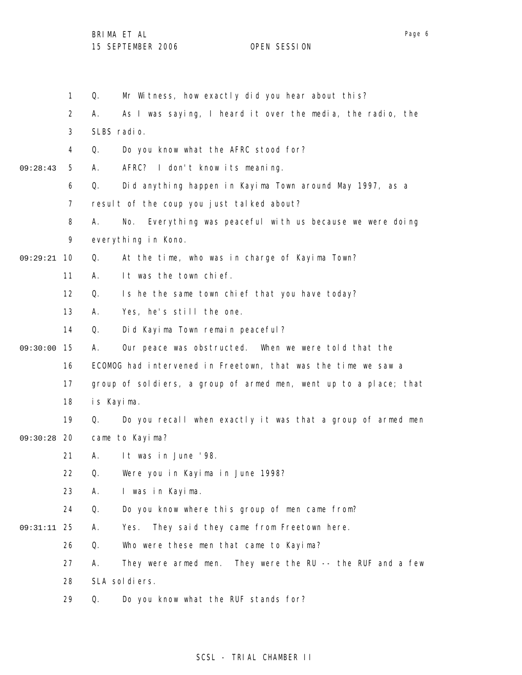Page 6

|          | $\mathbf{1}$ | Q.         | Mr Witness, how exactly did you hear about this?                  |
|----------|--------------|------------|-------------------------------------------------------------------|
|          | 2            | А.         | As I was saying, I heard it over the media, the radio, the        |
|          | 3            |            | SLBS radio.                                                       |
|          | 4            | Q.         | Do you know what the AFRC stood for?                              |
| 09:28:43 | 5            | А.         | AFRC? I don't know its meaning.                                   |
|          | 6            | Q.         | Did anything happen in Kayima Town around May 1997, as a          |
|          | 7            |            | result of the coup you just talked about?                         |
|          | 8            | А.         | Everything was peaceful with us because we were doing<br>No.      |
|          | 9            |            | everything in Kono.                                               |
| 09:29:21 | 10           | Q.         | At the time, who was in charge of Kayima Town?                    |
|          | 11           | А.         | It was the town chief.                                            |
|          | 12           | Q.         | Is he the same town chief that you have today?                    |
|          | 13           | А.         | Yes, he's still the one.                                          |
|          | 14           | Q.         | Did Kayima Town remain peaceful?                                  |
| 09:30:00 | 15           | А.         | Our peace was obstructed. When we were told that the              |
|          | 16           |            | ECOMOG had intervened in Freetown, that was the time we saw a     |
|          | 17           |            | group of soldiers, a group of armed men, went up to a place; that |
|          | 18           | is Kayima. |                                                                   |
|          | 19           | Q.         | Do you recall when exactly it was that a group of armed men       |
| 09:30:28 | -20          |            | came to Kayima?                                                   |
|          | 21           | А.         | It was in June '98.                                               |
|          | 22           | Q.         | Were you in Kayima in June 1998?                                  |
|          | 23           | Α.         | I was in Kayima.                                                  |
|          | 24           | Q.         | Do you know where this group of men came from?                    |
| 09:31:11 | 25           | Α.         | They said they came from Freetown here.<br>Yes.                   |
|          | 26           | Q.         | Who were these men that came to Kayima?                           |
|          | 27           | Α.         | They were armed men. They were the RU -- the RUF and a few        |
|          | 28           |            | SLA sol di ers.                                                   |
|          | 29           | Q.         | Do you know what the RUF stands for?                              |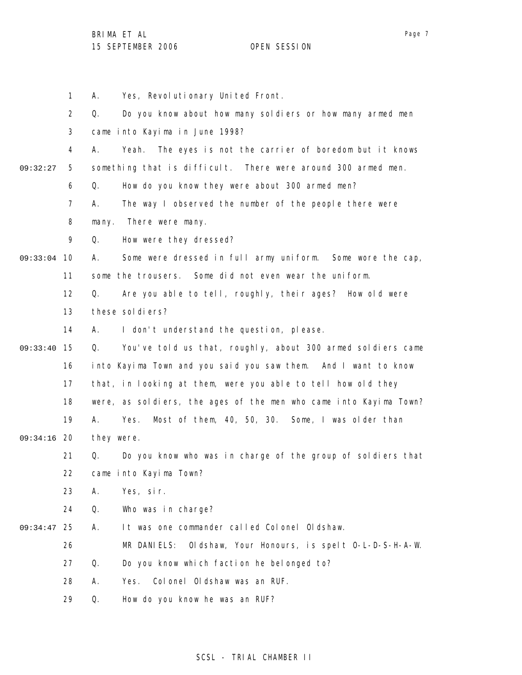1 2 3 4 5 6 7 8 9 09:33:04 10 11 12 13 14 09:33:40 15 16 17 18 19 09:34:16 20 21 22 23 24 25 09:34:47 26 27 28 29 09:32:27 A. Yes, Revolutionary United Front. Q. Do you know about how many soldiers or how many armed men came into Kayima in June 1998? A. Yeah. The eyes is not the carrier of boredom but it knows something that is difficult. There were around 300 armed men. Q. How do you know they were about 300 armed men? A. The way I observed the number of the people there were many. There were many. Q. How were they dressed? A. Some were dressed in full army uniform. Some wore the cap, some the trousers. Some did not even wear the uniform. Q. Are you able to tell, roughly, their ages? How old were these soldiers? A. I don't understand the question, please. Q. You've told us that, roughly, about 300 armed soldiers came into Kayima Town and you said you saw them. And I want to know that, in looking at them, were you able to tell how old they were, as soldiers, the ages of the men who came into Kayima Town? A. Yes. Most of them, 40, 50, 30. Some, I was older than they were. Q. Do you know who was in charge of the group of soldiers that came into Kayima Town? A. Yes, sir. Q. Who was in charge? A. It was one commander called Colonel Oldshaw. MR DANIELS: Oldshaw, Your Honours, is spelt O-L-D-S-H-A-W. Q. Do you know which faction he belonged to? A. Yes. Colonel Oldshaw was an RUF. Q. How do you know he was an RUF?

SCSL - TRIAL CHAMBER II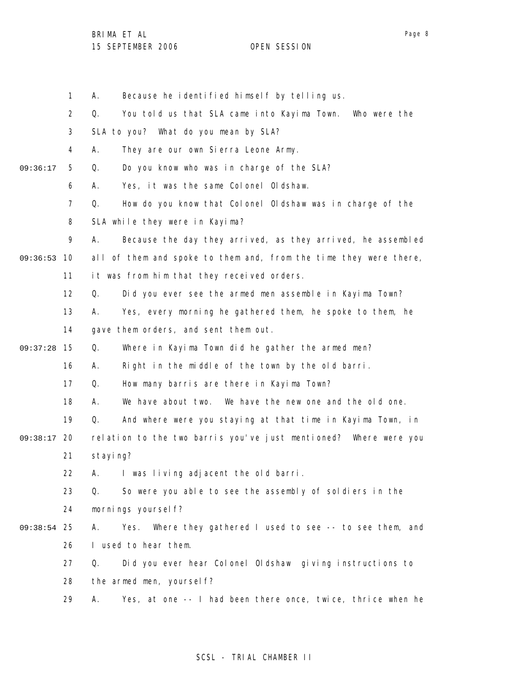Page 8

1 2 3 4 5 6 7 8 9 09:36:53 10 11 12 13 14 15 09:37:28 16 17 18 19 09:38:17 20 21 22 23 24 09:38:54 25 26 27 28 29 09:36:17 A. Because he identified himself by telling us. Q. You told us that SLA came into Kayima Town. Who were the SLA to you? What do you mean by SLA? A. They are our own Sierra Leone Army. Q. Do you know who was in charge of the SLA? A. Yes, it was the same Colonel Oldshaw. Q. How do you know that Colonel Oldshaw was in charge of the SLA while they were in Kayima? A. Because the day they arrived, as they arrived, he assembled all of them and spoke to them and, from the time they were there, it was from him that they received orders. Q. Did you ever see the armed men assemble in Kayima Town? A. Yes, every morning he gathered them, he spoke to them, he gave them orders, and sent them out. Q. Where in Kayima Town did he gather the armed men? A. Right in the middle of the town by the old barri. Q. How many barris are there in Kayima Town? A. We have about two. We have the new one and the old one. Q. And where were you staying at that time in Kayima Town, in relation to the two barris you've just mentioned? Where were you staying? A. I was living adjacent the old barri. Q. So were you able to see the assembly of soldiers in the mornings yourself? A. Yes. Where they gathered I used to see -- to see them, and I used to hear them. Q. Did you ever hear Colonel Oldshaw giving instructions to the armed men, yourself? A. Yes, at one -- I had been there once, twice, thrice when he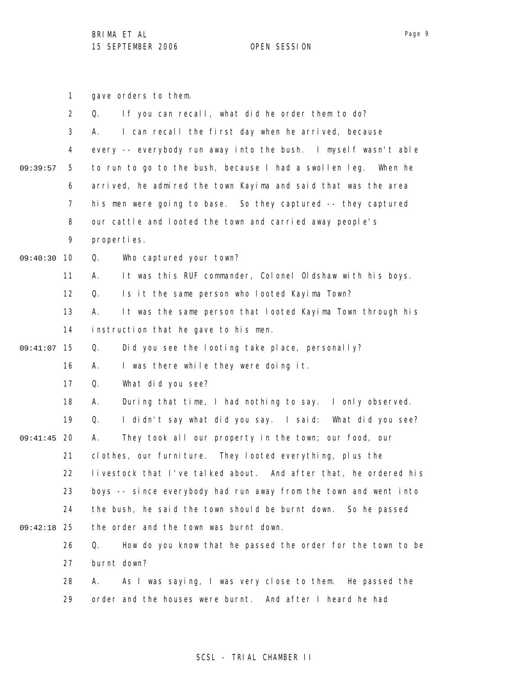1 gave orders to them.

|          | $\overline{2}$ | If you can recall, what did he order them to do?<br>Q.            |
|----------|----------------|-------------------------------------------------------------------|
|          | 3              | I can recall the first day when he arrived, because<br>А.         |
|          | 4              | every -- everybody run away into the bush. I myself wasn't able   |
| 09:39:57 | 5              | to run to go to the bush, because I had a swollen leg. When he    |
|          | 6              | arrived, he admired the town Kayima and said that was the area    |
|          | $\overline{7}$ | his men were going to base. So they captured -- they captured     |
|          | 8              | our cattle and looted the town and carried away people's          |
|          | 9              | properties.                                                       |
| 09:40:30 | 10             | Who captured your town?<br>Q.                                     |
|          | 11             | It was this RUF commander, Colonel Oldshaw with his boys.<br>А.   |
|          | 12             | Is it the same person who looted Kayima Town?<br>Q.               |
|          | 13             | It was the same person that looted Kayima Town through his<br>А.  |
|          | 14             | instruction that he gave to his men.                              |
| 09:41:07 | 15             | Did you see the looting take place, personally?<br>Q.             |
|          | 16             | I was there while they were doing it.<br>Α.                       |
|          | 17             | What did you see?<br>Q.                                           |
|          | 18             | During that time, I had nothing to say. I only observed.<br>А.    |
|          | 19             | I didn't say what did you say. I said: What did you see?<br>Q.    |
| 09:41:45 | -20            | Α.<br>They took all our property in the town; our food, our       |
|          | 21             | clothes, our furniture. They looted everything, plus the          |
|          | 22             | livestock that I've talked about. And after that, he ordered his  |
|          | 23             | boys -- since everybody had run away from the town and went into  |
|          | 24             | the bush, he said the town should be burnt down. So he passed     |
| 09:42:18 | 25             | the order and the town was burnt down.                            |
|          | 26             | Q.<br>How do you know that he passed the order for the town to be |
|          | 27             | burnt down?                                                       |
|          | 28             | As I was saying, I was very close to them. He passed the<br>А.    |
|          | 29             | order and the houses were burnt. And after I heard he had         |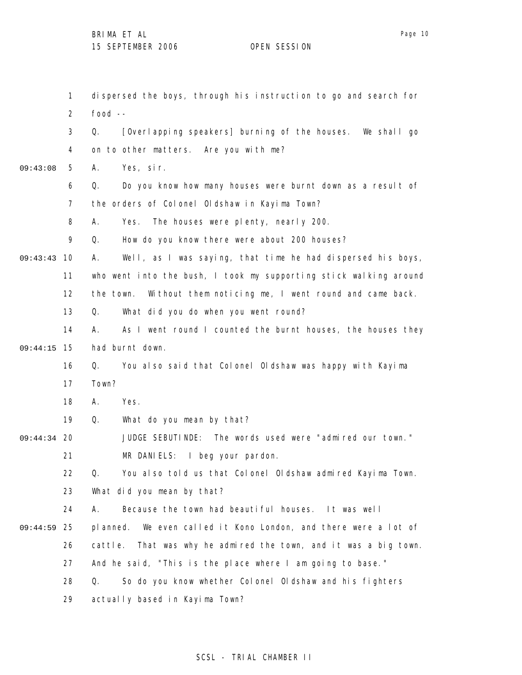1 2 3 4 5 6 7 8 9 09:43:43 10 11 12 13 14 15 09:44:15 16 17 18 19 09:44:34 20 21 22 23 24 25 09:44:59 26 27 28 29 09:43:08 dispersed the boys, through his instruction to go and search for food -- Q. [Overlapping speakers] burning of the houses. We shall go on to other matters. Are you with me? A. Yes, sir. Q. Do you know how many houses were burnt down as a result of the orders of Colonel Oldshaw in Kayima Town? A. Yes. The houses were plenty, nearly 200. Q. How do you know there were about 200 houses? A. Well, as I was saying, that time he had dispersed his boys, who went into the bush, I took my supporting stick walking around the town. Without them noticing me, I went round and came back. Q. What did you do when you went round? A. As I went round I counted the burnt houses, the houses they had burnt down. Q. You also said that Colonel Oldshaw was happy with Kayima Town? A. Yes. Q. What do you mean by that? JUDGE SEBUTINDE: The words used were "admired our town." MR DANIELS: I beg your pardon. Q. You also told us that Colonel Oldshaw admired Kayima Town. What did you mean by that? A. Because the town had beautiful houses. It was well planned. We even called it Kono London, and there were a lot of cattle. That was why he admired the town, and it was a big town. And he said, "This is the place where I am going to base." Q. So do you know whether Colonel Oldshaw and his fighters actually based in Kayima Town?

# SCSL - TRIAL CHAMBER II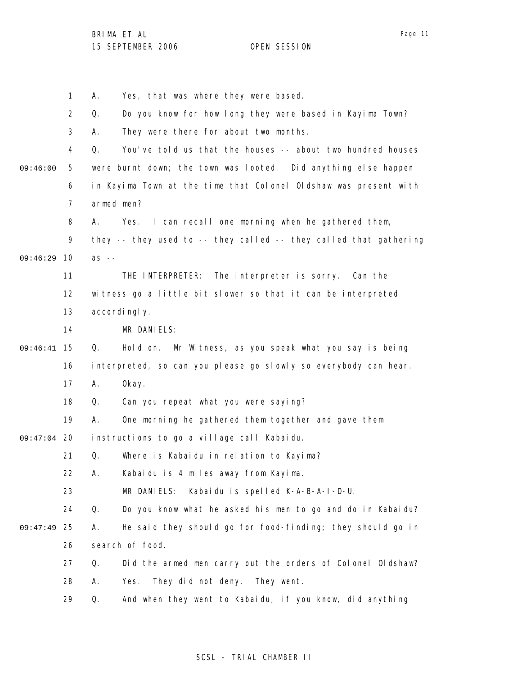Page 11

1 2 3 4 5 6 7 8 9 09:46:29 10 11 12 13 14 15 09:46:41 16 17 18 19 09:47:04 20 21 22 23 24 25 09:47:49 26 27 28 29 09:46:00 A. Yes, that was where they were based. Q. Do you know for how long they were based in Kayima Town? A. They were there for about two months. Q. You've told us that the houses -- about two hundred houses were burnt down; the town was looted. Did anything else happen in Kayima Town at the time that Colonel Oldshaw was present with armed men? A. Yes. I can recall one morning when he gathered them, they -- they used to -- they called -- they called that gathering as -- THE INTERPRETER: The interpreter is sorry. Can the witness go a little bit slower so that it can be interpreted accordingly. MR DANIELS: Q. Hold on. Mr Witness, as you speak what you say is being interpreted, so can you please go slowly so everybody can hear. A. Okay. Q. Can you repeat what you were saying? A. One morning he gathered them together and gave them instructions to go a village call Kabaidu. Q. Where is Kabaidu in relation to Kayima? A. Kabaidu is 4 miles away from Kayima. MR DANIELS: Kabaidu is spelled K-A-B-A-I-D-U. Q. Do you know what he asked his men to go and do in Kabaidu? A. He said they should go for food-finding; they should go in search of food. Q. Did the armed men carry out the orders of Colonel Oldshaw? A. Yes. They did not deny. They went. Q. And when they went to Kabaidu, if you know, did anything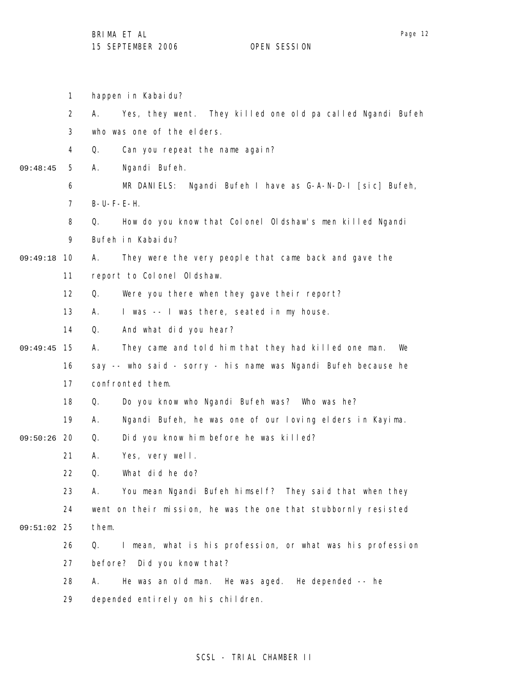1 2 3 4 5 6 7 8 9 09:49:18 10 11 12 13 14 15 09:49:45 16 17 18 19 09:50:26 20 21 22 23 24 25 09:51:02 26 27 28 09:48:45 happen in Kabaidu? A. Yes, they went. They killed one old pa called Ngandi Bufeh who was one of the elders. Q. Can you repeat the name again? A. Ngandi Bufeh. MR DANIELS: Ngandi Bufeh I have as G-A-N-D-I [sic] Bufeh, B-U-F-E-H. Q. How do you know that Colonel Oldshaw's men killed Ngandi Bufeh in Kabaidu? A. They were the very people that came back and gave the report to Colonel Oldshaw. Q. Were you there when they gave their report? A. I was -- I was there, seated in my house. Q. And what did you hear? A. They came and told him that they had killed one man. We say -- who said - sorry - his name was Ngandi Bufeh because he confronted them. Q. Do you know who Ngandi Bufeh was? Who was he? A. Ngandi Bufeh, he was one of our loving elders in Kayima. Q. Did you know him before he was killed? A. Yes, very well. Q. What did he do? A. You mean Ngandi Bufeh himself? They said that when they went on their mission, he was the one that stubbornly resisted them. Q. I mean, what is his profession, or what was his profession before? Did you know that? A. He was an old man. He was aged. He depended -- he

> 29 depended entirely on his children.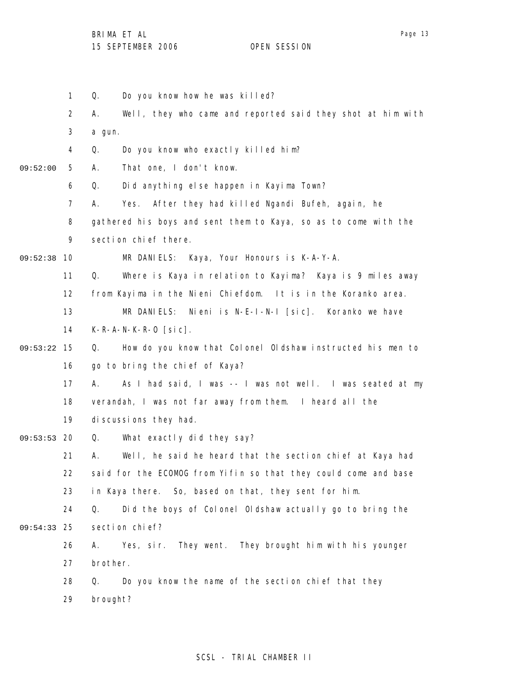- Page 13
- 1 2 3 4 5 6 7 8 9 09:52:38 10 11 12 13 14 15 09:53:22 16 17 18 19 09:53:53 20 21 22 23 24 25 09:54:33 26 27 28 29 09:52:00 Q. Do you know how he was killed? A. Well, they who came and reported said they shot at him with a gun. Q. Do you know who exactly killed him? A. That one, I don't know. Q. Did anything else happen in Kayima Town? A. Yes. After they had killed Ngandi Bufeh, again, he gathered his boys and sent them to Kaya, so as to come with the section chief there. MR DANIELS: Kaya, Your Honours is K-A-Y-A. Q. Where is Kaya in relation to Kayima? Kaya is 9 miles away from Kayima in the Nieni Chiefdom. It is in the Koranko area. MR DANIELS: Nieni is N-E-I-N-I [sic]. Koranko we have K-R-A-N-K-R-O [sic]. Q. How do you know that Colonel Oldshaw instructed his men to go to bring the chief of Kaya? A. As I had said, I was -- I was not well. I was seated at my verandah, I was not far away from them. I heard all the di scussions they had. Q. What exactly did they say? A. Well, he said he heard that the section chief at Kaya had said for the ECOMOG from Yifin so that they could come and base in Kaya there. So, based on that, they sent for him. Q. Did the boys of Colonel Oldshaw actually go to bring the section chief? A. Yes, sir. They went. They brought him with his younger brother. Q. Do you know the name of the section chief that they brought?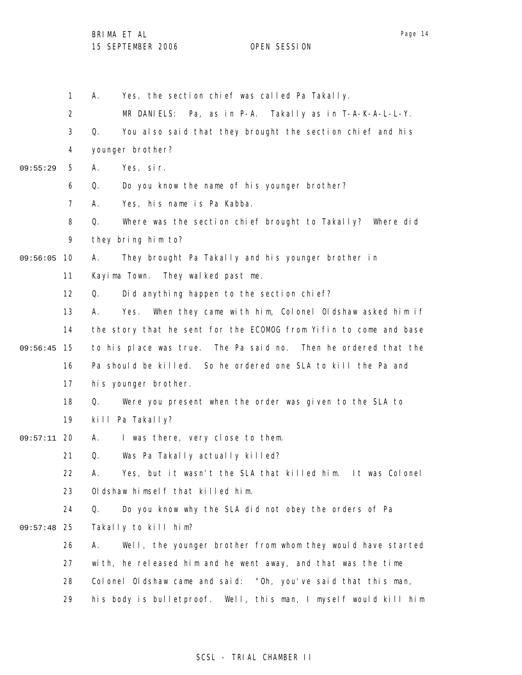1 2 3 4 5 6 7 8 9 09:56:05 10 11 12 13 14 15 09:56:45 16 17 18 19 09:57:11 20 21 22 23 24 09:57:48 25 26 27 28 29 09:55:29 A. Yes, the section chief was called Pa Takally. MR DANIELS: Pa, as in P-A. Takally as in T-A-K-A-L-L-Y. Q. You also said that they brought the section chief and his younger brother? A. Yes, sir. Q. Do you know the name of his younger brother? A. Yes, his name is Pa Kabba. Q. Where was the section chief brought to Takally? Where did they bring him to? A. They brought Pa Takally and his younger brother in Kayima Town. They walked past me. Q. Did anything happen to the section chief? A. Yes. When they came with him, Colonel Oldshaw asked him if the story that he sent for the ECOMOG from Yifin to come and base to his place was true. The Pa said no. Then he ordered that the Pa should be killed. So he ordered one SLA to kill the Pa and his younger brother. Q. Were you present when the order was given to the SLA to kill Pa Takally? A. I was there, very close to them. Q. Was Pa Takally actually killed? A. Yes, but it wasn't the SLA that killed him. It was Colonel Oldshaw himself that killed him. Q. Do you know why the SLA did not obey the orders of Pa Takally to kill him? A. Well, the younger brother from whom they would have started with, he released him and he went away, and that was the time Colonel Oldshaw came and said: "Oh, you've said that this man, his body is bulletproof. Well, this man, I myself would kill him

### SCSL - TRIAL CHAMBER II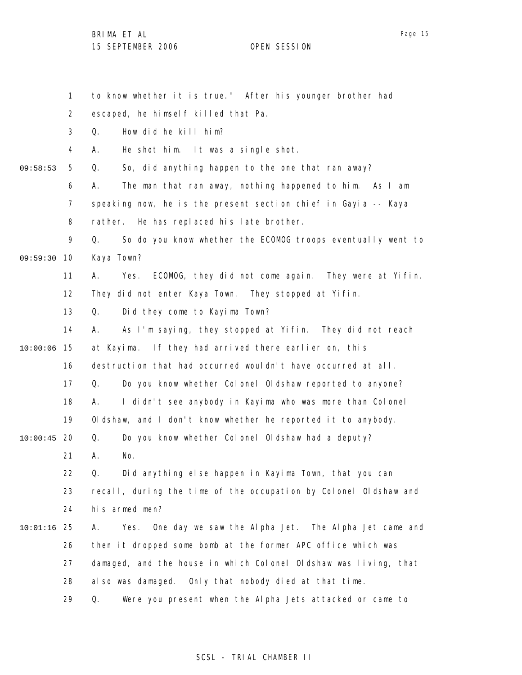Page 15

1 2 3 4 5 6 7 8 9 09:59:30 10 11 12 13 14 15 10:00:06 16 17 18 19 20 10:00:45 21 22 23 24 25 10:01:16 26 27 28 29 09:58:53 to know whether it is true." After his younger brother had escaped, he himself killed that Pa. Q. How did he kill him? A. He shot him. It was a single shot. Q. So, did anything happen to the one that ran away? A. The man that ran away, nothing happened to him. As I am speaking now, he is the present section chief in Gayia -- Kaya rather. He has replaced his late brother. Q. So do you know whether the ECOMOG troops eventually went to Kaya Town? A. Yes. ECOMOG, they did not come again. They were at Yifin. They did not enter Kaya Town. They stopped at Yifin. Q. Did they come to Kayima Town? A. As I'm saying, they stopped at Yifin. They did not reach at Kayima. If they had arrived there earlier on, this destruction that had occurred wouldn't have occurred at all. Q. Do you know whether Colonel Oldshaw reported to anyone? A. I didn't see anybody in Kayima who was more than Colonel Oldshaw, and I don't know whether he reported it to anybody. Q. Do you know whether Colonel Oldshaw had a deputy? A. No. Q. Did anything else happen in Kayima Town, that you can recall, during the time of the occupation by Colonel Oldshaw and his armed men? A. Yes. One day we saw the Alpha Jet. The Alpha Jet came and then it dropped some bomb at the former APC office which was damaged, and the house in which Colonel Oldshaw was living, that also was damaged. Only that nobody died at that time. Q. Were you present when the Alpha Jets attacked or came to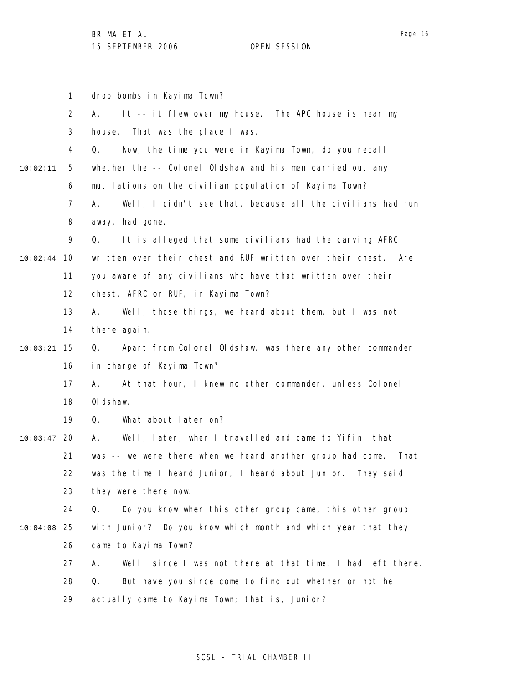1 2 3 4 5 6 7 8 9 10 10:02:44 11 12 13 14 15 10:03:21 16 17 18 19 20 10:03:47 21 22 23 24 25 10:04:08 26 27 28 29 10:02:11 drop bombs in Kayima Town? A. It -- it flew over my house. The APC house is near my house. That was the place I was. Q. Now, the time you were in Kayima Town, do you recall whether the -- Colonel Oldshaw and his men carried out any mutilations on the civilian population of Kayima Town? A. Well, I didn't see that, because all the civilians had run away, had gone. Q. It is alleged that some civilians had the carving AFRC written over their chest and RUF written over their chest. Are you aware of any civilians who have that written over their chest, AFRC or RUF, in Kayima Town? A. Well, those things, we heard about them, but I was not there again. Q. Apart from Colonel Oldshaw, was there any other commander in charge of Kayima Town? A. At that hour, I knew no other commander, unless Colonel OI dshaw. Q. What about later on? A. Well, later, when I travelled and came to Yifin, that was -- we were there when we heard another group had come. That was the time I heard Junior, I heard about Junior. They said they were there now. Q. Do you know when this other group came, this other group with Junior? Do you know which month and which year that they came to Kayima Town? A. Well, since I was not there at that time, I had left there. Q. But have you since come to find out whether or not he actually came to Kayima Town; that is, Junior?

### SCSL - TRIAL CHAMBER II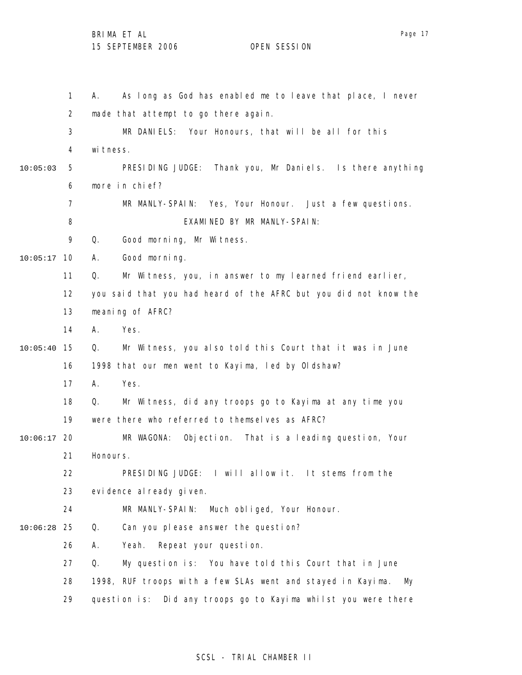1 2 3 4 5 6 7 8 9 10 10:05:17 11 12 13 14 15 10:05:40 16 17 18 19 20 10:06:17 21 22 23 24 25 10:06:28 26 27 28 29 10:05:03 A. As long as God has enabled me to leave that place, I never made that attempt to go there again. MR DANIELS: Your Honours, that will be all for this wi tness. PRESIDING JUDGE: Thank you, Mr Daniels. Is there anything more in chief? MR MANLY-SPAIN: Yes, Your Honour. Just a few questions. EXAMINED BY MR MANLY-SPAIN: Q. Good morning, Mr Witness. A. Good morning. Q. Mr Witness, you, in answer to my learned friend earlier, you said that you had heard of the AFRC but you did not know the meaning of AFRC? A. Yes. Q. Mr Witness, you also told this Court that it was in June 1998 that our men went to Kayima, led by Oldshaw? A. Yes. Q. Mr Witness, did any troops go to Kayima at any time you were there who referred to themselves as AFRC? MR WAGONA: Objection. That is a leading question, Your Honours. PRESIDING JUDGE: I will allow it. It stems from the evi dence al ready gi ven. MR MANLY-SPAIN: Much obliged, Your Honour. Q. Can you please answer the question? A. Yeah. Repeat your question. Q. My question is: You have told this Court that in June 1998, RUF troops with a few SLAs went and stayed in Kayima. My question is: Did any troops go to Kayima whilst you were there

SCSL - TRIAL CHAMBER II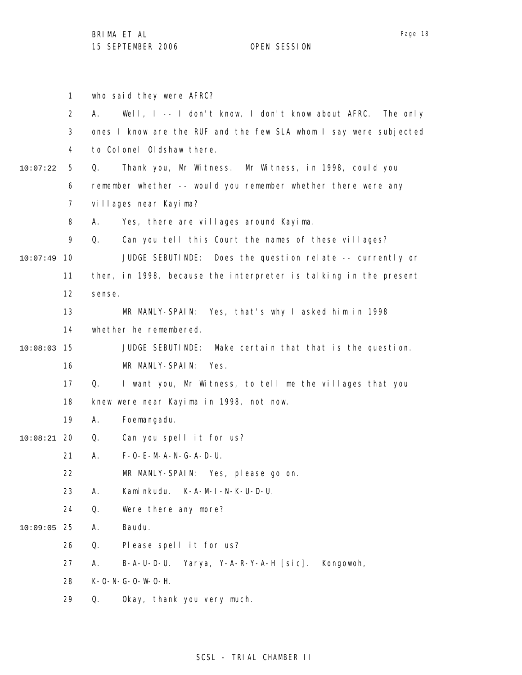1 2 3 4 5 6 7 8 9 10 10:07:49 11 12 13 14 15 10:08:03 16 17 18 19 20 10:08:21 21 22 23 24 25 10:09:05 26 27 28 29 10:07:22 who said they were AFRC? A. Well, I -- I don't know, I don't know about AFRC. The only ones I know are the RUF and the few SLA whom I say were subjected to Colonel Oldshaw there. Q. Thank you, Mr Witness. Mr Witness, in 1998, could you remember whether -- would you remember whether there were any villages near Kayima? A. Yes, there are villages around Kayima. Q. Can you tell this Court the names of these villages? JUDGE SEBUTINDE: Does the question relate -- currently or then, in 1998, because the interpreter is talking in the present sense. MR MANLY-SPAIN: Yes, that's why I asked him in 1998 whether he remembered. JUDGE SEBUTINDE: Make certain that that is the question. MR MANLY-SPAIN: Yes. Q. I want you, Mr Witness, to tell me the villages that you knew were near Kayima in 1998, not now. A. Foemangadu. Q. Can you spell it for us? A. F-O-E-M-A-N-G-A-D-U. MR MANLY-SPAIN: Yes, please go on. A. Kaminkudu. K-A-M-I-N-K-U-D-U. Q. Were there any more? A. Baudu. Q. Please spell it for us? A. B-A-U-D-U. Yarya, Y-A-R-Y-A-H [sic]. Kongowoh, K-O-N-G-O-W-O-H. Q. Okay, thank you very much.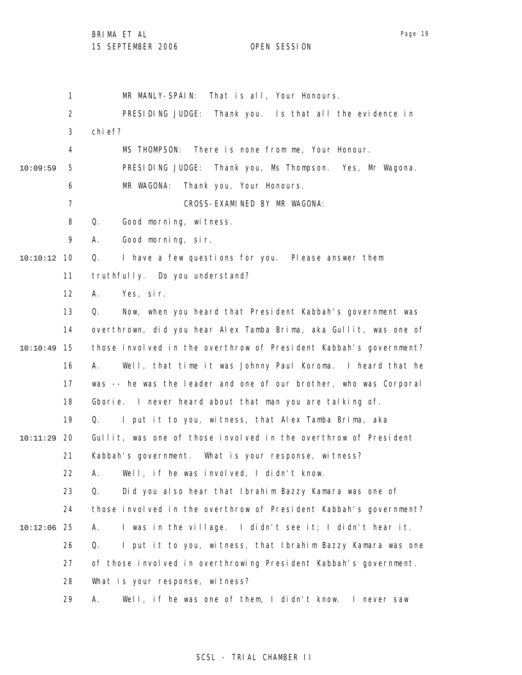Page 19

1 2 3 4 5 6 7 8 9 10 10:10:12 11 12 13 14 15 10:10:49 16 17 18 19 20 10:11:29 21 22 23 24 25 10:12:06 26 27 28 29 10:09:59 MR MANLY-SPAIN: That is all, Your Honours. PRESIDING JUDGE: Thank you. Is that all the evidence in chief? MS THOMPSON: There is none from me, Your Honour. PRESIDING JUDGE: Thank you, Ms Thompson. Yes, Mr Wagona. MR WAGONA: Thank you, Your Honours. CROSS-EXAMINED BY MR WAGONA: Q. Good morning, witness. A. Good morning, sir. Q. I have a few questions for you. Please answer them truthfully. Do you understand? A. Yes, sir. Q. Now, when you heard that President Kabbah's government was overthrown, did you hear Alex Tamba Brima, aka Gullit, was one of those involved in the overthrow of President Kabbah's government? A. Well, that time it was Johnny Paul Koroma. I heard that he was -- he was the leader and one of our brother, who was Corporal Gborie. I never heard about that man you are talking of. Q. I put it to you, witness, that Alex Tamba Brima, aka Gullit, was one of those involved in the overthrow of President Kabbah's government. What is your response, witness? A. Well, if he was involved, I didn't know. Q. Did you also hear that Ibrahim Bazzy Kamara was one of those involved in the overthrow of President Kabbah's government? A. I was in the village. I didn't see it; I didn't hear it. Q. I put it to you, witness, that Ibrahim Bazzy Kamara was one of those involved in overthrowing President Kabbah's government. What is your response, witness? A. Well, if he was one of them, I didn't know. I never saw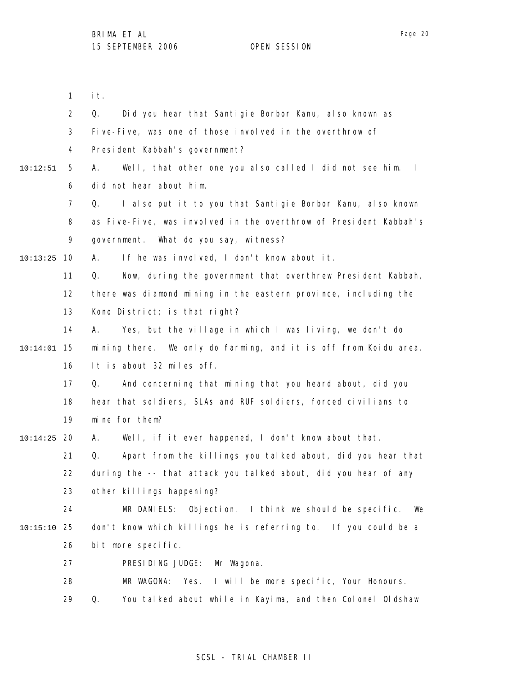1 it.

|          | $\overline{2}$ | Did you hear that Santigie Borbor Kanu, also known as<br>Q.       |
|----------|----------------|-------------------------------------------------------------------|
|          | 3              | Five-Five, was one of those involved in the overthrow of          |
|          | 4              | President Kabbah's government?                                    |
| 10:12:51 | 5              | Well, that other one you also called I did not see him. I<br>А.   |
|          | 6              | did not hear about him.                                           |
|          | $\overline{7}$ | I also put it to you that Santigie Borbor Kanu, also known<br>Q.  |
|          | 8              | as Five-Five, was involved in the overthrow of President Kabbah's |
|          | 9              | government. What do you say, witness?                             |
| 10:13:25 | 10             | If he was involved, I don't know about it.<br>А.                  |
|          | 11             | Now, during the government that overthrew President Kabbah,<br>Q. |
|          | 12             | there was diamond mining in the eastern province, including the   |
|          | 13             | Kono District; is that right?                                     |
|          | 14             | Yes, but the village in which I was living, we don't do<br>А.     |
| 10:14:01 | 15             | mining there. We only do farming, and it is off from Koidu area.  |
|          | 16             | It is about 32 miles off.                                         |
|          | 17             | And concerning that mining that you heard about, did you<br>Q.    |
|          | 18             | hear that soldiers, SLAs and RUF soldiers, forced civilians to    |
|          | 19             | mine for them?                                                    |
| 10:14:25 | 20             | Well, if it ever happened, I don't know about that.<br>А.         |
|          | 21             | Apart from the killings you talked about, did you hear that<br>Q. |
|          | 22             | during the -- that attack you talked about, did you hear of any   |
|          | 23             | other killings happening?                                         |
|          | 24             | MR DANIELS: Objection. I think we should be specific.<br>We       |
| 10:15:10 | 25             | don't know which killings he is referring to. If you could be a   |
|          | 26             | bit more specific.                                                |
|          | 27             | PRESIDING JUDGE:<br>Mr Wagona.                                    |
|          | 28             | MR WAGONA: Yes.<br>I will be more specific, Your Honours.         |
|          | 29             | You talked about while in Kayima, and then Colonel Oldshaw<br>Q.  |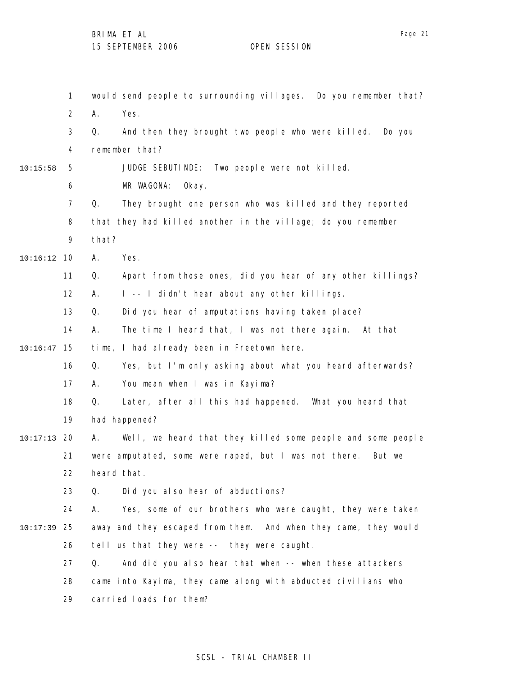1 2 3 4 5 6 7 8 9 10 10:16:12 11 12 13 14 15 10:16:47 16 17 18 19 20 10:17:13 21 22 23 24 25 10:17:39 26 27 28 29 10:15:58 would send people to surrounding villages. Do you remember that? A. Yes. Q. And then they brought two people who were killed. Do you remember that? JUDGE SEBUTINDE: Two people were not killed. MR WAGONA: Okay. Q. They brought one person who was killed and they reported that they had killed another in the village; do you remember that? A. Yes. Q. Apart from those ones, did you hear of any other killings? A. I -- I didn't hear about any other killings. Q. Did you hear of amputations having taken place? A. The time I heard that, I was not there again. At that time, I had already been in Freetown here. Q. Yes, but I'm only asking about what you heard afterwards? A. You mean when I was in Kayima? Q. Later, after all this had happened. What you heard that had happened? A. Well, we heard that they killed some people and some people were amputated, some were raped, but I was not there. But we heard that. Q. Did you also hear of abductions? A. Yes, some of our brothers who were caught, they were taken away and they escaped from them. And when they came, they would tell us that they were -- they were caught. Q. And did you also hear that when -- when these attackers came into Kayima, they came along with abducted civilians who carried loads for them?

### SCSL - TRIAL CHAMBER II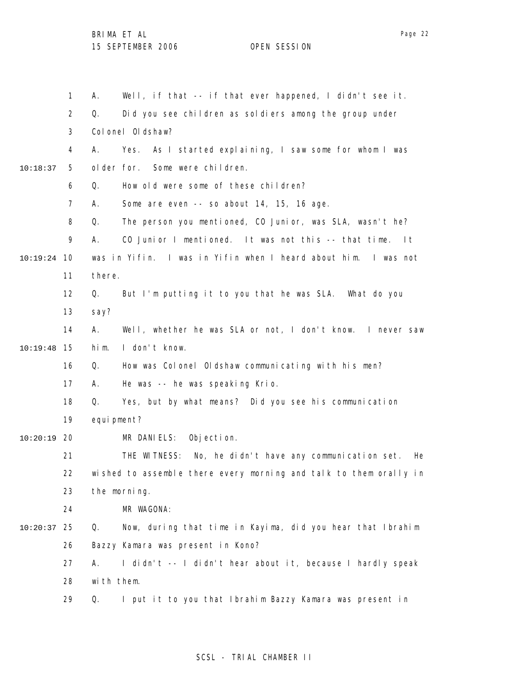1 2 3 4 5 6 7 8 9 10 10:19:24 11 12 13 14 15 10:19:48 16 17 18 19 20 10:20:19 21 22 23 24 25 10:20:37 26 27 28 29 10:18:37 A. Well, if that -- if that ever happened, I didn't see it. Q. Did you see children as soldiers among the group under Colonel Oldshaw? A. Yes. As I started explaining, I saw some for whom I was older for. Some were children. Q. How old were some of these children? A. Some are even -- so about 14, 15, 16 age. Q. The person you mentioned, CO Junior, was SLA, wasn't he? A. CO Junior I mentioned. It was not this -- that time. It was in Yifin. I was in Yifin when I heard about him. I was not there. Q. But I'm putting it to you that he was SLA. What do you say? A. Well, whether he was SLA or not, I don't know. I never saw him. I don't know. Q. How was Colonel Oldshaw communicating with his men? A. He was -- he was speaking Krio. Q. Yes, but by what means? Did you see his communication equi pment? MR DANIELS: Objection. THE WITNESS: No, he didn't have any communication set. He wished to assemble there every morning and talk to them orally in the morning. MR WAGONA: Q. Now, during that time in Kayima, did you hear that Ibrahim Bazzy Kamara was present in Kono? A. I didn't -- I didn't hear about it, because I hardly speak with them. Q. I put it to you that Ibrahim Bazzy Kamara was present in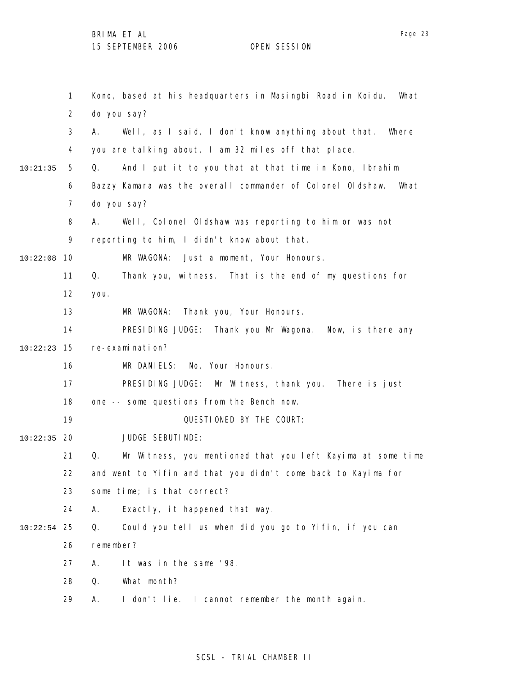1 2 3 4 5 6 7 8 9 10 10:22:08 11 12 13 14 15 10:22:23 16 17 18 19 20 10:22:35 21 22 23 24 25 10:22:54 26 27 28 29 10:21:35 Kono, based at his headquarters in Masingbi Road in Koidu. What do you say? A. Well, as I said, I don't know anything about that. Where you are talking about, I am 32 miles off that place. Q. And I put it to you that at that time in Kono, Ibrahim Bazzy Kamara was the overall commander of Colonel Oldshaw. What do you say? A. Well, Colonel Oldshaw was reporting to him or was not reporting to him, I didn't know about that. MR WAGONA: Just a moment, Your Honours. Q. Thank you, witness. That is the end of my questions for you. MR WAGONA: Thank you, Your Honours. PRESIDING JUDGE: Thank you Mr Wagona. Now, is there any re-examination? MR DANIELS: No, Your Honours. PRESIDING JUDGE: Mr Witness, thank you. There is just one -- some questions from the Bench now. QUESTIONED BY THE COURT: JUDGE SEBUTINDE: Q. Mr Witness, you mentioned that you left Kayima at some time and went to Yifin and that you didn't come back to Kayima for some time; is that correct? A. Exactly, it happened that way. Q. Could you tell us when did you go to Yifin, if you can remember? A. It was in the same '98. Q. What month? A. I don't lie. I cannot remember the month again.

### SCSL - TRIAL CHAMBER II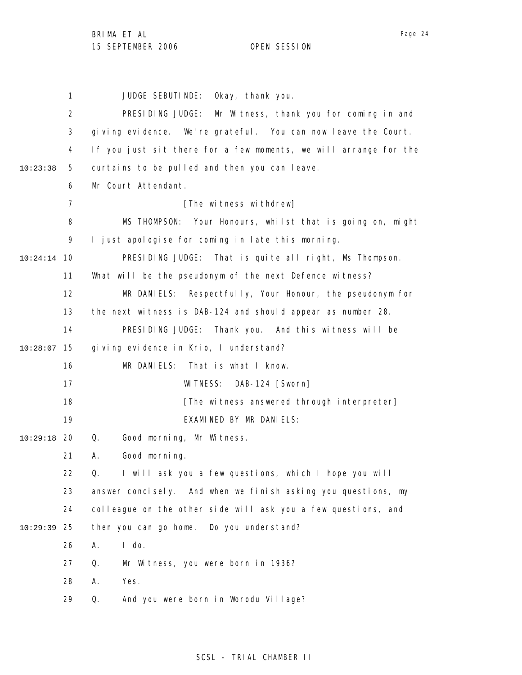1 2 3 4 5 6 7 8 9 10 10:24:14 11 12 13 14 15 10:28:07 16 17 18 19 20 10:29:18 21 22 23 24 25 10:29:39 26 27 28 29 10:23:38 JUDGE SEBUTINDE: Okay, thank you. PRESIDING JUDGE: Mr Witness, thank you for coming in and giving evidence. We're grateful. You can now leave the Court. If you just sit there for a few moments, we will arrange for the curtains to be pulled and then you can leave. Mr Court Attendant. [The witness withdrew] MS THOMPSON: Your Honours, whilst that is going on, might I just apologise for coming in late this morning. PRESIDING JUDGE: That is quite all right, Ms Thompson. What will be the pseudonym of the next Defence witness? MR DANIELS: Respectfully, Your Honour, the pseudonym for the next witness is DAB-124 and should appear as number 28. PRESIDING JUDGE: Thank you. And this witness will be giving evidence in Krio, I understand? MR DANIELS: That is what I know. WITNESS: DAB-124 [Sworn] [The witness answered through interpreter] EXAMINED BY MR DANIELS: Q. Good morning, Mr Witness. A. Good morning. Q. I will ask you a few questions, which I hope you will answer concisely. And when we finish asking you questions, my colleague on the other side will ask you a few questions, and then you can go home. Do you understand? A. I do. Q. Mr Witness, you were born in 1936? A. Yes. Q. And you were born in Worodu Village?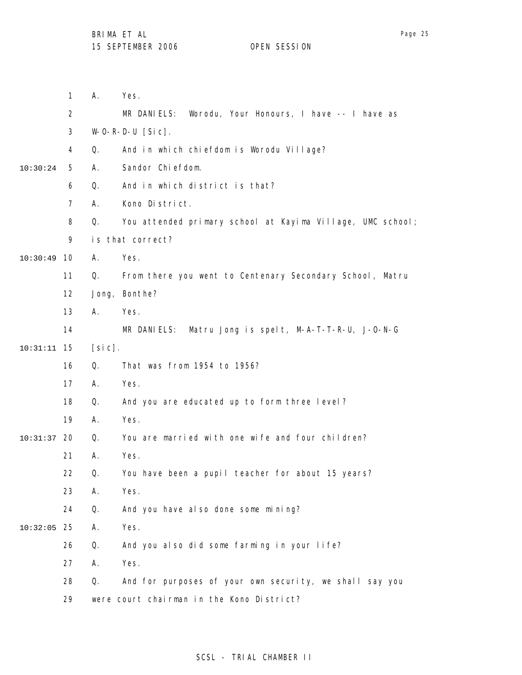|          | 1              | А.        | Yes.                                                       |
|----------|----------------|-----------|------------------------------------------------------------|
|          | $\overline{2}$ |           | MR DANIELS: Worodu, Your Honours, I have -- I have as      |
|          | 3              |           | $W-O-R-D-U$ [Sic].                                         |
|          | 4              | Q.        | And in which chiefdom is Worodu Village?                   |
| 10:30:24 | 5              | Α.        | Sandor Chiefdom.                                           |
|          | 6              | Q.        | And in which district is that?                             |
|          | $\overline{7}$ | Α.        | Kono District.                                             |
|          | 8              | Q.        | You attended primary school at Kayima Village, UMC school; |
|          | 9              |           | is that correct?                                           |
| 10:30:49 | 10             | Α.        | Yes.                                                       |
|          | 11             | Q.        | From there you went to Centenary Secondary School, Matru   |
|          | 12             |           | Jong, Bonthe?                                              |
|          | 13             | Α.        | Yes.                                                       |
|          | 14             |           | MR DANIELS: Matru Jong is spelt, M-A-T-T-R-U, J-O-N-G      |
| 10:31:11 | 15             | $[sic]$ . |                                                            |
|          | 16             | Q.        | That was from 1954 to 1956?                                |
|          | 17             | А.        | Yes.                                                       |
|          | 18             | Q.        | And you are educated up to form three level?               |
|          | 19             | Α.        | Yes.                                                       |
| 10:31:37 | 20             | Q.        | You are married with one wife and four children?           |
|          | 21             | Α.        | Yes.                                                       |
|          | 22             | Q.        | You have been a pupil teacher for about 15 years?          |
|          | 23             | Α.        | Yes.                                                       |
|          | 24             | Q.        | And you have also done some mining?                        |
| 10:32:05 | 25             | Α.        | Yes.                                                       |
|          | 26             | Q.        | And you also did some farming in your life?                |
|          | 27             | Α.        | Yes.                                                       |
|          | 28             | Q.        | And for purposes of your own security, we shall say you    |
|          | 29             |           | were court chairman in the Kono District?                  |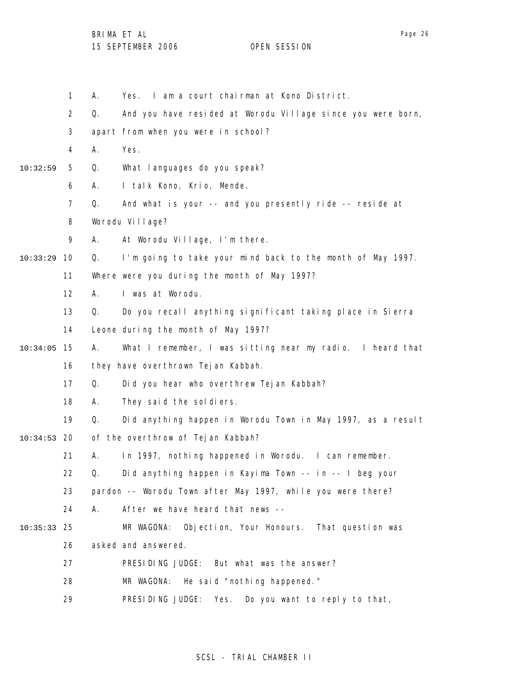A. Yes.

1

2

3

4

5

6

7

8

9

11

10 10:33:29

10:32:59

A. Yes. I am a court chairman at Kono District. Q. And you have resided at Worodu Village since you were born, apart from when you were in school? Q. What languages do you speak? Q. And what is your -- and you presently ride -- reside at A. At Worodu Village, I'm there. Q. I'm going to take your mind back to the month of May 1997. Where were you during the month of May 1997?

12 A. I was at Worodu.

Worodu Village?

13 Q. Do you recall anything significant taking place in Sierra

14 Leone during the month of May 1997?

A. I talk Kono, Krio, Mende.

15 10:34:05 16 A. What I remember, I was sitting near my radio. I heard that they have overthrown Tejan Kabbah.

> 17 Q. Did you hear who overthrew Tejan Kabbah?

18 A. They said the soldiers.

19 Q. Did anything happen in Worodu Town in May 1997, as a result

20 10:34:53 of the overthrow of Tejan Kabbah?

> 21 A. In 1997, nothing happened in Worodu. I can remember.

22 Q. Did anything happen in Kayima Town -- in -- I beg your

23 pardon -- Worodu Town after May 1997, while you were there?

24 A. After we have heard that news --

25 10:35:33 26 MR WAGONA: Objection, Your Honours. That question was asked and answered.

- 27 PRESIDING JUDGE: But what was the answer?
- 28 MR WAGONA: He said "nothing happened."

29 PRESIDING JUDGE: Yes. Do you want to reply to that,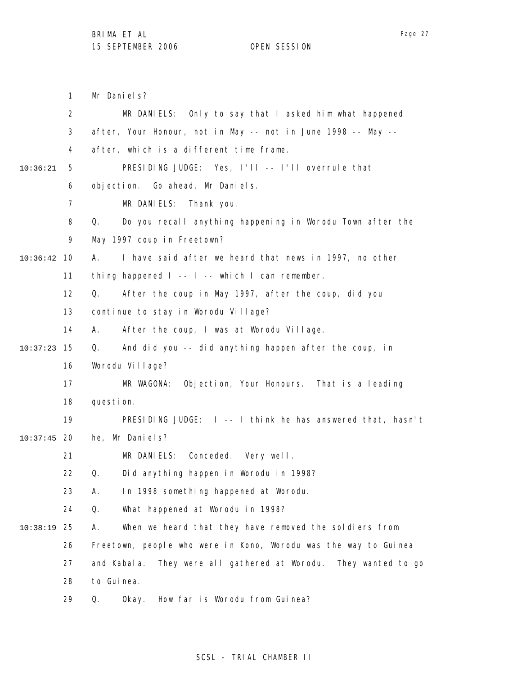1 2 3 4 5 6 7 8 9 10 10:36:42 11 12 13 14 15 10:37:23 16 17 18 19 20 10:37:45 21 22 23 24 25 10:38:19 26 27 28 29 10:36:21 Mr Daniels? MR DANIELS: Only to say that I asked him what happened after, Your Honour, not in May -- not in June 1998 -- May - after, which is a different time frame. PRESIDING JUDGE: Yes, I'll -- I'll overrule that objection. Go ahead, Mr Daniels. MR DANIELS: Thank you. Q. Do you recall anything happening in Worodu Town after the May 1997 coup in Freetown? A. I have said after we heard that news in 1997, no other thing happened  $I - - I - -$  which I can remember. Q. After the coup in May 1997, after the coup, did you continue to stay in Worodu Village? A. After the coup, I was at Worodu Village. Q. And did you -- did anything happen after the coup, in Worodu Village? MR WAGONA: Objection, Your Honours. That is a leading question. PRESIDING JUDGE: I -- I think he has answered that, hasn't he, Mr Daniels? MR DANIELS: Conceded. Very well. Q. Did anything happen in Worodu in 1998? A. In 1998 something happened at Worodu. Q. What happened at Worodu in 1998? A. When we heard that they have removed the soldiers from Freetown, people who were in Kono, Worodu was the way to Guinea and Kabala. They were all gathered at Worodu. They wanted to go to Guinea. Q. Okay. How far is Worodu from Guinea?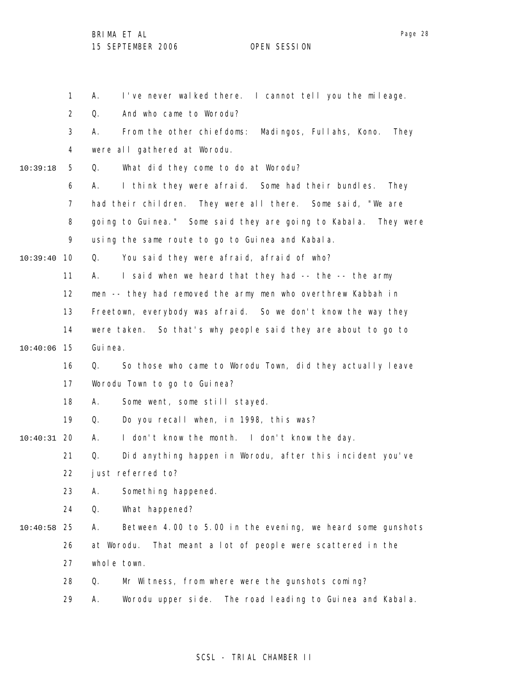| жτ<br>۱F |  |
|----------|--|
|----------|--|

|          | $\mathbf{1}$   | I've never walked there. I cannot tell you the mileage.<br>А.      |
|----------|----------------|--------------------------------------------------------------------|
|          | $\overline{2}$ | And who came to Worodu?<br>Q.                                      |
|          | 3              | From the other chiefdoms: Madingos, Fullahs, Kono.<br>А.<br>They   |
|          | 4              | were all gathered at Worodu.                                       |
| 10:39:18 | 5              | What did they come to do at Worodu?<br>Q.                          |
|          | 6              | I think they were afraid. Some had their bundles.<br>А.<br>They    |
|          | $\overline{7}$ | had their children. They were all there. Some said, "We are        |
|          | 8              | going to Guinea." Some said they are going to Kabala. They were    |
|          | 9              | using the same route to go to Guinea and Kabala.                   |
| 10:39:40 | 10             | You said they were afraid, afraid of who?<br>Q.                    |
|          | 11             | I said when we heard that they had -- the -- the army<br>А.        |
|          | 12             | men -- they had removed the army men who overthrew Kabbah in       |
|          | 13             | Freetown, everybody was afraid. So we don't know the way they      |
|          | 14             | were taken. So that's why people said they are about to go to      |
| 10:40:06 | 15             | Gui nea.                                                           |
|          | 16             | So those who came to Worodu Town, did they actually leave<br>Q.    |
|          | 17             | Worodu Town to go to Guinea?                                       |
|          | 18             | Some went, some still stayed.<br>А.                                |
|          | 19             | Do you recall when, in 1998, this was?<br>Q.                       |
| 10:40:31 | -20            | I don't know the month. I don't know the day.<br>А.                |
|          | 21             | Q.<br>Did anything happen in Worodu, after this incident you've    |
|          | 22             | just referred to?                                                  |
|          | 23             | Something happened.<br>А.                                          |
|          | 24             | What happened?<br>Q.                                               |
| 10:40:58 | 25             | Between 4.00 to 5.00 in the evening, we heard some gunshots<br>А.  |
|          | 26             | That meant a lot of people were scattered in the<br>at Worodu.     |
|          | 27             | whole town.                                                        |
|          | 28             | Mr Witness, from where were the gunshots coming?<br>Q.             |
|          | 29             | The road leading to Guinea and Kabala.<br>Worodu upper side.<br>А. |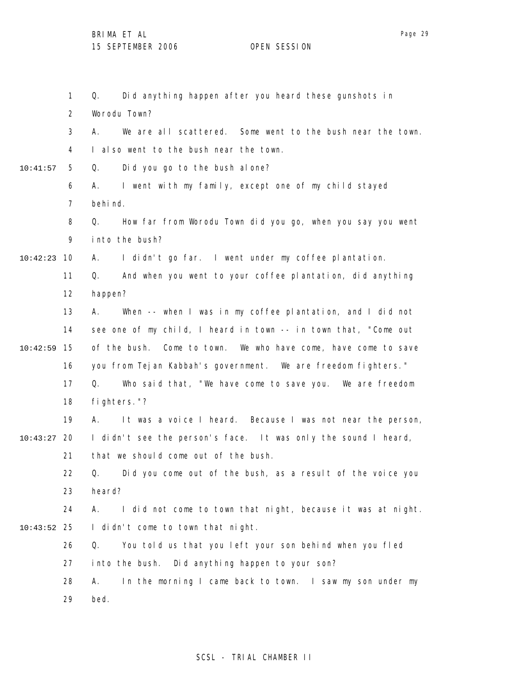1 2 3 4 5 6 7 8 9 10 10:42:23 11 12 13 14 15 10:42:59 16 17 18 19 20 10:43:27 21 22 23 24 25 10:43:52 26 27 28 29 10:41:57 Q. Did anything happen after you heard these gunshots in Worodu Town? A. We are all scattered. Some went to the bush near the town. I also went to the bush near the town. Q. Did you go to the bush alone? A. I went with my family, except one of my child stayed behind. Q. How far from Worodu Town did you go, when you say you went into the bush? A. I didn't go far. I went under my coffee plantation. Q. And when you went to your coffee plantation, did anything happen? A. When -- when I was in my coffee plantation, and I did not see one of my child, I heard in town -- in town that, "Come out of the bush. Come to town. We who have come, have come to save you from Tejan Kabbah's government. We are freedom fighters." Q. Who said that, "We have come to save you. We are freedom fighters."? A. It was a voice I heard. Because I was not near the person, I didn't see the person's face. It was only the sound I heard, that we should come out of the bush. Q. Did you come out of the bush, as a result of the voice you heard? A. I did not come to town that night, because it was at night. I didn't come to town that night. Q. You told us that you left your son behind when you fled into the bush. Did anything happen to your son? A. In the morning I came back to town. I saw my son under my bed.

#### SCSL - TRIAL CHAMBER II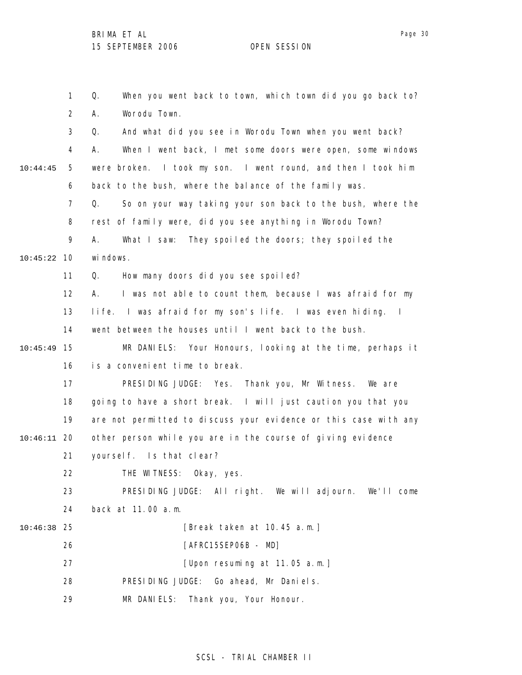1 2 3 4 5 6 7 8 9 10 10:45:22 11 12 13 14 15 10:45:49 16 17 18 19 20 10:46:11 21 22 23 24 25 10:46:38 26 27 28 29 10:44:45 Q. When you went back to town, which town did you go back to? A. Worodu Town. Q. And what did you see in Worodu Town when you went back? A. When I went back, I met some doors were open, some windows were broken. I took my son. I went round, and then I took him back to the bush, where the balance of the family was. Q. So on your way taking your son back to the bush, where the rest of family were, did you see anything in Worodu Town? A. What I saw: They spoiled the doors; they spoiled the wi ndows. Q. How many doors did you see spoiled? A. I was not able to count them, because I was afraid for my life. I was afraid for my son's life. I was even hiding. I went between the houses until I went back to the bush. MR DANIELS: Your Honours, looking at the time, perhaps it is a convenient time to break. PRESIDING JUDGE: Yes. Thank you, Mr Witness. We are going to have a short break. I will just caution you that you are not permitted to discuss your evidence or this case with any other person while you are in the course of giving evidence yourself. Is that clear? THE WITNESS: Okay, yes. PRESIDING JUDGE: All right. We will adjourn. We'll come back at 11.00 a.m. [Break taken at 10.45 a.m.] [AFRC15SEP06B - MD] [Upon resuming at 11.05 a.m.] PRESIDING JUDGE: Go ahead, Mr Daniels. MR DANIELS: Thank you, Your Honour.

# SCSL - TRIAL CHAMBER II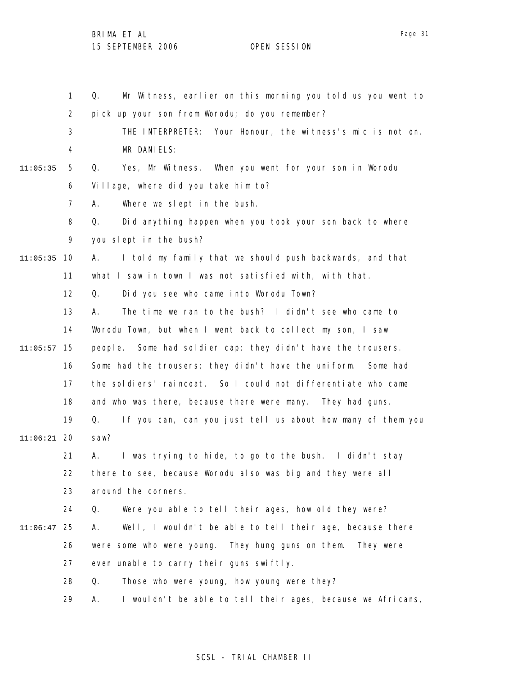1 2 3 4 5 6 7 8 9 10 11:05:35 11 12 13 14 15 11:05:57 16 17 18 19 20 11:06:21 21 22 23 24 25 11:06:47 26 27 28 29 11:05:35 Q. Mr Witness, earlier on this morning you told us you went to pick up your son from Worodu; do you remember? THE INTERPRETER: Your Honour, the witness's mic is not on. MR DANIELS: Q. Yes, Mr Witness. When you went for your son in Worodu Village, where did you take him to? A. Where we slept in the bush. Q. Did anything happen when you took your son back to where you slept in the bush? A. I told my family that we should push backwards, and that what I saw in town I was not satisfied with, with that. Q. Did you see who came into Worodu Town? A. The time we ran to the bush? I didn't see who came to Worodu Town, but when I went back to collect my son, I saw people. Some had soldier cap; they didn't have the trousers. Some had the trousers; they didn't have the uniform. Some had the soldiers' raincoat. So I could not differentiate who came and who was there, because there were many. They had guns. Q. If you can, can you just tell us about how many of them you saw? A. I was trying to hide, to go to the bush. I didn't stay there to see, because Worodu also was big and they were all around the corners. Q. Were you able to tell their ages, how old they were? A. Well, I wouldn't be able to tell their age, because there were some who were young. They hung guns on them. They were even unable to carry their guns swiftly. Q. Those who were young, how young were they? A. I wouldn't be able to tell their ages, because we Africans,

# SCSL - TRIAL CHAMBER II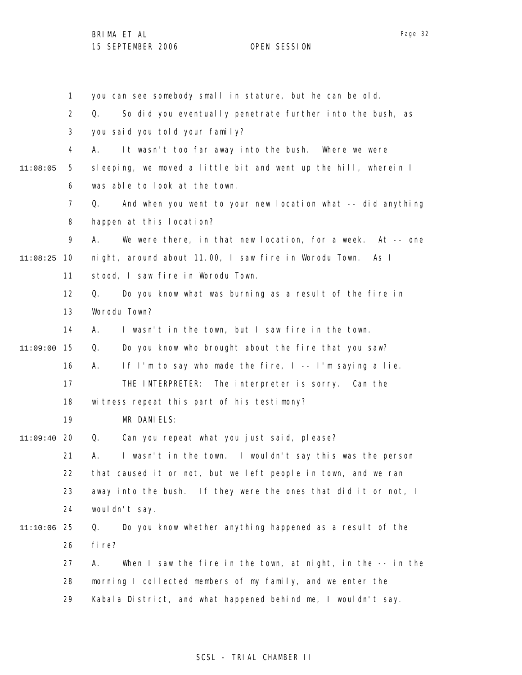1 2 3 4 5 6 7 8 9 10 11:08:25 11 12 13 14 15 11:09:00 16 17 18 19 20 11:09:40 21 22 23 24 25 11:10:06 26 27 28 29 11:08:05 you can see somebody small in stature, but he can be old. Q. So did you eventually penetrate further into the bush, as you said you told your family? A. It wasn't too far away into the bush. Where we were sleeping, we moved a little bit and went up the hill, wherein I was able to look at the town. Q. And when you went to your new location what -- did anything happen at this location? A. We were there, in that new location, for a week. At -- one night, around about 11.00, I saw fire in Worodu Town. As I stood, I saw fire in Worodu Town. Q. Do you know what was burning as a result of the fire in Worodu Town? A. I wasn't in the town, but I saw fire in the town. Q. Do you know who brought about the fire that you saw? A. If I'm to say who made the fire, I -- I'm saying a lie. THE INTERPRETER: The interpreter is sorry. Can the witness repeat this part of his testimony? MR DANIELS: Q. Can you repeat what you just said, please? A. I wasn't in the town. I wouldn't say this was the person that caused it or not, but we left people in town, and we ran away into the bush. If they were the ones that did it or not, I wouldn't say. Q. Do you know whether anything happened as a result of the fire? A. When I saw the fire in the town, at night, in the -- in the morning I collected members of my family, and we enter the Kabala District, and what happened behind me, I wouldn't say.

### SCSL - TRIAL CHAMBER II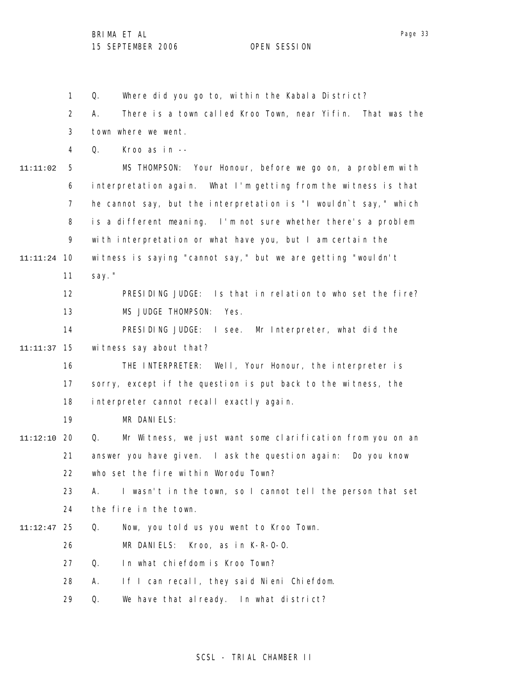Page 33

1 2 3 4 5 6 7 8 9 10 11:11:24 11 12 13 14 15 11:11:37 16 17 18 19 20 11:12:10 21 22 23 24 25 11:12:47 26 27 28 29 11:11:02 Q. Where did you go to, within the Kabala District? A. There is a town called Kroo Town, near Yifin. That was the town where we went. Q. Kroo as in -- MS THOMPSON: Your Honour, before we go on, a problem with interpretation again. What I'm getting from the witness is that he cannot say, but the interpretation is "I wouldn`t say," which is a different meaning. I'm not sure whether there's a problem with interpretation or what have you, but I am certain the witness is saying "cannot say," but we are getting "wouldn't say." PRESIDING JUDGE: Is that in relation to who set the fire? MS JUDGE THOMPSON: Yes. PRESIDING JUDGE: I see. Mr Interpreter, what did the witness say about that? THE INTERPRETER: Well, Your Honour, the interpreter is sorry, except if the question is put back to the witness, the interpreter cannot recall exactly again. MR DANIFLS: Q. Mr Witness, we just want some clarification from you on an answer you have given. I ask the question again: Do you know who set the fire within Worodu Town? A. I wasn't in the town, so I cannot tell the person that set the fire in the town. Q. Now, you told us you went to Kroo Town. MR DANIELS: Kroo, as in K-R-O-O. Q. In what chiefdom is Kroo Town? A. If I can recall, they said Nieni Chiefdom. Q. We have that already. In what district?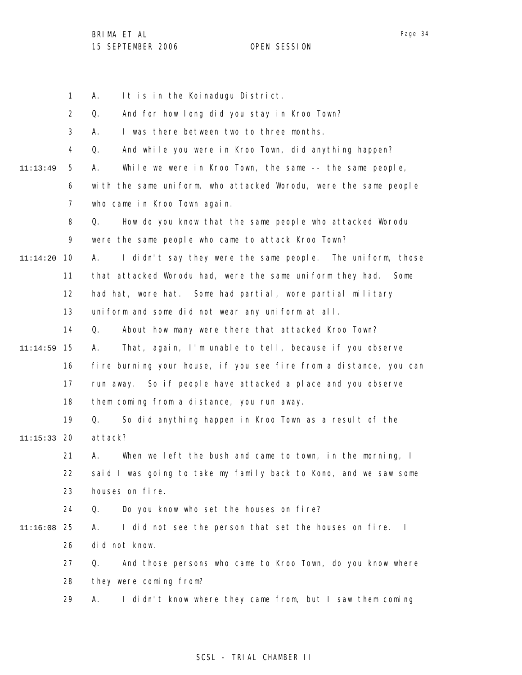1 2 3 4 5 6 7 8 9 10 11:14:20 11 12 13 14 15 11:14:59 16 17 18 19 20 11:15:33 21 22 23 24 25 11:16:08 26 27 28 29 11:13:49 A. It is in the Koinadugu District. Q. And for how long did you stay in Kroo Town? A. I was there between two to three months. Q. And while you were in Kroo Town, did anything happen? A. While we were in Kroo Town, the same -- the same people, with the same uniform, who attacked Worodu, were the same people who came in Kroo Town again. Q. How do you know that the same people who attacked Worodu were the same people who came to attack Kroo Town? A. I didn't say they were the same people. The uniform, those that attacked Worodu had, were the same uniform they had. Some had hat, wore hat. Some had partial, wore partial military uniform and some did not wear any uniform at all. Q. About how many were there that attacked Kroo Town? A. That, again, I'm unable to tell, because if you observe fire burning your house, if you see fire from a distance, you can run away. So if people have attacked a place and you observe them coming from a distance, you run away. Q. So did anything happen in Kroo Town as a result of the attack? A. When we left the bush and came to town, in the morning, I said I was going to take my family back to Kono, and we saw some houses on fire. Q. Do you know who set the houses on fire? A. I did not see the person that set the houses on fire. I did not know. Q. And those persons who came to Kroo Town, do you know where they were coming from? A. I didn't know where they came from, but I saw them coming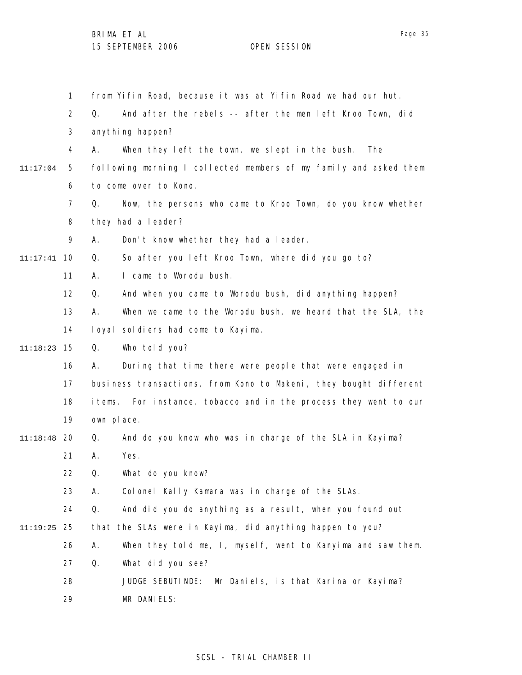1 2 3 4 5 6 7 8 9 10 11:17:41 11 12 13 14 15 11:18:23 16 17 18 19 20 11:18:48 21 22 23 24 25 11:19:25 26 27 28 29 11:17:04 from Yifin Road, because it was at Yifin Road we had our hut. Q. And after the rebels -- after the men left Kroo Town, did anything happen? A. When they left the town, we slept in the bush. The following morning I collected members of my family and asked them to come over to Kono. Q. Now, the persons who came to Kroo Town, do you know whether they had a leader? A. Don't know whether they had a leader. Q. So after you left Kroo Town, where did you go to? A. I came to Worodu bush. Q. And when you came to Worodu bush, did anything happen? A. When we came to the Worodu bush, we heard that the SLA, the loyal soldiers had come to Kayima. Q. Who told you? A. During that time there were people that were engaged in business transactions, from Kono to Makeni, they bought different items. For instance, tobacco and in the process they went to our own place. Q. And do you know who was in charge of the SLA in Kayima? A. Yes. Q. What do you know? A. Colonel Kally Kamara was in charge of the SLAs. Q. And did you do anything as a result, when you found out that the SLAs were in Kayima, did anything happen to you? A. When they told me, I, myself, went to Kanyima and saw them. Q. What did you see? JUDGE SEBUTINDE: Mr Daniels, is that Karina or Kayima? MR DANIELS:

# SCSL - TRIAL CHAMBER II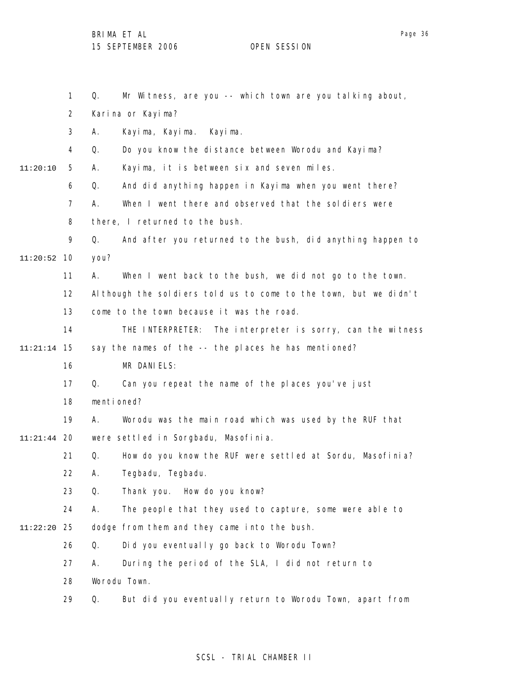Page 36

1 2 3 4 5 6 7 8 9 10 11:20:52 11 12 13 14 15 11:21:14 16 17 18 19 20 11:21:44 21 22 23 24 25 11:22:20 26 27 28 29 11:20:10 Q. Mr Witness, are you -- which town are you talking about, Karina or Kayima? A. Kayima, Kayima. Kayima. Q. Do you know the distance between Worodu and Kayima? A. Kayima, it is between six and seven miles. Q. And did anything happen in Kayima when you went there? A. When I went there and observed that the soldiers were there, I returned to the bush. Q. And after you returned to the bush, did anything happen to you? A. When I went back to the bush, we did not go to the town. Although the soldiers told us to come to the town, but we didn't come to the town because it was the road. THE INTERPRETER: The interpreter is sorry, can the witness say the names of the -- the places he has mentioned? MR DANIELS: Q. Can you repeat the name of the places you've just mentioned? A. Worodu was the main road which was used by the RUF that were settled in Sorgbadu, Masofinia. Q. How do you know the RUF were settled at Sordu, Masofinia? A. Tegbadu, Tegbadu. Q. Thank you. How do you know? A. The people that they used to capture, some were able to dodge from them and they came into the bush. Q. Did you eventually go back to Worodu Town? A. During the period of the SLA, I did not return to Worodu Town. Q. But did you eventually return to Worodu Town, apart from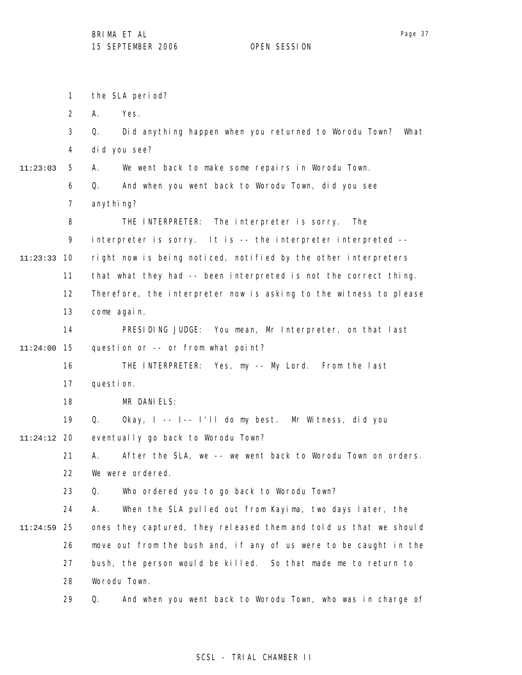1 2 3 4 5 6 7 8 9 10 11:23:33 11 12 13 14 15 11:24:00 16 17 18 19 20 11:24:12 21 22 23 24 25 11:24:59 26 27 28 29 11:23:03 the SLA period? A. Yes. Q. Did anything happen when you returned to Worodu Town? What did you see? A. We went back to make some repairs in Worodu Town. Q. And when you went back to Worodu Town, did you see anything? THE INTERPRETER: The interpreter is sorry. The interpreter is sorry. It is -- the interpreter interpreted - right now is being noticed, notified by the other interpreters that what they had -- been interpreted is not the correct thing. Therefore, the interpreter now is asking to the witness to please come again. PRESIDING JUDGE: You mean, Mr Interpreter, on that last question or -- or from what point? THE INTERPRETER: Yes, my -- My Lord. From the last question. MR DANIELS: Q. Okay, I -- I-- I'll do my best. Mr Witness, did you eventually go back to Worodu Town? A. After the SLA, we -- we went back to Worodu Town on orders. We were ordered. Q. Who ordered you to go back to Worodu Town? A. When the SLA pulled out from Kayima, two days later, the ones they captured, they released them and told us that we should move out from the bush and, if any of us were to be caught in the bush, the person would be killed. So that made me to return to Worodu Town. Q. And when you went back to Worodu Town, who was in charge of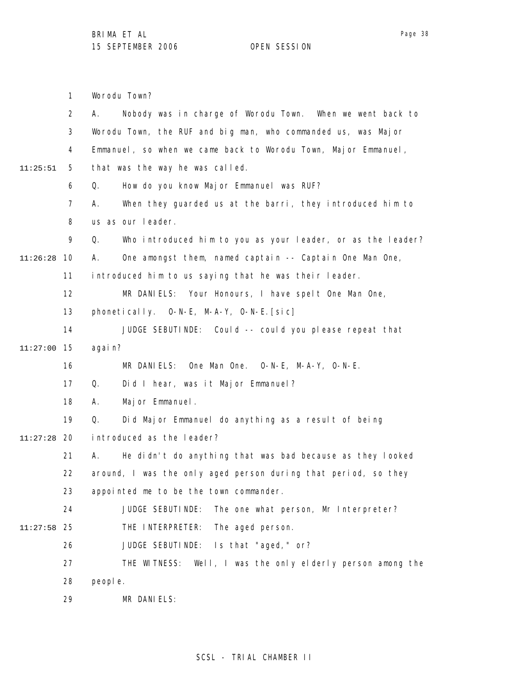Worodu Town?

1

Page 38

|          | $\overline{2}$ | Nobody was in charge of Worodu Town. When we went back to<br>А.   |  |  |  |
|----------|----------------|-------------------------------------------------------------------|--|--|--|
|          | 3              | Worodu Town, the RUF and big man, who commanded us, was Major     |  |  |  |
|          | 4              | Emmanuel, so when we came back to Worodu Town, Major Emmanuel,    |  |  |  |
| 11:25:51 | 5              | that was the way he was called.                                   |  |  |  |
|          | 6              | How do you know Major Emmanuel was RUF?<br>Q.                     |  |  |  |
|          | $\overline{7}$ | When they guarded us at the barri, they introduced him to<br>А.   |  |  |  |
|          | 8              | us as our leader.                                                 |  |  |  |
|          | 9              | Q.<br>Who introduced him to you as your leader, or as the leader? |  |  |  |
| 11:26:28 | 10             | One amongst them, named captain -- Captain One Man One,<br>Α.     |  |  |  |
|          | 11             | introduced him to us saying that he was their leader.             |  |  |  |
|          | 12             | MR DANIELS: Your Honours, I have spelt One Man One,               |  |  |  |
|          | 13             | phonetically. 0-N-E, M-A-Y, 0-N-E. [sic]                          |  |  |  |
|          | 14             | JUDGE SEBUTINDE: Could -- could you please repeat that            |  |  |  |
| 11:27:00 | 15             | agai n?                                                           |  |  |  |
|          | 16             | MR DANIELS: One Man One. 0-N-E, M-A-Y, 0-N-E.                     |  |  |  |
|          | 17             | Did I hear, was it Major Emmanuel?<br>Q.                          |  |  |  |
|          | 18             | Major Emmanuel.<br>А.                                             |  |  |  |
|          | 19             | Did Major Emmanuel do anything as a result of being<br>Q.         |  |  |  |
| 11:27:28 | 20             | introduced as the leader?                                         |  |  |  |
|          | 21             | He didn't do anything that was bad because as they looked<br>А.   |  |  |  |
|          | 22             | around, I was the only aged person during that period, so they    |  |  |  |
|          | 23             | appointed me to be the town commander.                            |  |  |  |
|          | 24             | JUDGE SEBUTI NDE:<br>The one what person, Mr Interpreter?         |  |  |  |
| 11:27:58 | 25             | THE INTERPRETER:<br>The aged person.                              |  |  |  |
|          | 26             | JUDGE SEBUTINDE: Is that "aged," or?                              |  |  |  |
|          | 27             | THE WITNESS: Well, I was the only elderly person among the        |  |  |  |
|          | 28             | peopl e.                                                          |  |  |  |
|          | 29             | MR DANIELS:                                                       |  |  |  |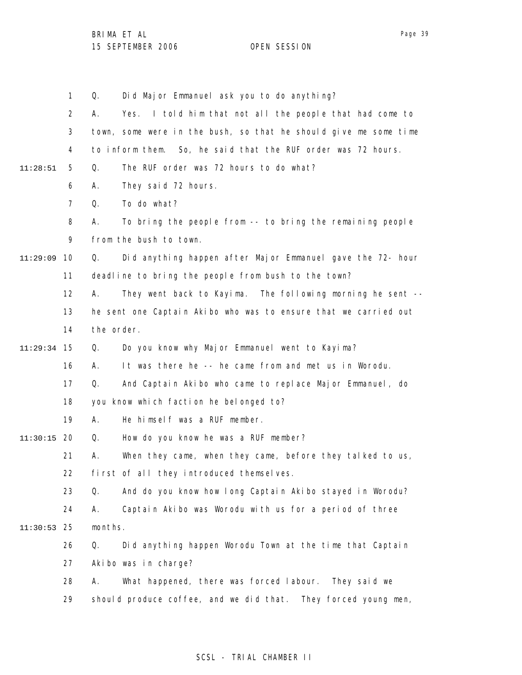1 2 3 4 5 6 7 8 9 10 11:29:09 11 12 13 14 15 11:29:34 16 17 18 19 20 11:30:15 21 22 23 24 25 11:30:53 26 27 28 29 11:28:51 Q. Did Major Emmanuel ask you to do anything? A. Yes. I told him that not all the people that had come to town, some were in the bush, so that he should give me some time to inform them. So, he said that the RUF order was 72 hours. Q. The RUF order was 72 hours to do what? A. They said 72 hours. Q. To do what? A. To bring the people from -- to bring the remaining people from the bush to town. Q. Did anything happen after Major Emmanuel gave the 72- hour deadline to bring the people from bush to the town? A. They went back to Kayima. The following morning he sent - he sent one Captain Akibo who was to ensure that we carried out the order. Q. Do you know why Major Emmanuel went to Kayima? A. It was there he -- he came from and met us in Worodu. Q. And Captain Akibo who came to replace Major Emmanuel, do you know which faction he belonged to? A. He himself was a RUF member. Q. How do you know he was a RUF member? A. When they came, when they came, before they talked to us, first of all they introduced themselves. Q. And do you know how long Captain Akibo stayed in Worodu? A. Captain Akibo was Worodu with us for a period of three months. Q. Did anything happen Worodu Town at the time that Captain Akibo was in charge? A. What happened, there was forced labour. They said we should produce coffee, and we did that. They forced young men,

### SCSL - TRIAL CHAMBER II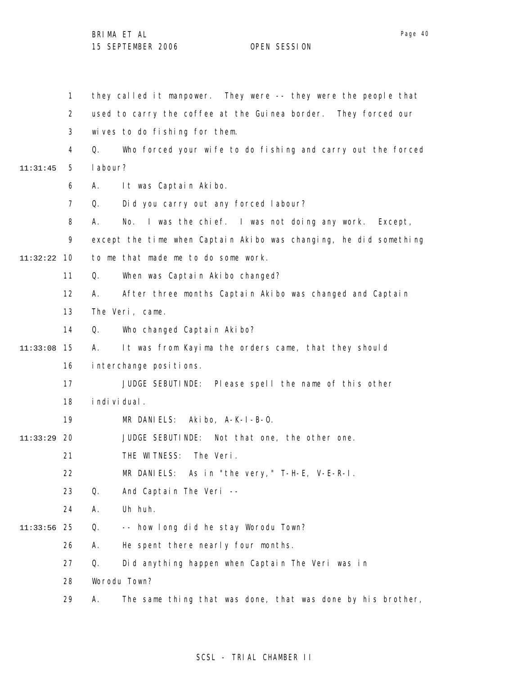1 2 3 4 5 6 7 8 9 10 11:32:22 11 12 13 14 15 11:33:08 16 17 18 19 20 11:33:29 21 22 23 24 25 11:33:56 26 27 28 29 11:31:45 they called it manpower. They were -- they were the people that used to carry the coffee at the Guinea border. They forced our wives to do fishing for them. Q. Who forced your wife to do fishing and carry out the forced labour? A. It was Captain Akibo. Q. Did you carry out any forced labour? A. No. I was the chief. I was not doing any work. Except, except the time when Captain Akibo was changing, he did something to me that made me to do some work. Q. When was Captain Akibo changed? A. After three months Captain Akibo was changed and Captain The Veri, came. Q. Who changed Captain Akibo? A. It was from Kayima the orders came, that they should interchange positions. JUDGE SEBUTINDE: Please spell the name of this other indi vi dual. MR DANIELS: Akibo, A-K-I-B-O. JUDGE SEBUTINDE: Not that one, the other one. THE WITNESS: The Veri. MR DANIELS: As in "the very," T-H-E, V-E-R-I. Q. And Captain The Veri -- A. Uh huh. Q. -- how long did he stay Worodu Town? A. He spent there nearly four months. Q. Did anything happen when Captain The Veri was in Worodu Town? A. The same thing that was done, that was done by his brother,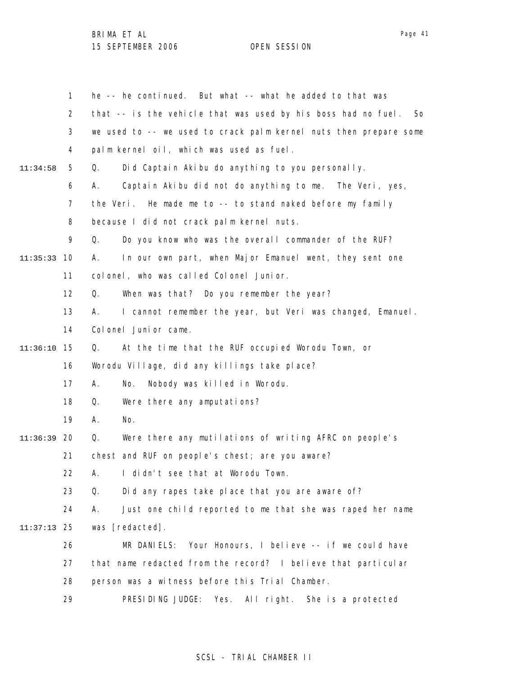1 2 3 4 5 6 7 8 9 10 11:35:33 11 12 13 14 15 11:36:10 16 17 18 19 20 11:36:39 21 22 23 24 25 11:37:13 26 27 28 29 11:34:58 he -- he continued. But what -- what he added to that was that -- is the vehicle that was used by his boss had no fuel. So we used to -- we used to crack palm kernel nuts then prepare some palm kernel oil, which was used as fuel. Q. Did Captain Akibu do anything to you personally. A. Captain Akibu did not do anything to me. The Veri, yes, the Veri. He made me to -- to stand naked before my family because I did not crack palm kernel nuts. Q. Do you know who was the overall commander of the RUF? A. In our own part, when Major Emanuel went, they sent one colonel, who was called Colonel Junior. Q. When was that? Do you remember the year? A. I cannot remember the year, but Veri was changed, Emanuel. Colonel Junior came. Q. At the time that the RUF occupied Worodu Town, or Worodu Village, did any killings take place? A. No. Nobody was killed in Worodu. Q. Were there any amputations? A. No. Q. Were there any mutilations of writing AFRC on people's chest and RUF on people's chest; are you aware? A. I didn't see that at Worodu Town. Q. Did any rapes take place that you are aware of? A. Just one child reported to me that she was raped her name was [redacted]. MR DANIELS: Your Honours, I believe -- if we could have that name redacted from the record? I believe that particular person was a witness before this Trial Chamber. PRESIDING JUDGE: Yes. All right. She is a protected

### SCSL - TRIAL CHAMBER II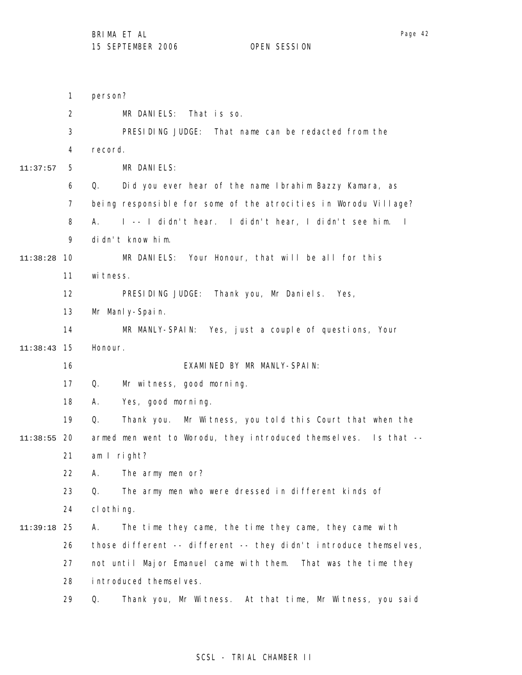1 2 3 4 5 6 7 8 9 10 11:38:28 11 12 13 14 15 11:38:43 16 17 18 19 20 11:38:55 21 22 23 24 25 11:39:18 26 27 28 29 11:37:57 person? MR DANIELS: That is so. PRESIDING JUDGE: That name can be redacted from the record. MR DANIELS: Q. Did you ever hear of the name Ibrahim Bazzy Kamara, as being responsible for some of the atrocities in Worodu Village? A. I -- I didn't hear. I didn't hear, I didn't see him. I didn't know him. MR DANIELS: Your Honour, that will be all for this witness. PRESIDING JUDGE: Thank you, Mr Daniels. Yes, Mr Manly-Spain. MR MANLY-SPAIN: Yes, just a couple of questions, Your Honour. EXAMINED BY MR MANLY-SPAIN: Q. Mr witness, good morning. A. Yes, good morning. Q. Thank you. Mr Witness, you told this Court that when the armed men went to Worodu, they introduced themselves. Is that - am I right? A. The army men or? Q. The army men who were dressed in different kinds of clothing. A. The time they came, the time they came, they came with those different -- different -- they didn't introduce themselves, not until Major Emanuel came with them. That was the time they introduced themselves. Q. Thank you, Mr Witness. At that time, Mr Witness, you said

Page 42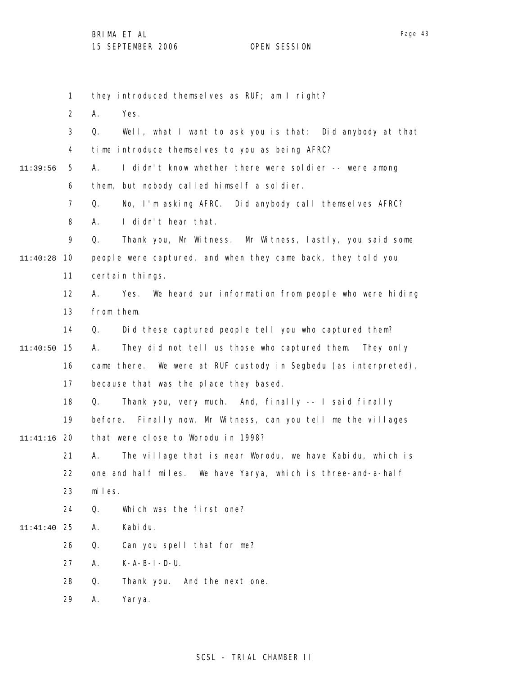Page 43

1 2 3 4 5 6 7 8 9 10 11:40:28 11 12 13 14 15 11:40:50 16 17 18 19 20 11:41:16 21 22 23 24 25 11:41:40 26 27 28 29 11:39:56 they introduced themselves as RUF; am I right? A. Yes. Q. Well, what I want to ask you is that: Did anybody at that time introduce themselves to you as being AFRC? A. I didn't know whether there were soldier -- were among them, but nobody called himself a soldier. Q. No, I'm asking AFRC. Did anybody call themselves AFRC? A. I didn't hear that. Q. Thank you, Mr Witness. Mr Witness, lastly, you said some people were captured, and when they came back, they told you certain things. A. Yes. We heard our information from people who were hiding from them. Q. Did these captured people tell you who captured them? A. They did not tell us those who captured them. They only came there. We were at RUF custody in Segbedu (as interpreted), because that was the place they based. Q. Thank you, very much. And, finally -- I said finally before. Finally now, Mr Witness, can you tell me the villages that were close to Worodu in 1998? A. The village that is near Worodu, we have Kabidu, which is one and half miles. We have Yarya, which is three-and-a-half miles. Q. Which was the first one? A. Kabidu. Q. Can you spell that for me? A. K-A-B-I-D-U. Q. Thank you. And the next one. A. Yarya.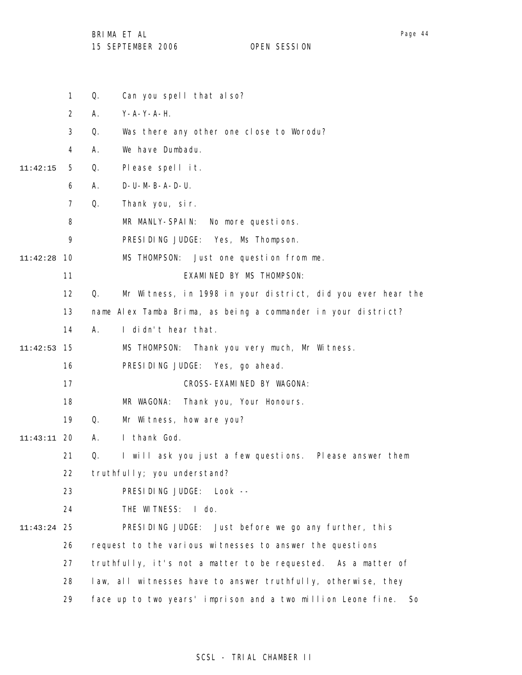BRIMA ET AL

|               | $\mathbf{1}$   | Can you spell that also?<br>Q.                                    |
|---------------|----------------|-------------------------------------------------------------------|
|               | $\overline{2}$ | $Y - A - Y - A - H$ .<br>А.                                       |
|               | 3              | Was there any other one close to Worodu?<br>Q.                    |
|               | 4              | We have Dumbadu.<br>А.                                            |
| 11:42:15      | 5              | Q.<br>Please spell it.                                            |
|               | 6              | $D-U-M-B-A-D-U.$<br>А.                                            |
|               | $\overline{7}$ | Q.<br>Thank you, sir.                                             |
|               | 8              | MR MANLY-SPAIN: No more questions.                                |
|               | 9              | PRESIDING JUDGE: Yes, Ms Thompson.                                |
| 11:42:28      | 10             | MS THOMPSON:<br>Just one question from me.                        |
|               | 11             | EXAMINED BY MS THOMPSON:                                          |
|               | 12             | Q.<br>Mr Witness, in 1998 in your district, did you ever hear the |
|               | 13             | name Alex Tamba Brima, as being a commander in your district?     |
|               | 14             | А.<br>I didn't hear that.                                         |
| 11:42:53      | 15             | MS THOMPSON:<br>Thank you very much, Mr Witness.                  |
|               | 16             | PRESIDING JUDGE: Yes, go ahead.                                   |
|               | 17             | CROSS-EXAMINED BY WAGONA:                                         |
|               | 18             | MR WAGONA: Thank you, Your Honours.                               |
|               | 19             | Mr Witness, how are you?<br>Q.                                    |
| 11:43:11      | 20             | I thank God.<br>А.                                                |
|               | 21             | Q.<br>I will ask you just a few questions. Please answer them     |
|               | 22             | truthfully; you understand?                                       |
|               | 23             | PRESIDING JUDGE: Look --                                          |
|               | 24             | THE WITNESS: I do.                                                |
| $11:43:24$ 25 |                | PRESIDING JUDGE: Just before we go any further, this              |
|               | 26             | request to the various witnesses to answer the questions          |
|               | 27             | truthfully, it's not a matter to be requested. As a matter of     |
|               | 28             | law, all witnesses have to answer truthfully, otherwise, they     |
|               | 29             | face up to two years' imprison and a two million Leone fine. So   |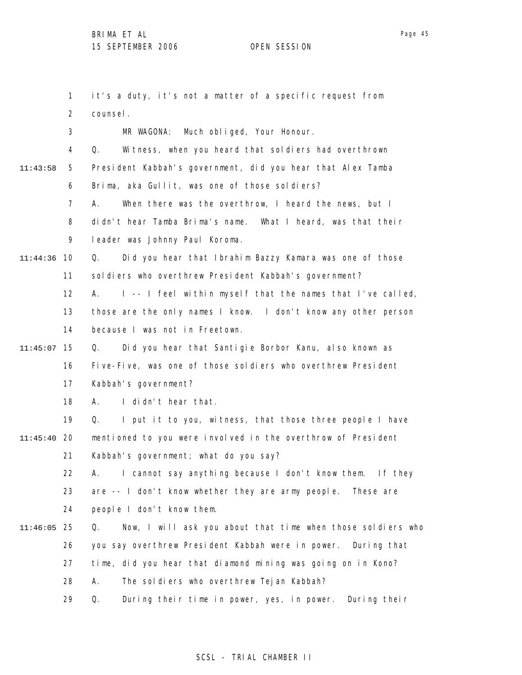1 2 3 4 5 6 7 8 9 10 11:44:36 11 12 13 14 15 11:45:07 16 17 18 19 20 11:45:40 21 22 23 24 25 11:46:05 26 27 28 29 11:43:58 it's a duty, it's not a matter of a specific request from counsel. MR WAGONA: Much obliged, Your Honour. Q. Witness, when you heard that soldiers had overthrown President Kabbah's government, did you hear that Alex Tamba Brima, aka Gullit, was one of those soldiers? A. When there was the overthrow, I heard the news, but I didn't hear Tamba Brima's name. What I heard, was that their leader was Johnny Paul Koroma. Q. Did you hear that Ibrahim Bazzy Kamara was one of those sol diers who overthrew President Kabbah's government? A. I -- I feel within myself that the names that I've called, those are the only names I know. I don't know any other person because I was not in Freetown. Q. Did you hear that Santigie Borbor Kanu, also known as Five-Five, was one of those soldiers who overthrew President Kabbah's government? A. I didn't hear that. Q. I put it to you, witness, that those three people I have mentioned to you were involved in the overthrow of President Kabbah's government; what do you say? A. I cannot say anything because I don't know them. If they are -- I don't know whether they are army people. These are people I don't know them. Q. Now, I will ask you about that time when those soldiers who you say overthrew President Kabbah were in power. During that time, did you hear that diamond mining was going on in Kono? A. The soldiers who overthrew Tejan Kabbah? Q. During their time in power, yes, in power. During their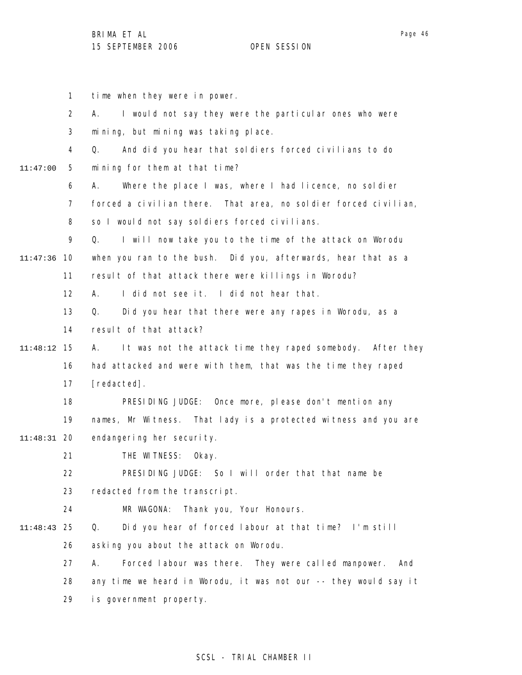1 2 3 4 5 6 7 8 9 10 11:47:36 11 12 13 14 15 11:48:12 16 17 18 19 20 11:48:31 21 22 23 24 25 11:48:43 26 27 28 29 11:47:00 time when they were in power. A. I would not say they were the particular ones who were mining, but mining was taking place. Q. And did you hear that soldiers forced civilians to do mining for them at that time? A. Where the place I was, where I had licence, no soldier forced a civilian there. That area, no soldier forced civilian, so I would not say soldiers forced civilians. Q. I will now take you to the time of the attack on Worodu when you ran to the bush. Did you, afterwards, hear that as a result of that attack there were killings in Worodu? A. I did not see it. I did not hear that. Q. Did you hear that there were any rapes in Worodu, as a result of that attack? A. It was not the attack time they raped somebody. After they had attacked and were with them, that was the time they raped [redacted]. PRESIDING JUDGE: Once more, please don't mention any names, Mr Witness. That lady is a protected witness and you are endangering her security. THE WITNESS: Okay. PRESIDING JUDGE: So I will order that that name be redacted from the transcript. MR WAGONA: Thank you, Your Honours. Q. Did you hear of forced labour at that time? I'm still asking you about the attack on Worodu. A. Forced labour was there. They were called manpower. And any time we heard in Worodu, it was not our -- they would say it is government property.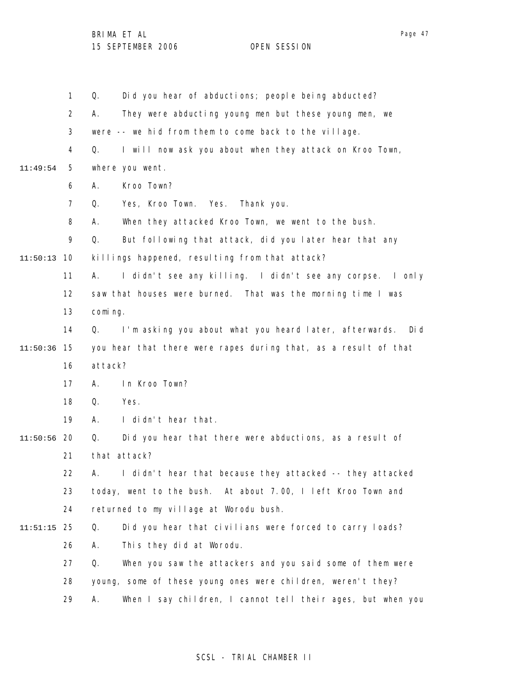1 2 3 4 5 6 7 8 9 10 11:50:13 11 12 13 14 15 11:50:36 16 17 18 19 20 11:50:56 21 22 23 24 25 11:51:15 26 27 28 29 11:49:54 Q. Did you hear of abductions; people being abducted? A. They were abducting young men but these young men, we were -- we hid from them to come back to the village. Q. I will now ask you about when they attack on Kroo Town, where you went. A. Kroo Town? Q. Yes, Kroo Town. Yes. Thank you. A. When they attacked Kroo Town, we went to the bush. Q. But following that attack, did you later hear that any killings happened, resulting from that attack? A. I didn't see any killing. I didn't see any corpse. I only saw that houses were burned. That was the morning time I was coming. Q. I'm asking you about what you heard later, afterwards. Did you hear that there were rapes during that, as a result of that attack? A. In Kroo Town? Q. Yes. A. I didn't hear that. Q. Did you hear that there were abductions, as a result of that attack? A. I didn't hear that because they attacked -- they attacked today, went to the bush. At about 7.00, I left Kroo Town and returned to my village at Worodu bush. Q. Did you hear that civilians were forced to carry loads? A. This they did at Worodu. Q. When you saw the attackers and you said some of them were young, some of these young ones were children, weren't they? A. When I say children, I cannot tell their ages, but when you

### SCSL - TRIAL CHAMBER II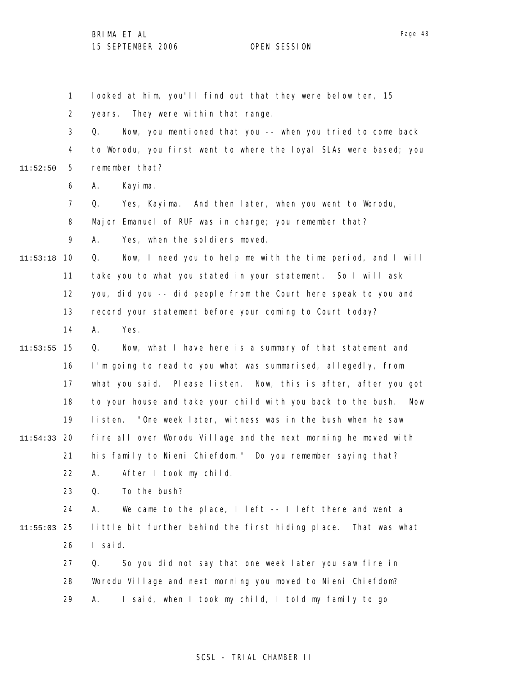1 2 3 4 5 6 7 8 9 10 11:53:18 11 12 13 14 15 11:53:55 16 17 18 19 20 11:54:33 21 22 23 24 25 11:55:03 26 27 28 29 11:52:50 looked at him, you'll find out that they were below ten, 15 years. They were within that range. Q. Now, you mentioned that you -- when you tried to come back to Worodu, you first went to where the loyal SLAs were based; you remember that? A. Kayima. Q. Yes, Kayima. And then later, when you went to Worodu, Major Emanuel of RUF was in charge; you remember that? A. Yes, when the soldiers moved. Q. Now, I need you to help me with the time period, and I will take you to what you stated in your statement. So I will ask you, did you -- did people from the Court here speak to you and record your statement before your coming to Court today? A. Yes. Q. Now, what I have here is a summary of that statement and I'm going to read to you what was summarised, allegedly, from what you said. Please listen. Now, this is after, after you got to your house and take your child with you back to the bush. Now listen. "One week later, witness was in the bush when he saw fire all over Worodu Village and the next morning he moved with his family to Nieni Chiefdom." Do you remember saying that? A. After I took my child. Q. To the bush? A. We came to the place, I left -- I left there and went a little bit further behind the first hiding place. That was what I said. Q. So you did not say that one week later you saw fire in Worodu Village and next morning you moved to Nieni Chiefdom? A. I said, when I took my child, I told my family to go

### SCSL - TRIAL CHAMBER II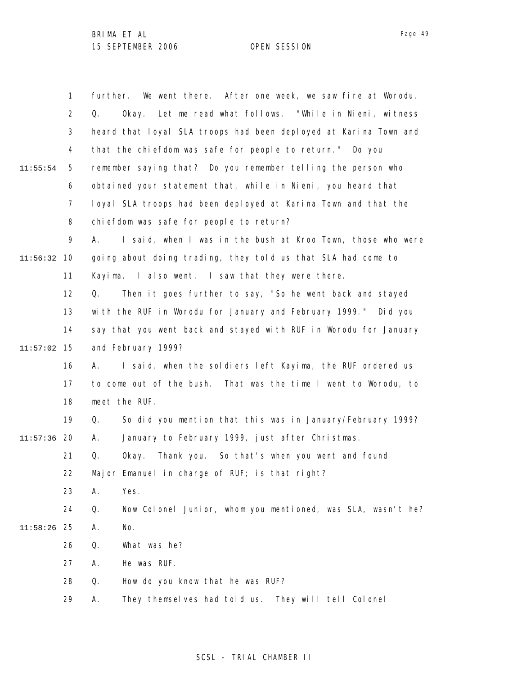1 2 3 4 5 6 7 8 9 10 11:56:32 11 12 13 14 15 11:57:02 16 17 18 19 20 11:57:36 21 22 23 24 25 11:58:26 26 27 28 29 11:55:54 further. We went there. After one week, we saw fire at Worodu. Q. Okay. Let me read what follows. "While in Nieni, witness heard that loyal SLA troops had been deployed at Karina Town and that the chiefdom was safe for people to return." Do you remember saying that? Do you remember telling the person who obtained your statement that, while in Nieni, you heard that loyal SLA troops had been deployed at Karina Town and that the chiefdom was safe for people to return? A. I said, when I was in the bush at Kroo Town, those who were going about doing trading, they told us that SLA had come to Kayima. I also went. I saw that they were there. Q. Then it goes further to say, "So he went back and stayed with the RUF in Worodu for January and February 1999." Did you say that you went back and stayed with RUF in Worodu for January and February 1999? A. I said, when the soldiers left Kayima, the RUF ordered us to come out of the bush. That was the time I went to Worodu, to meet the RUF. Q. So did you mention that this was in January/February 1999? A. January to February 1999, just after Christmas. Q. Okay. Thank you. So that's when you went and found Major Emanuel in charge of RUF; is that right? A. Yes. Q. Now Colonel Junior, whom you mentioned, was SLA, wasn't he? A. No. Q. What was he? A. He was RUF. Q. How do you know that he was RUF? A. They themselves had told us. They will tell Colonel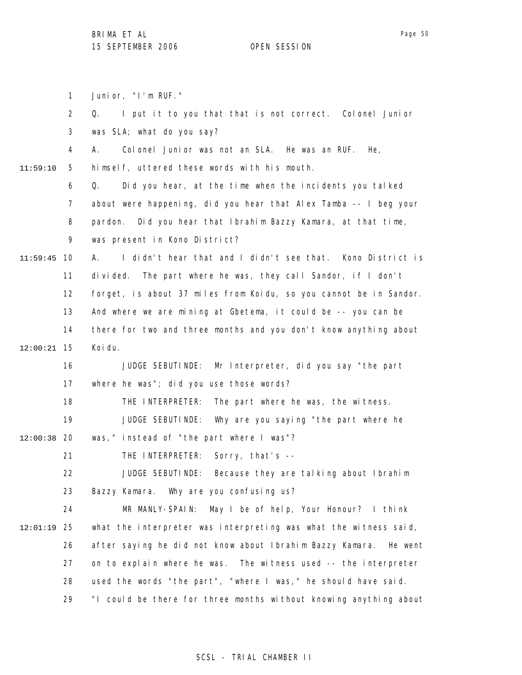1 Junior, "I'm RUF."

|             | $\overline{2}$ | I put it to you that that is not correct. Colonel Junior<br>Q.    |
|-------------|----------------|-------------------------------------------------------------------|
|             | 3              | was SLA; what do you say?                                         |
|             | 4              | Colonel Junior was not an SLA. He was an RUF.<br>А.<br>He,        |
| 11:59:10    | 5              | himself, uttered these words with his mouth.                      |
|             | 6              | Did you hear, at the time when the incidents you talked<br>Q.     |
|             | $\overline{7}$ | about were happening, did you hear that Alex Tamba -- I beg your  |
|             | 8              | pardon. Did you hear that Ibrahim Bazzy Kamara, at that time,     |
|             | 9              | was present in Kono District?                                     |
| 11:59:45    | 10             | I didn't hear that and I didn't see that. Kono District is<br>А.  |
|             | 11             | divided. The part where he was, they call Sandor, if I don't      |
|             | 12             | forget, is about 37 miles from Koidu, so you cannot be in Sandor. |
|             | 13             | And where we are mining at Gbetema, it could be -- you can be     |
|             | 14             | there for two and three months and you don't know anything about  |
| 12:00:21    | 15             | Koi du.                                                           |
|             | 16             | Mr Interpreter, did you say "the part<br>JUDGE SEBUTINDE:         |
|             | 17             | where he was"; did you use those words?                           |
|             | 18             | THE INTERPRETER:<br>The part where he was, the witness.           |
|             | 19             | JUDGE SEBUTINDE:<br>Why are you saying "the part where he         |
| 12:00:38    | -20            | was," instead of "the part where I was"?                          |
|             | 21             | THE INTERPRETER:<br>Sorry, that's $-$                             |
|             | 22             | JUDGE SEBUTINDE:<br>Because they are talking about Ibrahim        |
|             | 23             | Bazzy Kamara. Why are you confusing us?                           |
|             | 24             | MR MANLY-SPAIN:<br>May I be of help, Your Honour? I think         |
| 12:01:19 25 |                | what the interpreter was interpreting was what the witness said,  |
|             | 26             | after saying he did not know about Ibrahim Bazzy Kamara. He went  |
|             | 27             | on to explain where he was. The witness used -- the interpreter   |
|             | 28             | used the words "the part", "where I was," he should have said.    |
|             | 29             | "I could be there for three months without knowing anything about |

## Page 50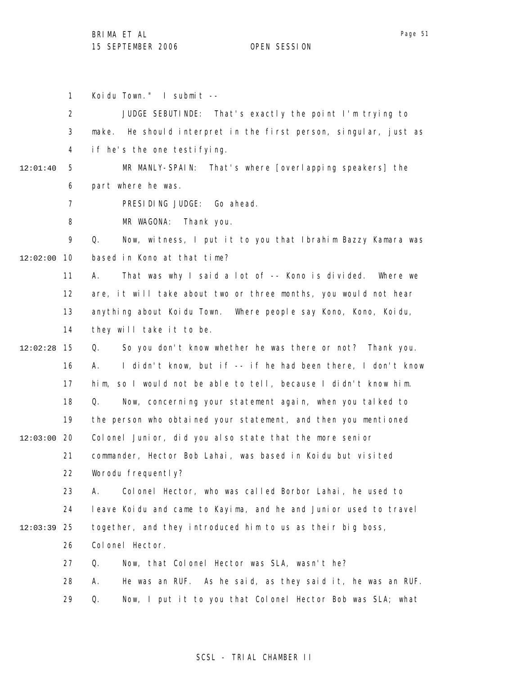1 2 3 4 5 6 7 8 9 10 12:02:00 11 12 13 14 15 12:02:28 16 17 18 19 12:03:00 20 21 22 23 24 25 12:03:39 26 27 28 29 12:01:40 Koidu Town." I submit -- JUDGE SEBUTINDE: That's exactly the point I'm trying to make. He should interpret in the first person, singular, just as if he's the one testifying. MR MANLY-SPAIN: That's where [overlapping speakers] the part where he was. PRESIDING JUDGE: Go ahead. MR WAGONA: Thank you. Q. Now, witness, I put it to you that Ibrahim Bazzy Kamara was based in Kono at that time? A. That was why I said a lot of -- Kono is divided. Where we are, it will take about two or three months, you would not hear anything about Koidu Town. Where people say Kono, Kono, Koidu, they will take it to be. Q. So you don't know whether he was there or not? Thank you. A. I didn't know, but if -- if he had been there, I don't know him, so I would not be able to tell, because I didn't know him. Q. Now, concerning your statement again, when you talked to the person who obtained your statement, and then you mentioned Colonel Junior, did you also state that the more senior commander, Hector Bob Lahai, was based in Koidu but visited Worodu frequently? A. Colonel Hector, who was called Borbor Lahai, he used to leave Koidu and came to Kayima, and he and Junior used to travel together, and they introduced him to us as their big boss, Colonel Hector. Q. Now, that Colonel Hector was SLA, wasn't he? A. He was an RUF. As he said, as they said it, he was an RUF. Q. Now, I put it to you that Colonel Hector Bob was SLA; what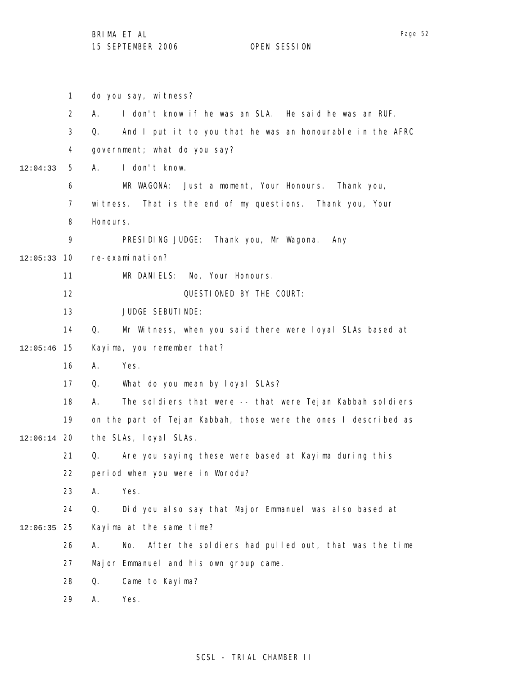do you say, witness?

1

2 3 4 5 6 7 8 9 10 12:05:33 11 12 13 14 15 12:05:46 16 17 18 19 20 12:06:14 21 22 23 24 25 12:06:35 26 27 28 29 12:04:33 A. I don't know if he was an SLA. He said he was an RUF. Q. And I put it to you that he was an honourable in the AFRC government; what do you say? A. I don't know. MR WAGONA: Just a moment, Your Honours. Thank you, witness. That is the end of my questions. Thank you, Your Honours. PRESIDING JUDGE: Thank you, Mr Wagona. Any re-examination? MR DANIELS: No, Your Honours. QUESTIONED BY THE COURT: JUDGE SEBUTINDE: Q. Mr Witness, when you said there were loyal SLAs based at Kayima, you remember that? A. Yes. Q. What do you mean by loyal SLAs? A. The soldiers that were -- that were Tejan Kabbah soldiers on the part of Tejan Kabbah, those were the ones I described as the SLAs, loyal SLAs. Q. Are you saying these were based at Kayima during this period when you were in Worodu? A. Yes. Q. Did you also say that Major Emmanuel was also based at Kayima at the same time? A. No. After the soldiers had pulled out, that was the time Major Emmanuel and his own group came. Q. Came to Kayima? A. Yes.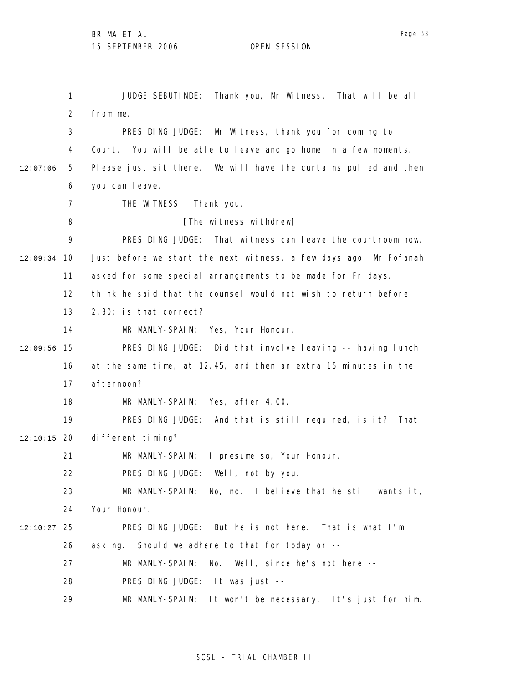1 2 3 4 5 6 7 8 9 10 12:09:34 11 12 13 14 15 12:09:56 16 17 18 19 12:10:15 20 21 22 23 24 25 12:10:27 26 27 28 29 12:07:06 JUDGE SEBUTINDE: Thank you, Mr Witness. That will be all from me. PRESIDING JUDGE: Mr Witness, thank you for coming to Court. You will be able to leave and go home in a few moments. Please just sit there. We will have the curtains pulled and then you can leave. THE WITNESS: Thank you. [The witness withdrew] PRESIDING JUDGE: That witness can leave the courtroom now. Just before we start the next witness, a few days ago, Mr Fofanah asked for some special arrangements to be made for Fridays. I think he said that the counsel would not wish to return before 2.30; is that correct? MR MANLY-SPAIN: Yes, Your Honour. PRESIDING JUDGE: Did that involve leaving -- having lunch at the same time, at 12.45, and then an extra 15 minutes in the afternoon? MR MANLY-SPAIN: Yes, after 4.00. PRESIDING JUDGE: And that is still required, is it? That different timing? MR MANLY-SPAIN: I presume so, Your Honour. PRESIDING JUDGE: Well, not by you. MR MANLY-SPAIN: No, no. I believe that he still wants it, Your Honour. PRESIDING JUDGE: But he is not here. That is what I'm asking. Should we adhere to that for today or -- MR MANLY-SPAIN: No. Well, since he's not here -- PRESIDING JUDGE: It was just -- MR MANLY-SPAIN: It won't be necessary. It's just for him.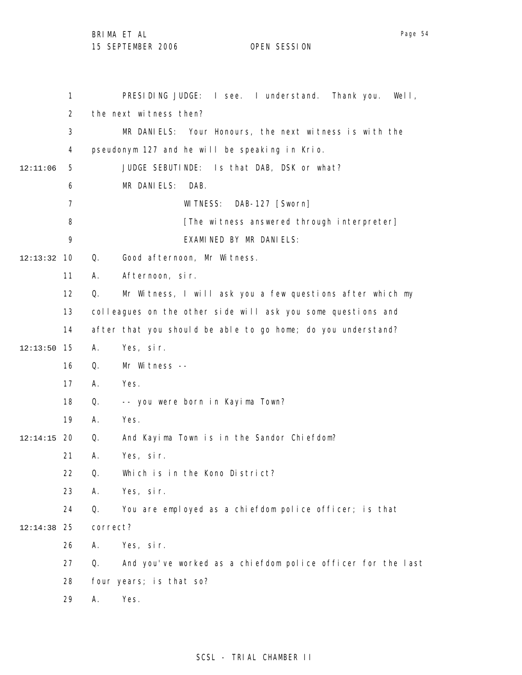BRIMA ET AL

15 SEPTEMBER 2006 OPEN SESSION

1 2 3 4 5 6 7 8 9 10 12:13:32 11 12 13 14 15 12:13:50 16 17 18 19 20 12:14:15 21 22 23 24 25 12:14:38 26 27 28 29 12:11:06 PRESIDING JUDGE: I see. I understand. Thank you. Well, the next witness then? MR DANIELS: Your Honours, the next witness is with the pseudonym 127 and he will be speaking in Krio. JUDGE SEBUTINDE: Is that DAB, DSK or what? MR DANIELS: DAB. WITNESS: DAB-127 [Sworn] [The witness answered through interpreter] EXAMINED BY MR DANIELS: Q. Good afternoon, Mr Witness. A. Afternoon, sir. Q. Mr Witness, I will ask you a few questions after which my colleagues on the other side will ask you some questions and after that you should be able to go home; do you understand? A. Yes, sir. Q. Mr Witness -- A. Yes. Q. -- you were born in Kayima Town? A. Yes. Q. And Kayima Town is in the Sandor Chiefdom? A. Yes, sir. Q. Which is in the Kono District? A. Yes, sir. Q. You are employed as a chiefdom police officer; is that correct? A. Yes, sir. Q. And you've worked as a chiefdom police officer for the last four years; is that so? A. Yes.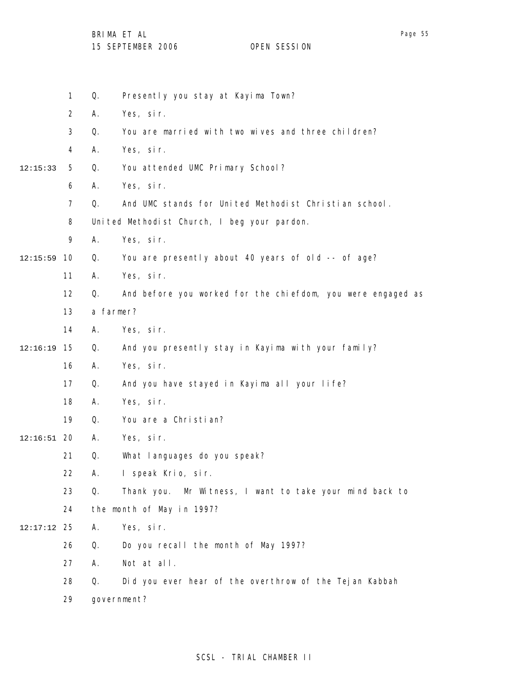|          | $\mathbf{1}$   | Q.        | Presently you stay at Kayima Town?                          |
|----------|----------------|-----------|-------------------------------------------------------------|
|          | $\overline{2}$ | Α.        | Yes, sir.                                                   |
|          | 3              | Q.        | You are married with two wives and three children?          |
|          | 4              | Α.        | Yes, sir.                                                   |
| 12:15:33 | 5              | Q.        | You attended UMC Primary School?                            |
|          | 6              | Α.        | Yes, sir.                                                   |
|          | $\overline{7}$ | Q.        | And UMC stands for United Methodist Christian school.       |
|          | 8              |           | Uni ted Methodist Church, I beg your pardon.                |
|          | 9              | Α.        | Yes, sir.                                                   |
| 12:15:59 | 10             | Q.        | You are presently about 40 years of old -- of age?          |
|          | 11             | Α.        | Yes, sir.                                                   |
|          | 12             | Q.        | And before you worked for the chiefdom, you were engaged as |
|          | 13             | a farmer? |                                                             |
|          | 14             | А.        | Yes, sir.                                                   |
| 12:16:19 | 15             | Q.        | And you presently stay in Kayima with your family?          |
|          | 16             | Α.        | Yes, sir.                                                   |
|          | 17             | Q.        | And you have stayed in Kayima all your life?                |
|          | 18             | А.        | Yes, sir.                                                   |
|          | 19             | Q.        | You are a Christian?                                        |
| 12:16:51 | 20             | А.        | Yes, sir.                                                   |
|          | 21             | Q.        | What languages do you speak?                                |
|          | 22             | А.        | I speak Krio, sir.                                          |
|          | 23             | Q.        | Mr Witness, I want to take your mind back to<br>Thank you.  |
|          | 24             |           | the month of May in 1997?                                   |
| 12:17:12 | 25             | Α.        | Yes, sir.                                                   |
|          | 26             | Q.        | Do you recall the month of May 1997?                        |
|          | 27             | Α.        | Not at all.                                                 |
|          | 28             | Q.        | Did you ever hear of the overthrow of the Tejan Kabbah      |
|          | 29             |           | government?                                                 |
|          |                |           |                                                             |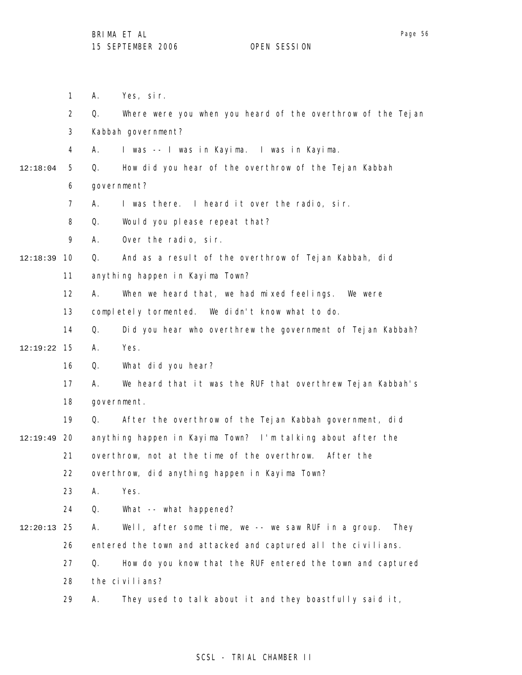1

2 3 4 5 6 7 8 9 10 12:18:39 11 12 13 14 15 12:19:22 16 17 18 19 12:19:49 20 21 22 23 24 25 12:20:13 26 27 28 29 12:18:04 A. Yes, sir. Q. Where were you when you heard of the overthrow of the Tejan Kabbah government? A. I was -- I was in Kayima. I was in Kayima. Q. How did you hear of the overthrow of the Tejan Kabbah government? A. I was there. I heard it over the radio, sir. Q. Would you please repeat that? A. Over the radio, sir. Q. And as a result of the overthrow of Tejan Kabbah, did anything happen in Kayima Town? A. When we heard that, we had mixed feelings. We were completely tormented. We didn't know what to do. Q. Did you hear who overthrew the government of Tejan Kabbah? A. Yes. Q. What did you hear? A. We heard that it was the RUF that overthrew Tejan Kabbah's government. Q. After the overthrow of the Tejan Kabbah government, did anything happen in Kayima Town? I'm talking about after the overthrow, not at the time of the overthrow. After the overthrow, did anything happen in Kayima Town? A. Yes. Q. What -- what happened? A. Well, after some time, we -- we saw RUF in a group. They entered the town and attacked and captured all the civilians. Q. How do you know that the RUF entered the town and captured the civilians? A. They used to talk about it and they boastfully said it,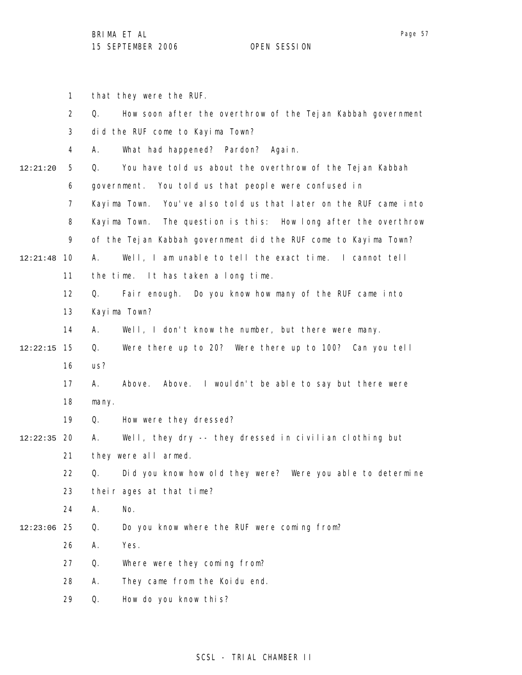Page 57

|          | 1              | that they were the RUF.                                             |
|----------|----------------|---------------------------------------------------------------------|
|          | $\overline{2}$ | How soon after the overthrow of the Tejan Kabbah government<br>Q.   |
|          | 3              | did the RUF come to Kayima Town?                                    |
|          | 4              | What had happened? Pardon? Again.<br>А.                             |
| 12:21:20 | 5              | You have told us about the overthrow of the Tejan Kabbah<br>Q.      |
|          | 6              | government. You told us that people were confused in                |
|          | $\overline{7}$ | You've also told us that later on the RUF came into<br>Kayima Town. |
|          | 8              | The question is this: How long after the overthrow<br>Kayima Town.  |
|          | 9              | of the Tejan Kabbah government did the RUF come to Kayima Town?     |
| 12:21:48 | 10             | Well, I am unable to tell the exact time. I cannot tell<br>А.       |
|          | 11             | the time. It has taken a long time.                                 |
|          | 12             | Fair enough. Do you know how many of the RUF came into<br>Q.        |
|          | 13             | Kayima Town?                                                        |
|          | 14             | Well, I don't know the number, but there were many.<br>Α.           |
| 12:22:15 | 15             | Were there up to 20? Were there up to 100? Can you tell<br>Q.       |
|          | 16             | us?                                                                 |
|          | 17             | Above.<br>Above. I wouldn't be able to say but there were<br>А.     |
|          | 18             | many.                                                               |
|          | 19             | How were they dressed?<br>Q.                                        |
| 12:22:35 | -20            | Well, they dry -- they dressed in civilian clothing but<br>Α.       |
|          | 21             | they were all armed.                                                |
|          | 22             | Q. Did you know how old they were? Were you able to determine       |
| 23       |                | their ages at that time?                                            |
|          | 24             | No.<br>Α.                                                           |
| 12:23:06 | 25             | Q.<br>Do you know where the RUF were coming from?                   |
|          | 26             | Α.<br>Yes.                                                          |
|          | 27             | Where were they coming from?<br>Q.                                  |
|          | 28             | А.<br>They came from the Koidu end.                                 |
|          | 29             | Q.<br>How do you know this?                                         |
|          |                |                                                                     |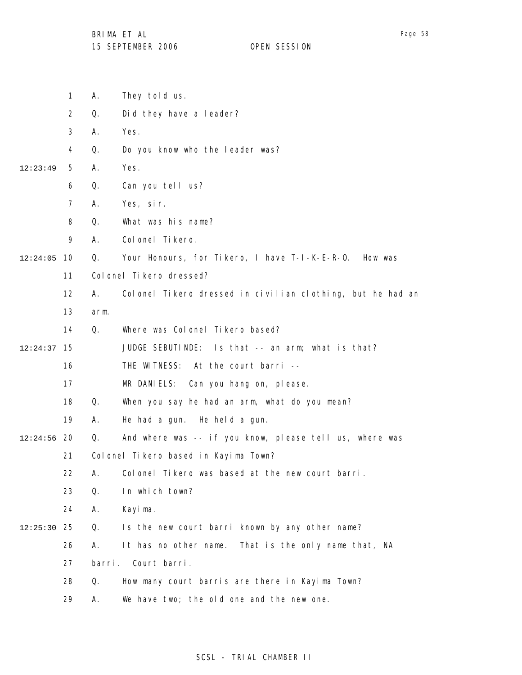Page 58

BRIMA ET AL 15 SEPTEMBER 2006 OPEN SESSION

|          | 1                 | Α.     | They told us.                                              |
|----------|-------------------|--------|------------------------------------------------------------|
|          | 2                 | Q.     | Did they have a leader?                                    |
|          | 3                 | Α.     | Yes.                                                       |
|          | 4                 | Q.     | Do you know who the leader was?                            |
| 12:23:49 | 5                 | Α.     | Yes.                                                       |
|          | 6                 | Q.     | Can you tell us?                                           |
|          | $\overline{7}$    | А.     | Yes, sir.                                                  |
|          | 8                 | Q.     | What was his name?                                         |
|          | 9                 | Α.     | Col onel Ti kero.                                          |
| 12:24:05 | 10                | Q.     | Your Honours, for Tikero, I have T-I-K-E-R-0. How was      |
|          | 11                |        | Col onel Ti kero dressed?                                  |
|          | $12 \overline{ }$ | А.     | Colonel Tikero dressed in civilian clothing, but he had an |
|          | 13                | arm.   |                                                            |
|          | 14                | Q.     | Where was Colonel Tikero based?                            |
| 12:24:37 | 15                |        | JUDGE SEBUTINDE: Is that -- an arm; what is that?          |
|          | 16                |        | THE WITNESS: At the court barri --                         |
|          | 17                |        | MR DANIELS: Can you hang on, please.                       |
|          | 18                | Q.     | When you say he had an arm, what do you mean?              |
|          | 19                | А.     | He had a gun. He held a gun.                               |
| 12:24:56 | 20                | Q.     | And where was -- if you know, please tell us, where was    |
|          | 21                |        | Colonel Tikero based in Kayima Town?                       |
|          | 22.               |        | A. Colonel Tikero was based at the new court barri         |
|          | 23                | Q.     | In which town?                                             |
|          | 24                | Α.     | Kayima.                                                    |
| 12:25:30 | 25                | Q.     | Is the new court barri known by any other name?            |
|          | 26                | Α.     | It has no other name. That is the only name that, NA       |
|          | 27                | barri. | Court barri.                                               |
|          | 28                | Q.     | How many court barris are there in Kayima Town?            |
|          | 29                | Α.     | We have two; the old one and the new one.                  |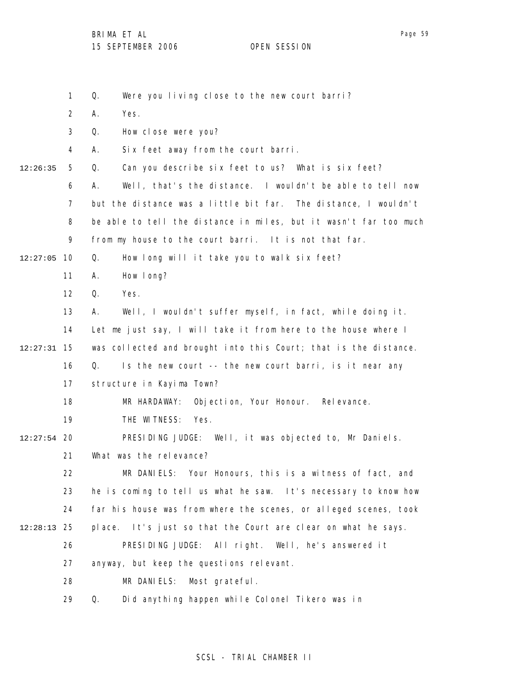1 2 3 4 5 6 7 8 9 12:27:05 10 11 12 13 14 15 12:27:31 16 17 18 19 12:27:54 20 21 22 23 24 25 12:28:13 26 27 28 29 12:26:35 Q. Were you living close to the new court barri? A. Yes. Q. How close were you? A. Six feet away from the court barri. Q. Can you describe six feet to us? What is six feet? A. Well, that's the distance. I wouldn't be able to tell now but the distance was a little bit far. The distance, I wouldn't be able to tell the distance in miles, but it wasn't far too much from my house to the court barri. It is not that far. Q. How long will it take you to walk six feet? A. How long? Q. Yes. A. Well, I wouldn't suffer myself, in fact, while doing it. Let me just say, I will take it from here to the house where I was collected and brought into this Court; that is the distance. Q. Is the new court -- the new court barri, is it near any structure in Kayima Town? MR HARDAWAY: Objection, Your Honour. Relevance. THE WITNESS: Yes. PRESIDING JUDGE: Well, it was objected to, Mr Daniels. What was the relevance? MR DANIELS: Your Honours, this is a witness of fact, and he is coming to tell us what he saw. It's necessary to know how far his house was from where the scenes, or alleged scenes, took place. It's just so that the Court are clear on what he says. PRESIDING JUDGE: All right. Well, he's answered it anyway, but keep the questions relevant. MR DANIELS: Most grateful. Q. Did anything happen while Colonel Tikero was in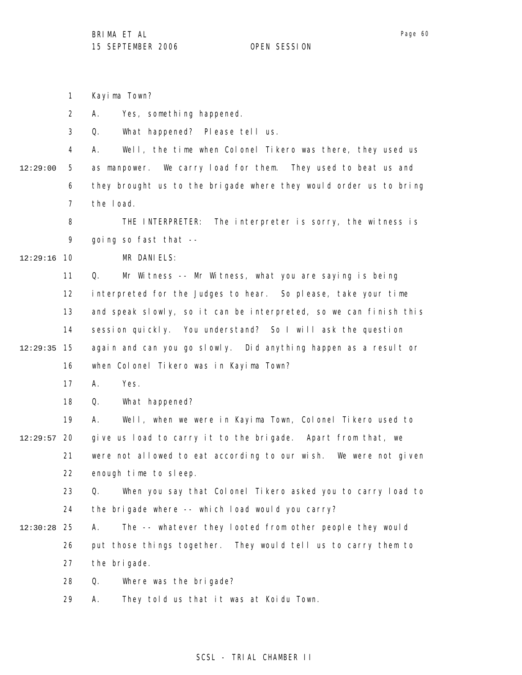Kayima Town?

1

2 3 4 5 6 7 8 9 10 12:29:16 11 12 13 14 15 12:29:35 16 17 18 19 12:29:57 20 21 22 23 24 25 12:30:28 26 27 28 29 12:29:00 A. Yes, something happened. Q. What happened? Please tell us. A. Well, the time when Colonel Tikero was there, they used us as manpower. We carry load for them. They used to beat us and they brought us to the brigade where they would order us to bring the load. THE INTERPRETER: The interpreter is sorry, the witness is going so fast that -- MR DANIELS: Q. Mr Witness -- Mr Witness, what you are saying is being interpreted for the Judges to hear. So please, take your time and speak slowly, so it can be interpreted, so we can finish this session quickly. You understand? So I will ask the question again and can you go slowly. Did anything happen as a result or when Colonel Tikero was in Kayima Town? A. Yes. Q. What happened? A. Well, when we were in Kayima Town, Colonel Tikero used to give us load to carry it to the brigade. Apart from that, we were not allowed to eat according to our wish. We were not given enough time to sleep. Q. When you say that Colonel Tikero asked you to carry load to the brigade where -- which load would you carry? A. The -- whatever they looted from other people they would put those things together. They would tell us to carry them to the brigade. Q. Where was the brigade? A. They told us that it was at Koidu Town.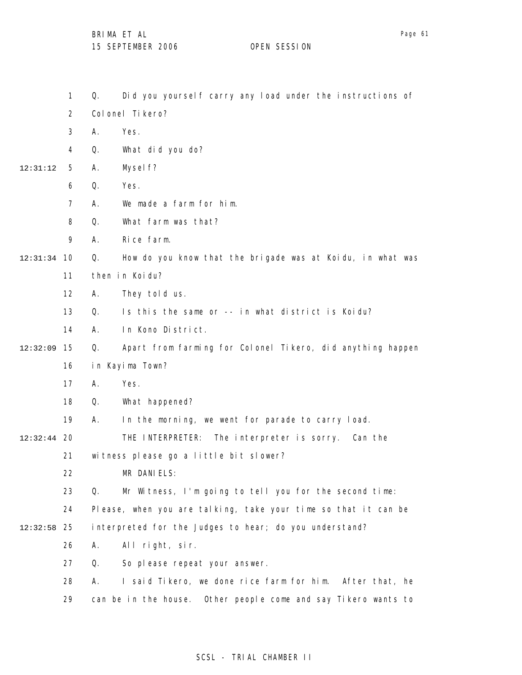1 2 3 4 5 6 7 8 9 10 12:31:34 11 12 13 14 15 12:32:09 16 17 18 19 12:32:44 20 21 22 23 24 25 12:32:58 26 27 28 29 12:31:12 Q. Did you yourself carry any load under the instructions of Colonel Tikero? A. Yes. Q. What did you do? A. Myself? Q. Yes. A. We made a farm for him. Q. What farm was that? A. Rice farm. Q. How do you know that the brigade was at Koidu, in what was then in Koidu? A. They told us. Q. Is this the same or -- in what district is Koidu? A. In Kono District. Q. Apart from farming for Colonel Tikero, did anything happen in Kayima Town? A. Yes. Q. What happened? A. In the morning, we went for parade to carry load. THE INTERPRETER: The interpreter is sorry. Can the witness please go a little bit slower? MR DANIELS: Q. Mr Witness, I'm going to tell you for the second time: Please, when you are talking, take your time so that it can be interpreted for the Judges to hear; do you understand? A. All right, sir. Q. So please repeat your answer. A. I said Tikero, we done rice farm for him. After that, he can be in the house. Other people come and say Tikero wants to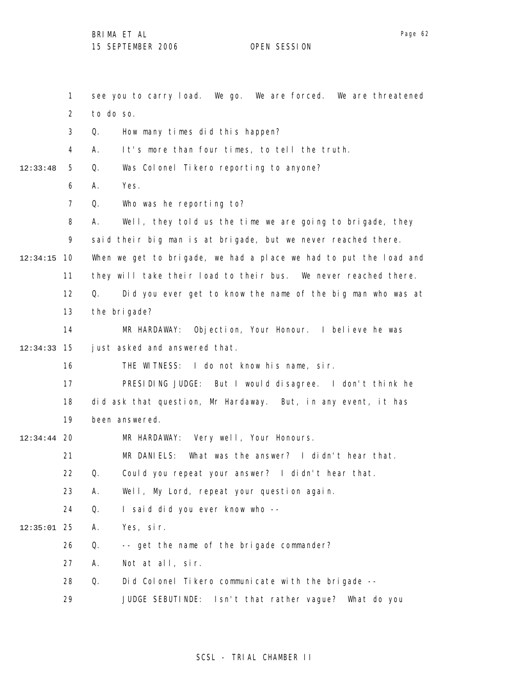1 2 3 4 5 6 7 8 9 10 12:34:15 11 12 13 14 15 12:34:33 16 17 18 19 12:34:44 20 21 22 23 24 25 12:35:01 26 27 28 29 12:33:48 see you to carry load. We go. We are forced. We are threatened to do so. Q. How many times did this happen? A. It's more than four times, to tell the truth. Q. Was Colonel Tikero reporting to anyone? A. Yes. Q. Who was he reporting to? A. Well, they told us the time we are going to brigade, they said their big man is at brigade, but we never reached there. When we get to brigade, we had a place we had to put the load and they will take their load to their bus. We never reached there. Q. Did you ever get to know the name of the big man who was at the brigade? MR HARDAWAY: Objection, Your Honour. I believe he was just asked and answered that. THE WITNESS: I do not know his name, sir. PRESIDING JUDGE: But I would disagree. I don't think he did ask that question, Mr Hardaway. But, in any event, it has been answered. MR HARDAWAY: Very well, Your Honours. MR DANIELS: What was the answer? I didn't hear that. Q. Could you repeat your answer? I didn't hear that. A. Well, My Lord, repeat your question again. Q. I said did you ever know who -- A. Yes, sir. Q. -- get the name of the brigade commander? A. Not at all, sir. Q. Did Colonel Tikero communicate with the brigade -- JUDGE SEBUTINDE: Isn't that rather vague? What do you

Page 62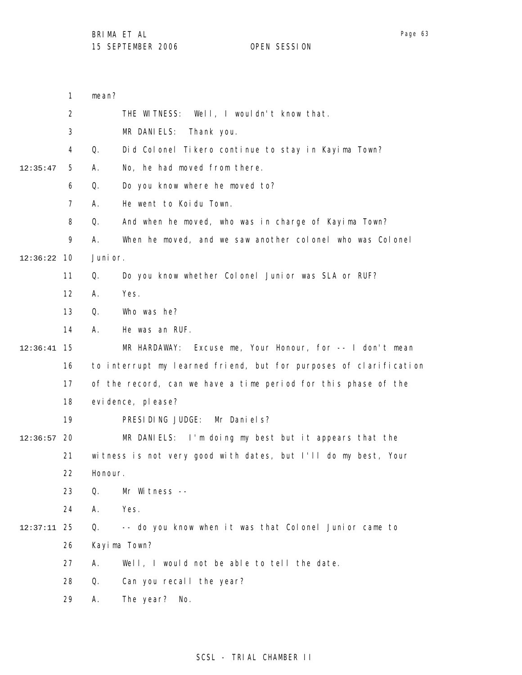|          | 1              | mean?    |                                                                   |
|----------|----------------|----------|-------------------------------------------------------------------|
|          | 2              |          | THE WITNESS: Well, I wouldn't know that.                          |
|          | 3              |          | MR DANIELS:<br>Thank you.                                         |
|          | 4              | Q.       | Did Colonel Tikero continue to stay in Kayima Town?               |
| 12:35:47 | 5              | Α.       | No, he had moved from there.                                      |
|          | 6              | Q.       | Do you know where he moved to?                                    |
|          | $\overline{7}$ | Α.       | He went to Koidu Town.                                            |
|          | 8              | Q.       | And when he moved, who was in charge of Kayima Town?              |
|          | 9              | А.       | When he moved, and we saw another colonel who was Colonel         |
| 12:36:22 | 10             | Juni or. |                                                                   |
|          | 11             | Q.       | Do you know whether Colonel Junior was SLA or RUF?                |
|          | 12             | Α.       | Yes.                                                              |
|          | 13             | Q.       | Who was he?                                                       |
|          | 14             | А.       | He was an RUF.                                                    |
| 12:36:41 | 15             |          | Excuse me, Your Honour, for -- I don't mean<br>MR HARDAWAY:       |
|          | 16             |          | to interrupt my learned friend, but for purposes of clarification |
|          | 17             |          | of the record, can we have a time period for this phase of the    |
|          | 18             |          | evi dence, pl ease?                                               |
|          | 19             |          | PRESIDING JUDGE: Mr Daniels?                                      |
| 12:36:57 | 20             |          | MR DANIELS: I'm doing my best but it appears that the             |
|          | 21             |          | witness is not very good with dates, but I'll do my best, Your    |
|          | 22             | Honour.  |                                                                   |
|          | 23             | Q.       | Mr Witness --                                                     |
|          | 24             | А.       | Yes.                                                              |
| 12:37:11 | 25             | Q.       | -- do you know when it was that Colonel Junior came to            |
|          | 26             |          | Kayima Town?                                                      |
|          | 27             | А.       | Well, I would not be able to tell the date.                       |
|          | 28             | Q.       | Can you recall the year?                                          |
|          | 29             | Α.       | The year?<br>No.                                                  |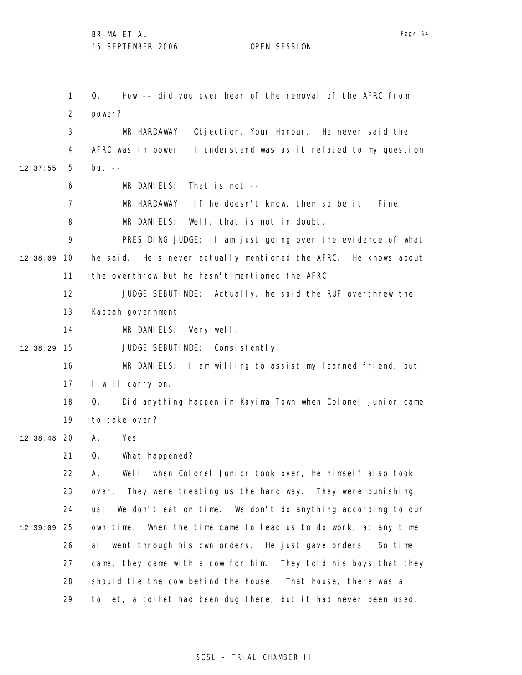1 2 3 4 5 6 7 8 9 10 12:38:09 11 12 13 14 15 12:38:29 16 17 18 19 12:38:48 20 21 22 23 24 25 12:39:09 26 27 28 29 12:37:55 Q. How -- did you ever hear of the removal of the AFRC from power? MR HARDAWAY: Objection, Your Honour. He never said the AFRC was in power. I understand was as it related to my question  $but --$ MR DANIELS: That is not -- MR HARDAWAY: If he doesn't know, then so be it. Fine. MR DANIELS: Well, that is not in doubt. PRESIDING JUDGE: I am just going over the evidence of what he said. He's never actually mentioned the AFRC. He knows about the overthrow but he hasn't mentioned the AFRC. JUDGE SEBUTINDE: Actually, he said the RUF overthrew the Kabbah government. MR DANIELS: Very well. JUDGE SEBUTINDE: Consistently. MR DANIELS: I am willing to assist my learned friend, but I will carry on. Q. Did anything happen in Kayima Town when Colonel Junior came to take over? A. Yes. Q. What happened? A. Well, when Colonel Junior took over, he himself also took over. They were treating us the hard way. They were punishing us. We don't eat on time. We don't do anything according to our own time. When the time came to lead us to do work, at any time all went through his own orders. He just gave orders. So time came, they came with a cow for him. They told his boys that they should tie the cow behind the house. That house, there was a toilet, a toilet had been dug there, but it had never been used.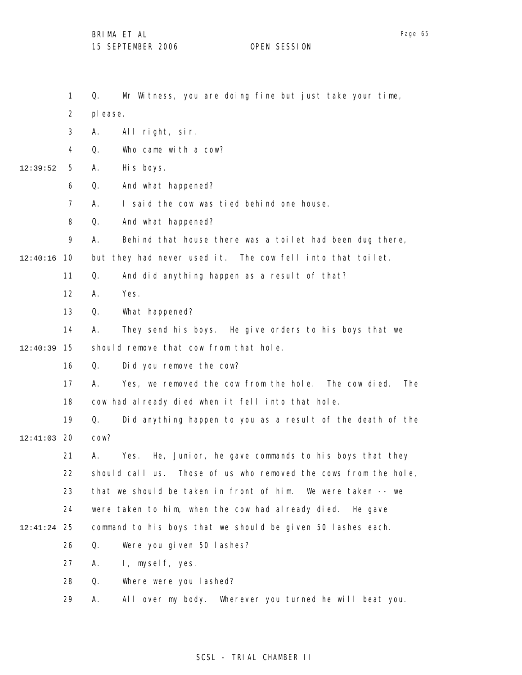1 2 3 4 5 6 7 8 9 10 12:40:16 11 12 13 14 15 12:40:39 16 17 18 19 12:41:03 20 21 22 23 24 25 12:41:24 26 27 28 29 12:39:52 Q. Mr Witness, you are doing fine but just take your time, please. A. All right, sir. Q. Who came with a cow? A. His boys. Q. And what happened? A. I said the cow was tied behind one house. Q. And what happened? A. Behind that house there was a toilet had been dug there, but they had never used it. The cow fell into that toilet. Q. And did anything happen as a result of that? A. Yes. Q. What happened? A. They send his boys. He give orders to his boys that we should remove that cow from that hole. Q. Did you remove the cow? A. Yes, we removed the cow from the hole. The cow died. The cow had already died when it fell into that hole. Q. Did anything happen to you as a result of the death of the cow? A. Yes. He, Junior, he gave commands to his boys that they should call us. Those of us who removed the cows from the hole, that we should be taken in front of him. We were taken -- we were taken to him, when the cow had already died. He gave command to his boys that we should be given 50 lashes each. Q. Were you given 50 lashes? A. I, myself, yes. Q. Where were you lashed? A. All over my body. Wherever you turned he will beat you.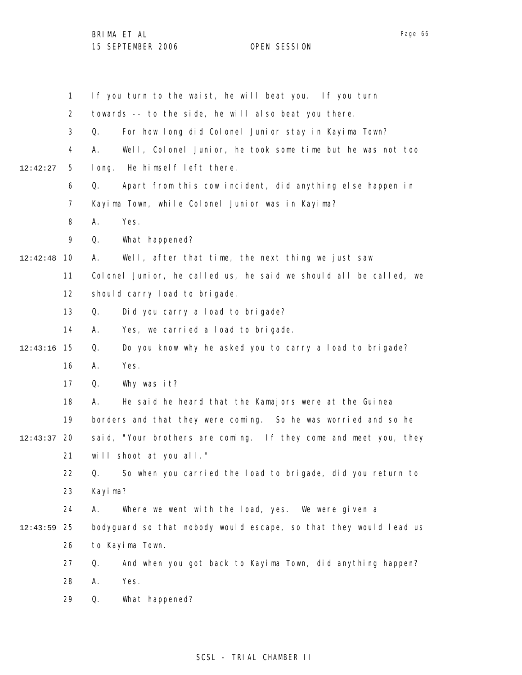|          | $\mathbf{1}$   | If you turn to the waist, he will beat you. If you turn           |
|----------|----------------|-------------------------------------------------------------------|
|          | $\overline{2}$ | towards -- to the side, he will also beat you there.              |
|          | 3              | For how long did Colonel Junior stay in Kayima Town?<br>Q.        |
|          | 4              | Well, Colonel Junior, he took some time but he was not too<br>А.  |
| 12:42:27 | 5              | long. He himself left there.                                      |
|          | 6              | Apart from this cow incident, did anything else happen in<br>Q.   |
|          | $\overline{7}$ | Kayima Town, while Colonel Junior was in Kayima?                  |
|          | 8              | Yes.<br>А.                                                        |
|          | 9              | Q.<br>What happened?                                              |
| 12:42:48 | 10             | Well, after that time, the next thing we just saw<br>А.           |
|          | 11             | Colonel Junior, he called us, he said we should all be called, we |
|          | 12             | should carry load to brigade.                                     |
|          | 13             | Did you carry a load to brigade?<br>Q.                            |
|          | 14             | Α.<br>Yes, we carried a load to brigade.                          |
| 12:43:16 | 15             | Do you know why he asked you to carry a load to brigade?<br>Q.    |
|          | 16             | Yes.<br>А.                                                        |
|          | 17             | Why was it?<br>Q.                                                 |
|          | 18             | He said he heard that the Kamajors were at the Guinea<br>А.       |
|          | 19             | borders and that they were coming. So he was worried and so he    |
| 12:43:37 | 20             | said, "Your brothers are coming. If they come and meet you, they  |
|          | 21             | will shoot at you all."                                           |
|          | 22             | So when you carried the load to brigade, did you return to<br>Q.  |
|          | 23             | Kayima?                                                           |
|          | 24             | Where we went with the load, yes. We were given a<br>Α.           |
| 12:43:59 | 25             | bodyguard so that nobody would escape, so that they would lead us |
|          | 26             | to Kayima Town.                                                   |
|          | 27             | And when you got back to Kayima Town, did anything happen?<br>Q.  |
|          | 28             | Yes.<br>Α.                                                        |
|          | 29             | Q.<br>What happened?                                              |
|          |                |                                                                   |

# SCSL - TRIAL CHAMBER II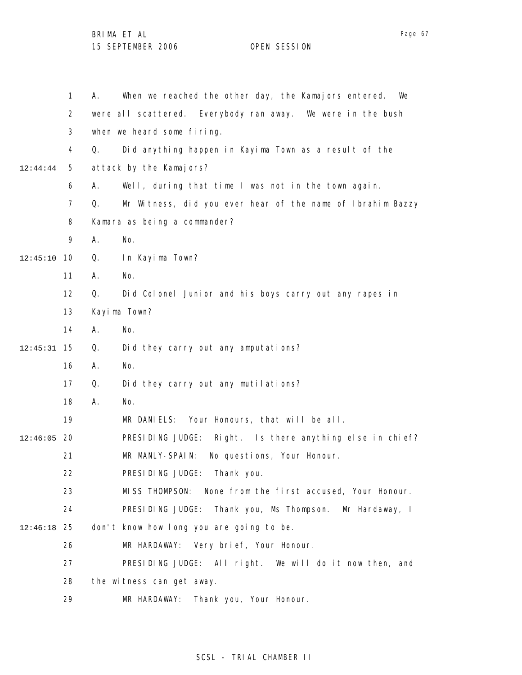1 2 3 4 5 6 7 8 9 10 12:45:10 11 12 13 14 15 12:45:31 16 17 18 19 12:46:05 20 21 22 23 24 25 12:46:18 26 27 28 29 12:44:44 A. When we reached the other day, the Kamajors entered. We were all scattered. Everybody ran away. We were in the bush when we heard some firing. Q. Did anything happen in Kayima Town as a result of the attack by the Kamajors? A. Well, during that time I was not in the town again. Q. Mr Witness, did you ever hear of the name of Ibrahim Bazzy Kamara as being a commander? A. No. Q. In Kayima Town? A. No. Q. Did Colonel Junior and his boys carry out any rapes in Kayima Town? A. No. Q. Did they carry out any amputations? A. No. Q. Did they carry out any mutilations? A. No. MR DANIELS: Your Honours, that will be all. PRESIDING JUDGE: Right. Is there anything else in chief? MR MANLY-SPAIN: No questions, Your Honour. PRESIDING JUDGE: Thank you. MISS THOMPSON: None from the first accused, Your Honour. PRESIDING JUDGE: Thank you, Ms Thompson. Mr Hardaway, I don't know how long you are going to be. MR HARDAWAY: Very brief, Your Honour. PRESIDING JUDGE: All right. We will do it now then, and the witness can get away. MR HARDAWAY: Thank you, Your Honour.

### SCSL - TRIAL CHAMBER II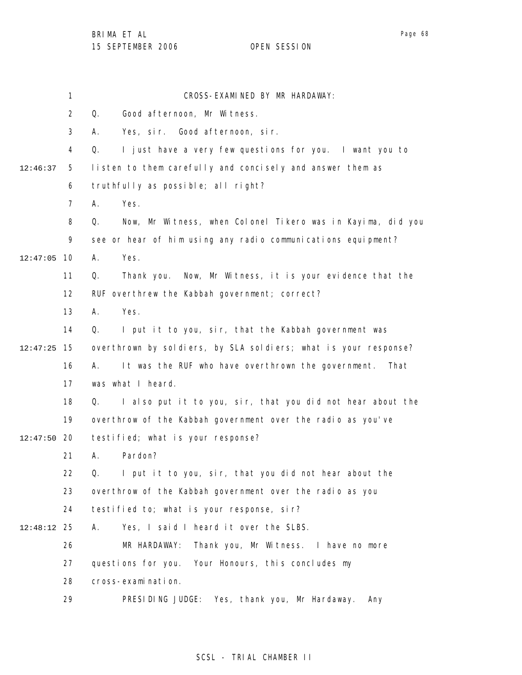1 2 3 4 5 6 7 8 9 12:47:05 10 11 12 13 14 15 12:47:25 16 17 18 19 12:47:50 20 21 22 23 24 25 12:48:12 26 27 28 29 12:46:37 CROSS-EXAMINED BY MR HARDAWAY: Q. Good afternoon, Mr Witness. A. Yes, sir. Good afternoon, sir. Q. I just have a very few questions for you. I want you to listen to them carefully and concisely and answer them as truthfully as possible; all right? A. Yes. Q. Now, Mr Witness, when Colonel Tikero was in Kayima, did you see or hear of him using any radio communications equipment? A. Yes. Q. Thank you. Now, Mr Witness, it is your evidence that the RUF overthrew the Kabbah government; correct? A. Yes. Q. I put it to you, sir, that the Kabbah government was overthrown by soldiers, by SLA soldiers; what is your response? A. It was the RUF who have overthrown the government. That was what I heard. Q. I also put it to you, sir, that you did not hear about the overthrow of the Kabbah government over the radio as you've testified; what is your response? A. Pardon? Q. I put it to you, sir, that you did not hear about the overthrow of the Kabbah government over the radio as you testified to; what is your response, sir? A. Yes, I said I heard it over the SLBS. MR HARDAWAY: Thank you, Mr Witness. I have no more questions for you. Your Honours, this concludes my cross-examination. PRESIDING JUDGE: Yes, thank you, Mr Hardaway. Any

### SCSL - TRIAL CHAMBER II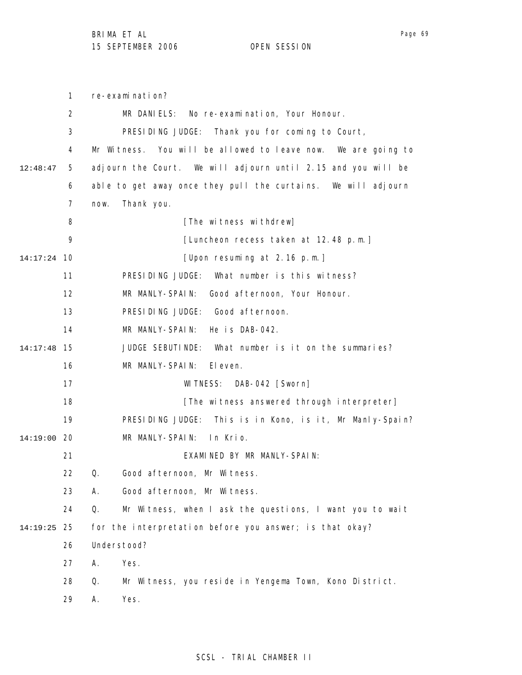re-examination?

1

2 3 4 5 6 7 8 9 10 14:17:24 11 12 13 14 15 14:17:48 16 17 18 19 20 14:19:00 21 22 23 24 25 14:19:25 26 27 28 29 12:48:47 MR DANIELS: No re-examination, Your Honour. PRESIDING JUDGE: Thank you for coming to Court, Mr Witness. You will be allowed to leave now. We are going to adjourn the Court. We will adjourn until 2.15 and you will be able to get away once they pull the curtains. We will adjourn now. Thank you. [The witness withdrew] [Luncheon recess taken at 12.48 p.m.] [Upon resuming at 2.16 p.m.] PRESIDING JUDGE: What number is this witness? MR MANLY-SPAIN: Good afternoon, Your Honour. PRESIDING JUDGE: Good afternoon. MR MANLY-SPAIN: He is DAB-042. JUDGE SEBUTINDE: What number is it on the summaries? MR MANLY-SPAIN: Eleven. WITNESS: DAB-042 [Sworn] [The witness answered through interpreter] PRESIDING JUDGE: This is in Kono, is it, Mr Manly-Spain? MR MANLY-SPAIN: In Krio. EXAMINED BY MR MANLY-SPAIN: Q. Good afternoon, Mr Witness. A. Good afternoon, Mr Witness. Q. Mr Witness, when I ask the questions, I want you to wait for the interpretation before you answer; is that okay? Understood? A. Yes. Q. Mr Witness, you reside in Yengema Town, Kono District. A. Yes.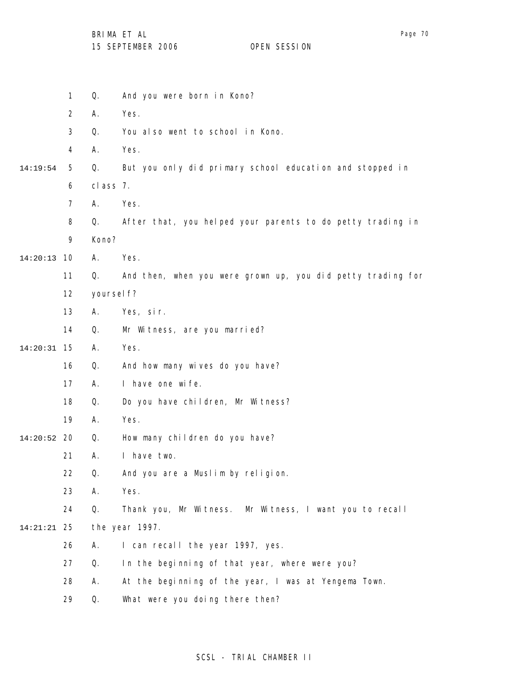|          | $\mathbf{1}$   | Q.         | And you were born in Kono?                                  |
|----------|----------------|------------|-------------------------------------------------------------|
|          | $\overline{2}$ | Α.         | Yes.                                                        |
|          | 3              | Q.         | You also went to school in Kono.                            |
|          | 4              | Α.         | Yes.                                                        |
| 14:19:54 | 5              | Q.         | But you only did primary school education and stopped in    |
|          | 6              | class 7.   |                                                             |
|          | $\overline{7}$ | Α.         | Yes.                                                        |
|          | 8              | Q.         | After that, you helped your parents to do petty trading in  |
|          | 9              | Kono?      |                                                             |
| 14:20:13 | 10             | Α.         | Yes.                                                        |
|          | 11             | Q.         | And then, when you were grown up, you did petty trading for |
|          | 12             | yoursel f? |                                                             |
|          | 13             | Α.         | Yes, sir.                                                   |
|          | 14             | Q.         | Mr Witness, are you married?                                |
| 14:20:31 | 15             | Α.         | Yes.                                                        |
|          | 16             | Q.         | And how many wives do you have?                             |
|          | 17             | Α.         | I have one wife.                                            |
|          | 18             | Q.         | Do you have children, Mr Witness?                           |
|          | 19             | Α.         | Yes.                                                        |
| 14:20:52 | -20            | Q.         | How many children do you have?                              |
|          | 21             | А.         | I have two.                                                 |
|          | 22             | Q.         | And you are a Muslim by religion.                           |
|          | 23             | А.         | Yes.                                                        |
|          | 24             | Q.         | Thank you, Mr Witness. Mr Witness, I want you to recall     |
| 14:21:21 | -25            |            | the year 1997.                                              |
|          | 26             | Α.         | I can recall the year 1997, yes.                            |
|          | 27             | Q.         | In the beginning of that year, where were you?              |
|          | 28             | Α.         | At the beginning of the year, I was at Yengema Town.        |
|          | 29             | Q.         | What were you doing there then?                             |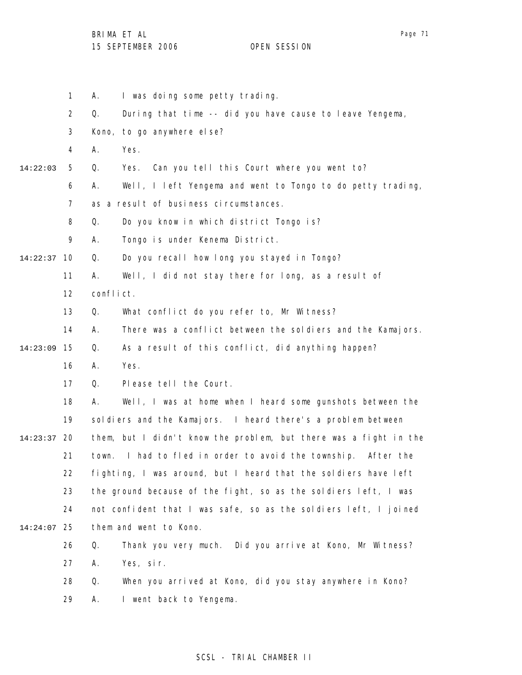|          | $\mathbf{1}$   | I was doing some petty trading.<br>А.                               |  |
|----------|----------------|---------------------------------------------------------------------|--|
|          | 2              | Q.<br>During that time -- did you have cause to leave Yengema,      |  |
|          | 3              | Kono, to go anywhere el se?                                         |  |
|          | 4              | Yes.<br>А.                                                          |  |
| 14:22:03 | 5              | Yes. Can you tell this Court where you went to?<br>Q.               |  |
|          | 6              | Well, I left Yengema and went to Tongo to do petty trading,<br>А.   |  |
|          | $\overline{7}$ | as a result of business circumstances.                              |  |
|          | 8              | Do you know in which district Tongo is?<br>Q.                       |  |
|          | 9              | Tongo is under Kenema District.<br>А.                               |  |
| 14:22:37 | 10             | Do you recall how long you stayed in Tongo?<br>Q.                   |  |
|          | 11             | Α.<br>Well, I did not stay there for long, as a result of           |  |
|          | 12             | conflict.                                                           |  |
|          | 13             | Q.<br>What conflict do you refer to, Mr Witness?                    |  |
|          | 14             | There was a conflict between the soldiers and the Kamajors.<br>А.   |  |
| 14:23:09 | 15             | As a result of this conflict, did anything happen?<br>Q.            |  |
|          | 16             | Yes.<br>Α.                                                          |  |
|          | 17             | Q.<br>Please tell the Court.                                        |  |
|          | 18             | Well, I was at home when I heard some gunshots between the<br>А.    |  |
|          | 19             | soldiers and the Kamajors. I heard there's a problem between        |  |
| 14:23:37 | 20             | them, but I didn't know the problem, but there was a fight in the   |  |
|          | 21             | I had to fled in order to avoid the township.<br>After the<br>town. |  |
|          | 22             | fighting, I was around, but I heard that the soldiers have left     |  |
|          | 23             | the ground because of the fight, so as the soldiers left, I was     |  |
|          | 24             | not confident that I was safe, so as the soldiers left, I joined    |  |
| 14:24:07 | 25             | them and went to Kono.                                              |  |
|          | 26             | Thank you very much. Did you arrive at Kono, Mr Witness?<br>Q.      |  |
|          | 27             | Yes, sir.<br>Α.                                                     |  |
|          | 28             | Q.<br>When you arrived at Kono, did you stay anywhere in Kono?      |  |
|          | 29             | I went back to Yengema.<br>Α.                                       |  |

# SCSL - TRIAL CHAMBER II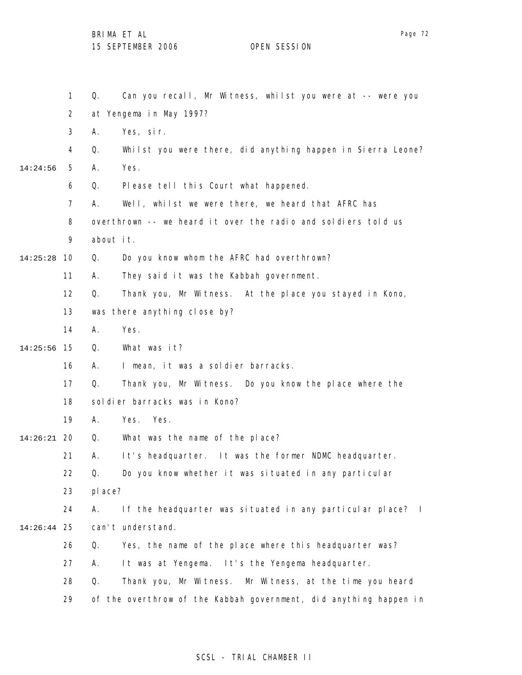1 2 3 4 5 6 7 8 9 10 14:25:28 11 12 13 14 15 14:25:56 16 17 18 19 20 14:26:21 21 22 23 24 25 14:26:44 26 27 28 29 14:24:56 Q. Can you recall, Mr Witness, whilst you were at -- were you at Yengema in May 1997? A. Yes, sir. Q. Whilst you were there, did anything happen in Sierra Leone? A. Yes. Q. Please tell this Court what happened. A. Well, whilst we were there, we heard that AFRC has overthrown -- we heard it over the radio and soldiers told us about it. Q. Do you know whom the AFRC had overthrown? A. They said it was the Kabbah government. Q. Thank you, Mr Witness. At the place you stayed in Kono, was there anything close by? A. Yes. Q. What was it? A. I mean, it was a soldier barracks. Q. Thank you, Mr Witness. Do you know the place where the soldier barracks was in Kono? A. Yes. Yes. Q. What was the name of the place? A. It's headquarter. It was the former NDMC headquarter. Q. Do you know whether it was situated in any particular place? A. If the headquarter was situated in any particular place? I can't understand. Q. Yes, the name of the place where this headquarter was? A. It was at Yengema. It's the Yengema headquarter. Q. Thank you, Mr Witness. Mr Witness, at the time you heard of the overthrow of the Kabbah government, did anything happen in

### SCSL - TRIAL CHAMBER II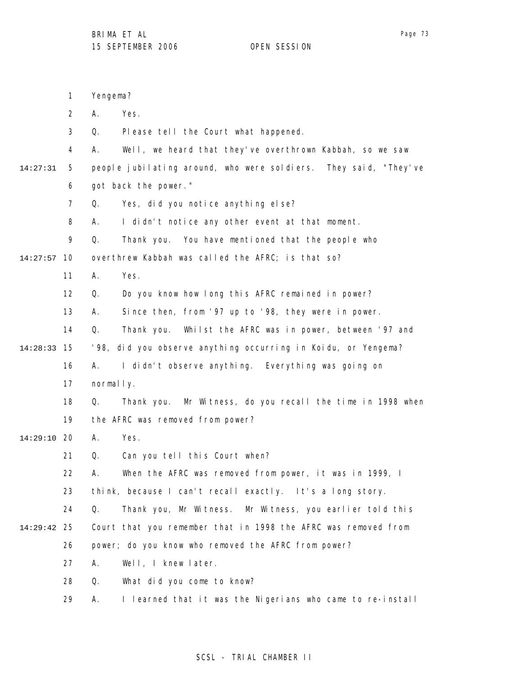1 2 3 4 5 6 7 8 9 10 14:27:57 11 12 13 14 15 14:28:33 16 17 18 19 20 14:29:10 21 22 23 24 25 14:29:42 26 27 28 14:27:31 Yengema? A. Yes. Q. Please tell the Court what happened. A. Well, we heard that they've overthrown Kabbah, so we saw people jubilating around, who were soldiers. They said, "They've got back the power." Q. Yes, did you notice anything else? A. I didn't notice any other event at that moment. Q. Thank you. You have mentioned that the people who overthrew Kabbah was called the AFRC; is that so? A. Yes. Q. Do you know how long this AFRC remained in power? A. Since then, from '97 up to '98, they were in power. Q. Thank you. Whilst the AFRC was in power, between '97 and '98, did you observe anything occurring in Koidu, or Yengema? A. I didn't observe anything. Everything was going on normally. Q. Thank you. Mr Witness, do you recall the time in 1998 when the AFRC was removed from power? A. Yes. Q. Can you tell this Court when? A. When the AFRC was removed from power, it was in 1999, I think, because I can't recall exactly. It's a long story. Q. Thank you, Mr Witness. Mr Witness, you earlier told this Court that you remember that in 1998 the AFRC was removed from power; do you know who removed the AFRC from power? A. Well, I knew later. Q. What did you come to know?

> 29 A. I learned that it was the Nigerians who came to re-install

Page 73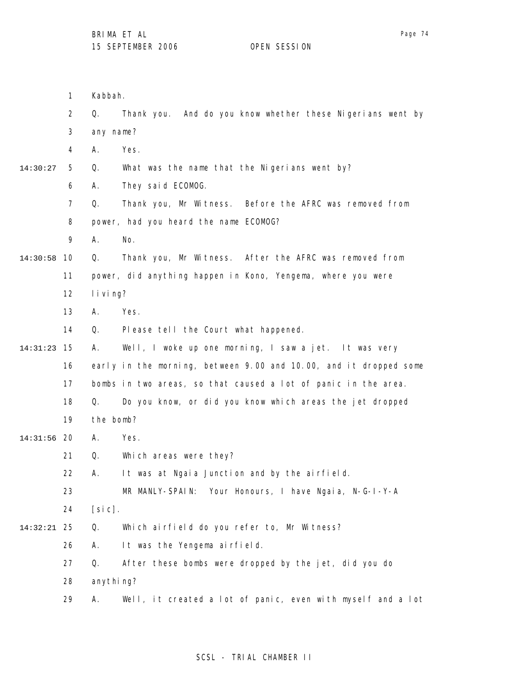Page 74

1 Kabbah.

|               | $\overline{2}$ | Q.         | Thank you. And do you know whether these Nigerians went by        |
|---------------|----------------|------------|-------------------------------------------------------------------|
|               | 3              | any name?  |                                                                   |
|               | 4              | А.         | Yes.                                                              |
| 14:30:27      | 5              | Q.         | What was the name that the Nigerians went by?                     |
|               | 6              | А.         | They said ECOMOG.                                                 |
|               | $\overline{7}$ | Q.         | Thank you, Mr Witness. Before the AFRC was removed from           |
|               | 8              |            | power, had you heard the name ECOMOG?                             |
|               | 9              | Α.         | No.                                                               |
| 14:30:58      | 10             | Q.         | Thank you, Mr Witness. After the AFRC was removed from            |
|               | 11             |            | power, did anything happen in Kono, Yengema, where you were       |
|               | 12             | l i vi ng? |                                                                   |
|               | 13             | Α.         | Yes.                                                              |
|               | 14             | Q.         | Please tell the Court what happened.                              |
| 14:31:23      | 15             | А.         | Well, I woke up one morning, I saw a jet. It was very             |
|               | 16             |            | early in the morning, between 9.00 and 10.00, and it dropped some |
|               | 17             |            | bombs in two areas, so that caused a lot of panic in the area.    |
|               | 18             | Q.         | Do you know, or did you know which areas the jet dropped          |
|               | 19             | the bomb?  |                                                                   |
| $14:31:56$ 20 |                | Α.         | Yes.                                                              |
|               | 21             | Q.         | Which areas were they?                                            |
|               | 22             | А.         | It was at Ngaia Junction and by the airfield.                     |
|               | 23             |            | MR MANLY-SPAIN: Your Honours, I have Ngaia, N-G-I-Y-A             |
|               | 24             | $[sic]$ .  |                                                                   |
| 14:32:21      | 25             | Q.         | Which airfield do you refer to, Mr Witness?                       |
|               | 26             | А.         | It was the Yengema airfield.                                      |
|               | 27             | Q.         | After these bombs were dropped by the jet, did you do             |
|               | 28             | anythi ng? |                                                                   |
|               | 29             | А.         | Well, it created a lot of panic, even with myself and a lot       |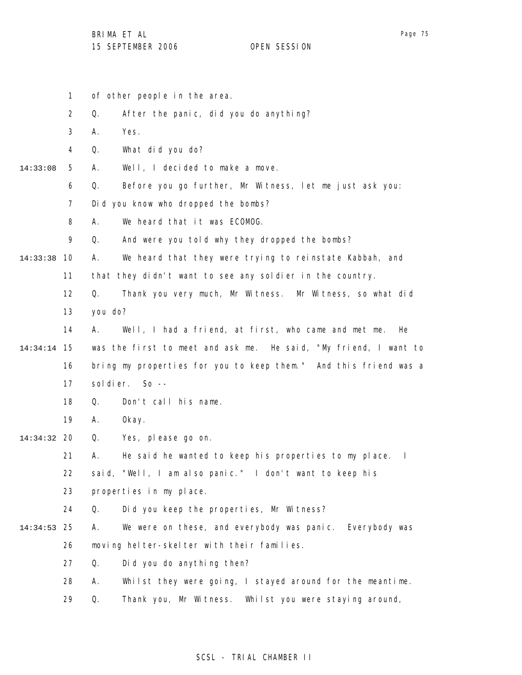Page 75

BRIMA ET AL 15 SEPTEMBER 2006 OPEN SESSION

- 1 of other people in the area.
- 2 Q. After the panic, did you do anything?
- 3 A. Yes.
- 4 Q. What did you do?
- 5 14:33:08 A. Well, I decided to make a move.
	- 6 Q. Before you go further, Mr Witness, let me just ask you:
	- 7 Did you know who dropped the bombs?
	- 8 A. We heard that it was ECOMOG.
	- 9 Q. And were you told why they dropped the bombs?
- 10 14:33:38 A. We heard that they were trying to reinstate Kabbah, and
	- 11 that they didn't want to see any soldier in the country.
		- 12 13 Q. Thank you very much, Mr Witness. Mr Witness, so what did you do?
- 14 15 14:34:14 16 17 A. Well, I had a friend, at first, who came and met me. He was the first to meet and ask me. He said, "My friend, I want to bring my properties for you to keep them." And this friend was a soldier. So --
	- 18 Q. Don't call his name.
	- 19 A. Okay.
- 20 14:34:32 Q. Yes, please go on.
	- 21 A. He said he wanted to keep his properties to my place. I
	- 22 said, "Well, I am also panic." I don't want to keep his
	- 23 properties in my place.
	- 24 Q. Did you keep the properties, Mr Witness?
- 25 14:34:53 26 A. We were on these, and everybody was panic. Everybody was moving helter-skelter with their families.
	- 27 Q. Did you do anything then?
	- 28 A. Whilst they were going, I stayed around for the meantime.
	- 29 Q. Thank you, Mr Witness. Whilst you were staying around,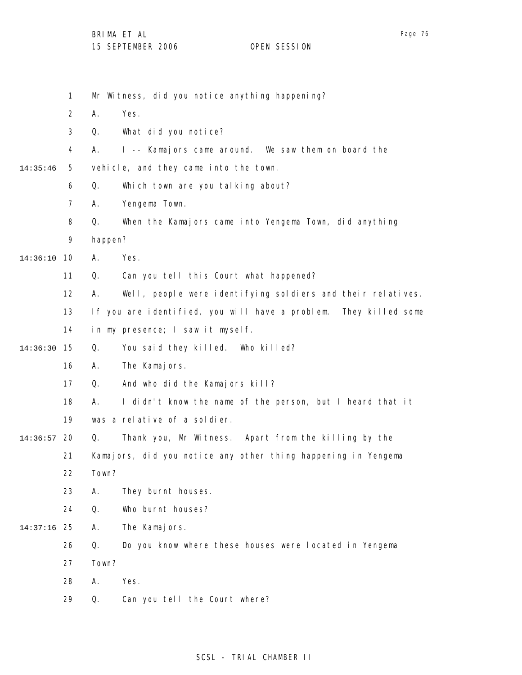|          | 1              |         | Mr Witness, did you notice anything happening?                   |
|----------|----------------|---------|------------------------------------------------------------------|
|          | $\overline{2}$ | Α.      | Yes.                                                             |
|          | 3              | Q.      | What did you notice?                                             |
|          | 4              | А.      | I -- Kamajors came around. We saw them on board the              |
| 14:35:46 | 5              |         | vehicle, and they came into the town.                            |
|          | 6              | Q.      | Which town are you talking about?                                |
|          | $\overline{7}$ | А.      | Yengema Town.                                                    |
|          | 8              | Q.      | When the Kamajors came into Yengema Town, did anything           |
|          | 9              | happen? |                                                                  |
| 14:36:10 | 10             | Α.      | Yes.                                                             |
|          | 11             | Q.      | Can you tell this Court what happened?                           |
|          | 12             | Α.      | Well, people were identifying soldiers and their relatives.      |
|          | 13             |         | If you are identified, you will have a problem. They killed some |
|          | 14             |         | in my presence; I saw it myself.                                 |
| 14:36:30 | 15             | Q.      | You said they killed. Who killed?                                |
|          | 16             | А.      | The Kamajors.                                                    |
|          | 17             | Q.      | And who did the Kamajors kill?                                   |
|          | 18             | А.      | I didn't know the name of the person, but I heard that it        |
|          | 19             |         | was a relative of a soldier.                                     |
| 14:36:57 | 20             | Q.      | Thank you, Mr Witness. Apart from the killing by the             |
|          | 21             |         | Kamajors, did you notice any other thing happening in Yengema    |
|          | 22             | Town?   |                                                                  |
|          | 23             | Α.      | They burnt houses.                                               |
|          | 24             | Q.      | Who burnt houses?                                                |
| 14:37:16 | 25             | Α.      | The Kamajors.                                                    |
|          | 26             | Q.      | Do you know where these houses were located in Yengema           |
|          | 27             | Town?   |                                                                  |
|          | 28             | Α.      | Yes.                                                             |
|          | 29             | Q.      | Can you tell the Court where?                                    |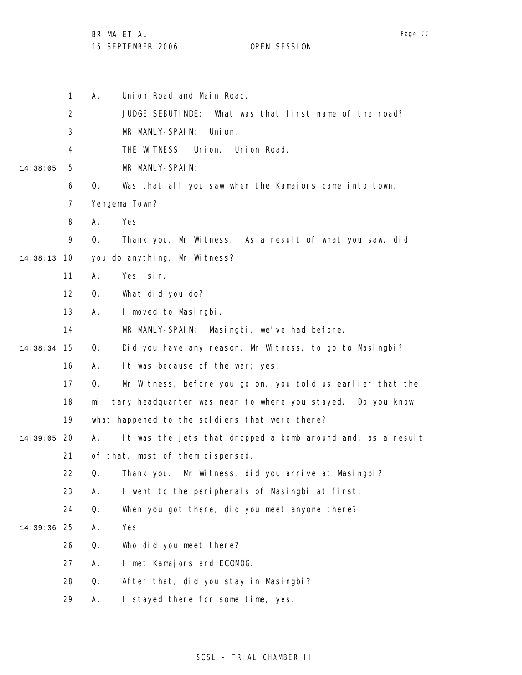|          | $\mathbf{1}$   | А. | Uni on Road and Main Road.                                     |
|----------|----------------|----|----------------------------------------------------------------|
|          | $\overline{2}$ |    | JUDGE SEBUTINDE:<br>What was that first name of the road?      |
|          | 3              |    | MR MANLY-SPAIN:<br>Uni on.                                     |
|          | 4              |    | THE WITNESS: Union.<br>Uni on Road.                            |
| 14:38:05 | 5              |    | MR MANLY-SPAIN:                                                |
|          | 6              | Q. | Was that all you saw when the Kamajors came into town,         |
|          | $\overline{7}$ |    | Yengema Town?                                                  |
|          | 8              | Α. | Yes.                                                           |
|          | 9              | Q. | Thank you, Mr Witness. As a result of what you saw, did        |
| 14:38:13 | 10             |    | you do anything, Mr Witness?                                   |
|          | 11             | Α. | Yes, sir.                                                      |
|          | 12             | Q. | What did you do?                                               |
|          | 13             | А. | I moved to Masingbi.                                           |
|          | 14             |    | MR MANLY-SPAIN: Masingbi, we've had before.                    |
| 14:38:34 | 15             | Q. | Did you have any reason, Mr Witness, to go to Masingbi?        |
|          | 16             | А. | It was because of the war; yes.                                |
|          | 17             | Q. | Mr Witness, before you go on, you told us earlier that the     |
|          | 18             |    | military headquarter was near to where you stayed. Do you know |
|          | 19             |    | what happened to the soldiers that were there?                 |
| 14:39:05 | 20             | А. | It was the jets that dropped a bomb around and, as a result    |
|          | 21             |    | of that, most of them dispersed.                               |
|          | 22             | Q. | Mr Witness, did you arrive at Masingbi?<br>Thank you.          |
|          | 23             | Α. | I went to the peripherals of Masingbi at first.                |
|          | 24             | Q. | When you got there, did you meet anyone there?                 |
| 14:39:36 | 25             | Α. | Yes.                                                           |
|          | 26             | Q. | Who did you meet there?                                        |
|          | 27             | Α. | I met Kamajors and ECOMOG.                                     |
|          | 28             | Q. | After that, did you stay in Masingbi?                          |
|          | 29             | А. | I stayed there for some time, yes.                             |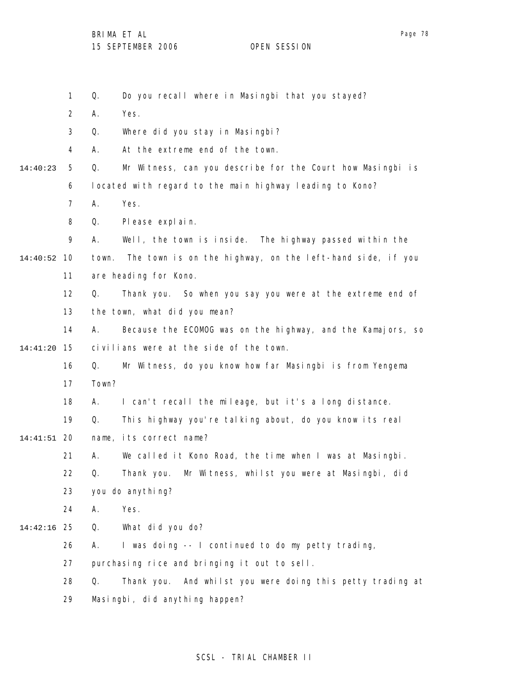1

2 3 4 5 6 7 8 9 10 14:40:52 11 12 13 14 15 14:41:20 16 17 18 19 20 14:41:51 21 22 23 24 25 14:42:16 26 27 28 29 14:40:23 A. Yes. Q. Where did you stay in Masingbi? A. At the extreme end of the town. Q. Mr Witness, can you describe for the Court how Masingbi is located with regard to the main highway leading to Kono? A. Yes. Q. Please explain. A. Well, the town is inside. The highway passed within the town. The town is on the highway, on the left-hand side, if you are heading for Kono. Q. Thank you. So when you say you were at the extreme end of the town, what did you mean? A. Because the ECOMOG was on the highway, and the Kamajors, so civilians were at the side of the town. Q. Mr Witness, do you know how far Masingbi is from Yengema Town? A. I can't recall the mileage, but it's a long distance. Q. This highway you're talking about, do you know its real name, its correct name? A. We called it Kono Road, the time when I was at Masingbi. Q. Thank you. Mr Witness, whilst you were at Masingbi, did you do anything? A. Yes. Q. What did you do? A. I was doing -- I continued to do my petty trading, purchasing rice and bringing it out to sell. Q. Thank you. And whilst you were doing this petty trading at Masingbi, did anything happen?

Q. Do you recall where in Masingbi that you stayed?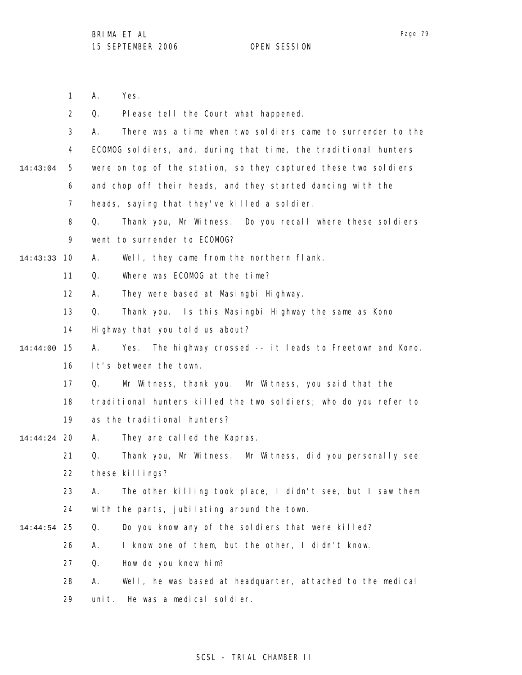1 A. Yes.

|             | $\overline{2}$ | Q.<br>Please tell the Court what happened.                        |
|-------------|----------------|-------------------------------------------------------------------|
|             | 3              | There was a time when two soldiers came to surrender to the<br>А. |
|             | 4              | ECOMOG soldiers, and, during that time, the traditional hunters   |
| 14:43:04    | 5              | were on top of the station, so they captured these two soldiers   |
|             | 6              | and chop off their heads, and they started dancing with the       |
|             | $\overline{7}$ | heads, saying that they've killed a soldier.                      |
|             | 8              | Thank you, Mr Witness. Do you recall where these soldiers<br>Q.   |
|             | 9              | went to surrender to ECOMOG?                                      |
| 14:43:33    | -10            | Well, they came from the northern flank.<br>А.                    |
|             | 11             | Q.<br>Where was ECOMOG at the time?                               |
|             | 12             | They were based at Masingbi Highway.<br>А.                        |
|             | 13             | Thank you. Is this Masingbi Highway the same as Kono<br>Q.        |
|             | 14             | Highway that you told us about?                                   |
| 14:44:00    | 15             | Yes. The highway crossed -- it leads to Freetown and Kono.<br>А.  |
|             | 16             | It's between the town.                                            |
|             | 17             | Mr Witness, thank you. Mr Witness, you said that the<br>Q.        |
|             | 18             | traditional hunters killed the two soldiers; who do you refer to  |
|             | 19             | as the traditional hunters?                                       |
| 14:44:24 20 |                | А.<br>They are called the Kapras.                                 |
|             | 21             | Thank you, Mr Witness. Mr Witness, did you personally see<br>Q.   |
|             | 22             | these killings?                                                   |
|             | 23             | The other killing took place, I didn't see, but I saw them<br>А.  |
|             | 24             | with the parts, jubilating around the town.                       |
| 14:44:54    | 25             | Do you know any of the soldiers that were killed?<br>Q.           |
|             | 26             | I know one of them, but the other, I didn't know.<br>Α.           |
|             | 27             | Q.<br>How do you know him?                                        |
|             | 28             | Well, he was based at headquarter, attached to the medical<br>А.  |
|             | 29             | He was a medical soldier.<br>uni t.                               |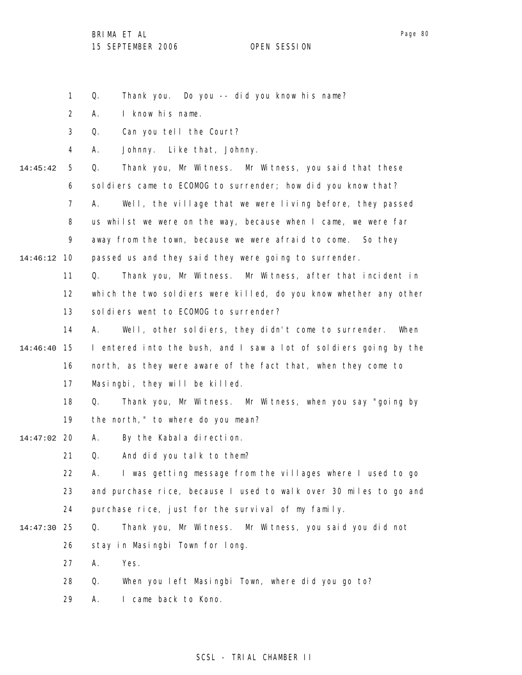Page 80

1 Q. Thank you. Do you -- did you know his name?

2 A. I know his name.

3 Q. Can you tell the Court?

4 A. Johnny. Like that, Johnny.

5 6 7 8 9 10 14:46:12 14:45:42 Q. Thank you, Mr Witness. Mr Witness, you said that these soldiers came to ECOMOG to surrender; how did you know that? A. Well, the village that we were living before, they passed us whilst we were on the way, because when I came, we were far away from the town, because we were afraid to come. So they passed us and they said they were going to surrender.

> 11 12 13 Q. Thank you, Mr Witness. Mr Witness, after that incident in which the two soldiers were killed, do you know whether any other sol diers went to ECOMOG to surrender?

14 15 14:46:40 16 17 A. Well, other soldiers, they didn't come to surrender. When I entered into the bush, and I saw a lot of soldiers going by the north, as they were aware of the fact that, when they come to Masingbi, they will be killed.

18 19 Q. Thank you, Mr Witness. Mr Witness, when you say "going by the north," to where do you mean?

20 14:47:02 A. By the Kabala direction.

> 21 Q. And did you talk to them?

22 23 24 A. I was getting message from the villages where I used to go and purchase rice, because I used to walk over 30 miles to go and purchase rice, just for the survival of my family.

- 25 14:47:30 26 Q. Thank you, Mr Witness. Mr Witness, you said you did not stay in Masingbi Town for long.
	- 27 A. Yes.
	- 28 Q. When you left Masingbi Town, where did you go to?
	- 29 A. I came back to Kono.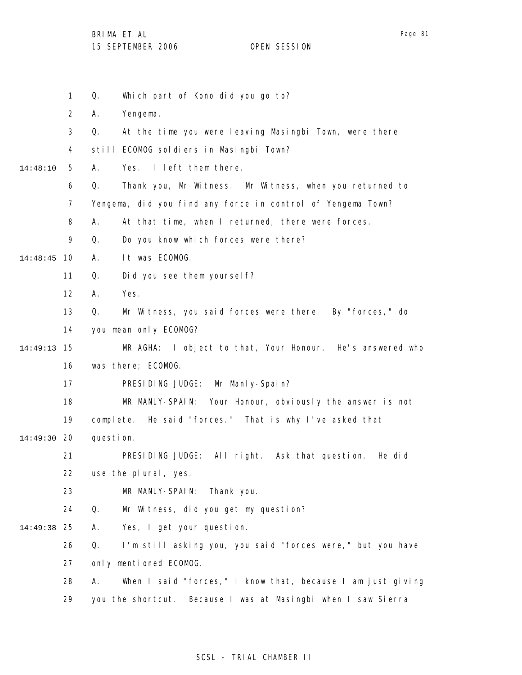1 2 3 4 5 6 7 8 9 10 14:48:45 11 12 13 14 15 14:49:13 16 17 18 19 20 14:49:30 21 22 23 24 25 14:49:38 26 27 28 29 14:48:10 Q. Which part of Kono did you go to? A. Yengema. Q. At the time you were leaving Masingbi Town, were there still ECOMOG soldiers in Masingbi Town? A. Yes. I left them there. Q. Thank you, Mr Witness. Mr Witness, when you returned to Yengema, did you find any force in control of Yengema Town? A. At that time, when I returned, there were forces. Q. Do you know which forces were there? A. It was ECOMOG. Q. Did you see them yourself? A. Yes. Q. Mr Witness, you said forces were there. By "forces," do you mean only ECOMOG? MR AGHA: I object to that, Your Honour. He's answered who was there; ECOMOG. PRESIDING JUDGE: Mr Manly-Spain? MR MANLY-SPAIN: Your Honour, obviously the answer is not complete. He said "forces." That is why I've asked that question. PRESIDING JUDGE: All right. Ask that question. He did use the plural, yes. MR MANLY-SPAIN: Thank you. Q. Mr Witness, did you get my question? A. Yes, I get your question. Q. I'm still asking you, you said "forces were," but you have only mentioned ECOMOG. A. When I said "forces," I know that, because I am just giving you the shortcut. Because I was at Masingbi when I saw Sierra

## Page 81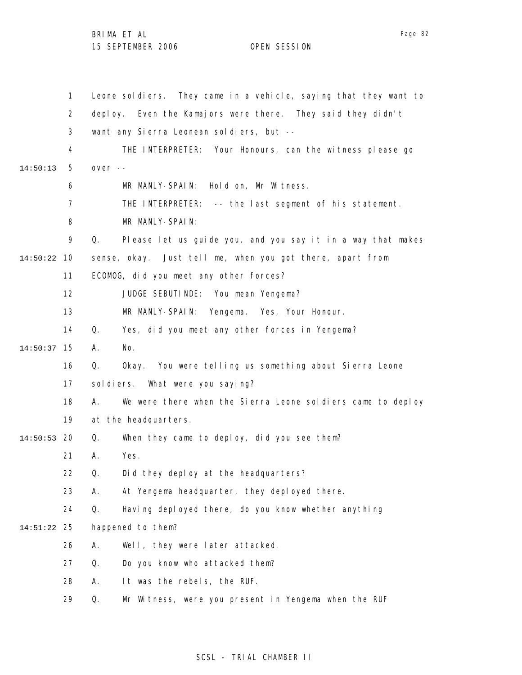1 2 3 4 5 6 7 8 9 10 14:50:22 11 12 13 14 15 14:50:37 16 17 18 19 20 14:50:53 21 22 23 24 25 14:51:22 26 27 28 29 14:50:13 Leone soldiers. They came in a vehicle, saying that they want to deploy. Even the Kamajors were there. They said they didn't want any Sierra Leonean sol diers, but --THE INTERPRETER: Your Honours, can the witness please go over -- MR MANLY-SPAIN: Hold on, Mr Witness. THE INTERPRETER: -- the last segment of his statement. MR MANLY-SPAIN: Q. Please let us guide you, and you say it in a way that makes sense, okay. Just tell me, when you got there, apart from ECOMOG, did you meet any other forces? JUDGE SEBUTINDE: You mean Yengema? MR MANLY-SPAIN: Yengema. Yes, Your Honour. Q. Yes, did you meet any other forces in Yengema? A. No. Q. Okay. You were telling us something about Sierra Leone sol diers. What were you saying? A. We were there when the Sierra Leone soldiers came to deploy at the headquarters. Q. When they came to deploy, did you see them? A. Yes. Q. Did they deploy at the headquarters? A. At Yengema headquarter, they deployed there. Q. Having deployed there, do you know whether anything happened to them? A. Well, they were later attacked. Q. Do you know who attacked them? A. It was the rebels, the RUF. Q. Mr Witness, were you present in Yengema when the RUF

#### SCSL - TRIAL CHAMBER II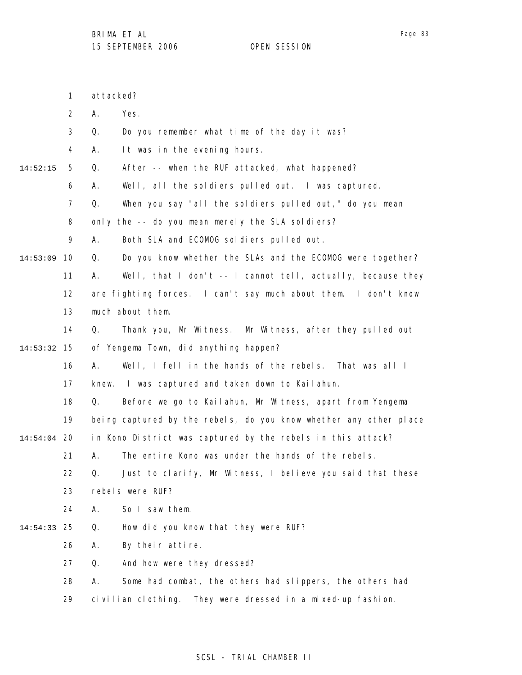- 1 attacked?
- 2 A. Yes.
- 3 Q. Do you remember what time of the day it was?
- 4 A. It was in the evening hours.
- 5 14:52:15 Q. After -- when the RUF attacked, what happened?
	- 6 A. Well, all the soldiers pulled out. I was captured.
	- 7 Q. When you say "all the soldiers pulled out," do you mean
	- 8 only the -- do you mean merely the SLA soldiers?
	- 9 A. Both SLA and ECOMOG soldiers pulled out.
- 10 14:53:09 Q. Do you know whether the SLAs and the ECOMOG were together?
	- 11 A. Well, that I don't -- I cannot tell, actually, because they
	- 12 13 are fighting forces. I can't say much about them. I don't know much about them.
- 14 15 14:53:32 Q. Thank you, Mr Witness. Mr Witness, after they pulled out of Yengema Town, did anything happen?
	- 16 17 A. Well, I fell in the hands of the rebels. That was all I knew. I was captured and taken down to Kailahun.
	- 18 Q. Before we go to Kailahun, Mr Witness, apart from Yengema
	- 19 being captured by the rebels, do you know whether any other place
- 20 14:54:04 in Kono District was captured by the rebels in this attack?
	- 21 A. The entire Kono was under the hands of the rebels.
	- 22 Q. Just to clarify, Mr Witness, I believe you said that these
	- 23 rebels were RUF?
	- 24 A. So I saw them.
- 25 14:54:33 Q. How did you know that they were RUF?
	- 26 A. By their attire.
	- 27 Q. And how were they dressed?
	- 28 A. Some had combat, the others had slippers, the others had
	- 29 civilian clothing. They were dressed in a mixed-up fashion.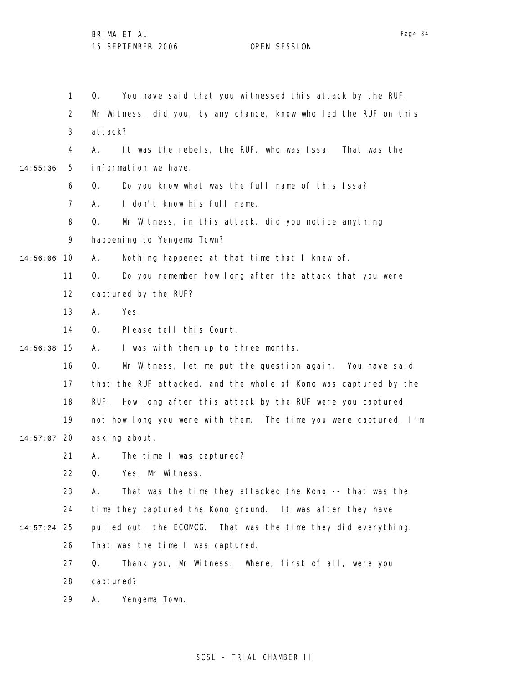1 2 3 4 5 6 7 8 9 14:56:06 10 11 12 13 14 15 14:56:38 16 17 18 19 20 14:57:07 21 22 23 24 25 14:57:24 26 27 28 14:55:36 Q. You have said that you witnessed this attack by the RUF. Mr Witness, did you, by any chance, know who led the RUF on this attack? A. It was the rebels, the RUF, who was Issa. That was the information we have. Q. Do you know what was the full name of this Issa? A. I don't know his full name. Q. Mr Witness, in this attack, did you notice anything happening to Yengema Town? A. Nothing happened at that time that I knew of. Q. Do you remember how long after the attack that you were captured by the RUF? A. Yes. Q. Please tell this Court. A. I was with them up to three months. Q. Mr Witness, let me put the question again. You have said that the RUF attacked, and the whole of Kono was captured by the RUF. How long after this attack by the RUF were you captured, not how long you were with them. The time you were captured, I'm asking about. A. The time I was captured? Q. Yes, Mr Witness. A. That was the time they attacked the Kono -- that was the time they captured the Kono ground. It was after they have pulled out, the ECOMOG. That was the time they did everything. That was the time I was captured. Q. Thank you, Mr Witness. Where, first of all, were you captured?

> 29 A. Yengema Town.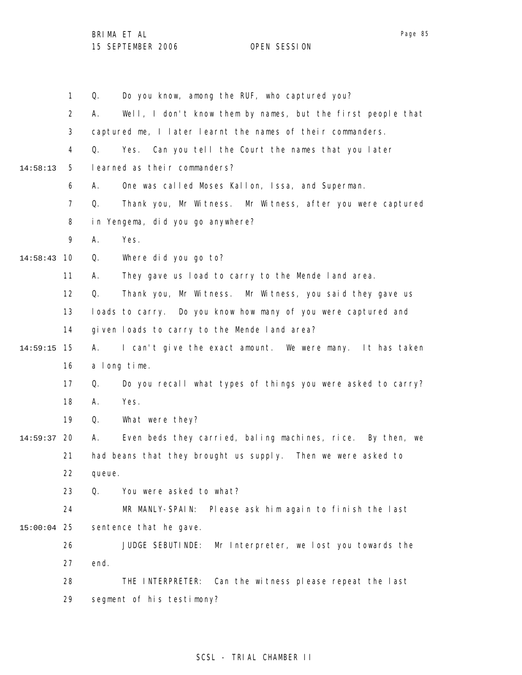1 2 3 4 5 6 7 8 9 10 14:58:43 11 12 13 14 15 14:59:15 16 17 18 19 20 14:59:37 21 22 23 24 25 15:00:04 26 27 28 29 14:58:13 Q. Do you know, among the RUF, who captured you? A. Well, I don't know them by names, but the first people that captured me, I later learnt the names of their commanders. Q. Yes. Can you tell the Court the names that you later learned as their commanders? A. One was called Moses Kallon, Issa, and Superman. Q. Thank you, Mr Witness. Mr Witness, after you were captured in Yengema, did you go anywhere? A. Yes. Q. Where did you go to? A. They gave us load to carry to the Mende land area. Q. Thank you, Mr Witness. Mr Witness, you said they gave us loads to carry. Do you know how many of you were captured and given loads to carry to the Mende land area? A. I can't give the exact amount. We were many. It has taken a long time. Q. Do you recall what types of things you were asked to carry? A. Yes. Q. What were they? A. Even beds they carried, baling machines, rice. By then, we had beans that they brought us supply. Then we were asked to queue. Q. You were asked to what? MR MANLY-SPAIN: Please ask him again to finish the last sentence that he gave. JUDGE SEBUTINDE: Mr Interpreter, we lost you towards the end. THE INTERPRETER: Can the witness please repeat the last segment of his testimony?

### SCSL - TRIAL CHAMBER II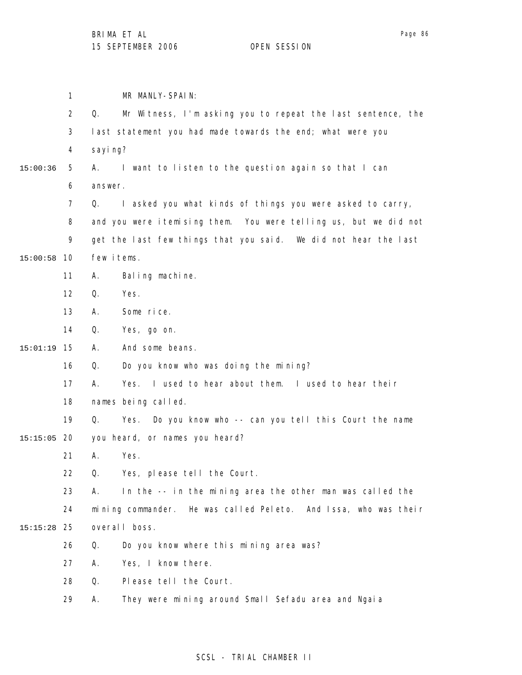1 2 3 4 5 6 7 8 9 10 15:00:58 11 12 13 14 15 15:01:19 16 17 18 19 20 15:15:05 21 22 23 24 25 15:15:28 26 27 28 29 15:00:36 MR MANLY-SPAIN: Q. Mr Witness, I'm asking you to repeat the last sentence, the last statement you had made towards the end; what were you saying? A. I want to listen to the question again so that I can answer. Q. I asked you what kinds of things you were asked to carry, and you were itemising them. You were telling us, but we did not get the last few things that you said. We did not hear the last few items. A. Baling machine. Q. Yes. A. Some rice. Q. Yes, go on. A. And some beans. Q. Do you know who was doing the mining? A. Yes. I used to hear about them. I used to hear their names being called. Q. Yes. Do you know who -- can you tell this Court the name you heard, or names you heard? A. Yes. Q. Yes, please tell the Court. A. In the -- in the mining area the other man was called the mining commander. He was called Peleto. And Issa, who was their overall boss. Q. Do you know where this mining area was? A. Yes, I know there. Q. Please tell the Court. A. They were mining around Small Sefadu area and Ngaia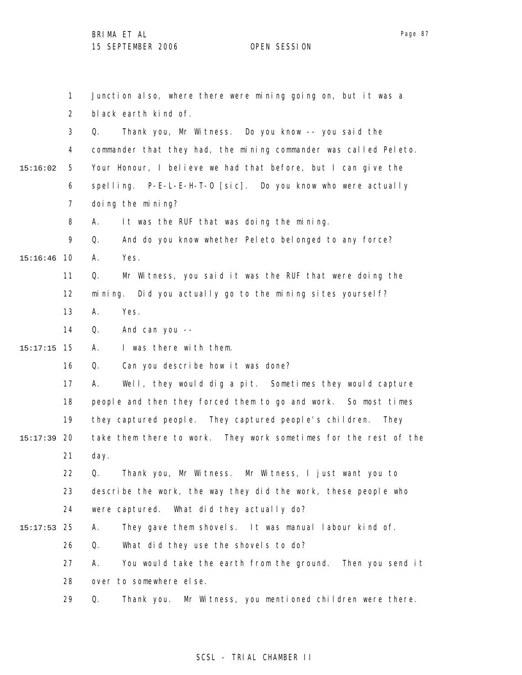1 2 3 4 5 6 7 8 9 10 15:16:46 11 12 13 14 15 15:17:15 16 17 18 19 20 15:17:39 21 22 23 24 25 15:17:53 26 27 28 29 15:16:02 Junction also, where there were mining going on, but it was a black earth kind of. Q. Thank you, Mr Witness. Do you know -- you said the commander that they had, the mining commander was called Peleto. Your Honour, I believe we had that before, but I can give the spelling. P-E-L-E-H-T-O [sic]. Do you know who were actually doing the mining? A. It was the RUF that was doing the mining. Q. And do you know whether Peleto belonged to any force? A. Yes. Q. Mr Witness, you said it was the RUF that were doing the mining. Did you actually go to the mining sites yourself? A. Yes. Q. And can you -- A. I was there with them. Q. Can you describe how it was done? A. Well, they would dig a pit. Sometimes they would capture people and then they forced them to go and work. So most times they captured people. They captured people's children. They take them there to work. They work sometimes for the rest of the day. Q. Thank you, Mr Witness. Mr Witness, I just want you to describe the work, the way they did the work, these people who were captured. What did they actually do? A. They gave them shovels. It was manual labour kind of. Q. What did they use the shovels to do? A. You would take the earth from the ground. Then you send it over to somewhere else. Q. Thank you. Mr Witness, you mentioned children were there.

#### SCSL - TRIAL CHAMBER II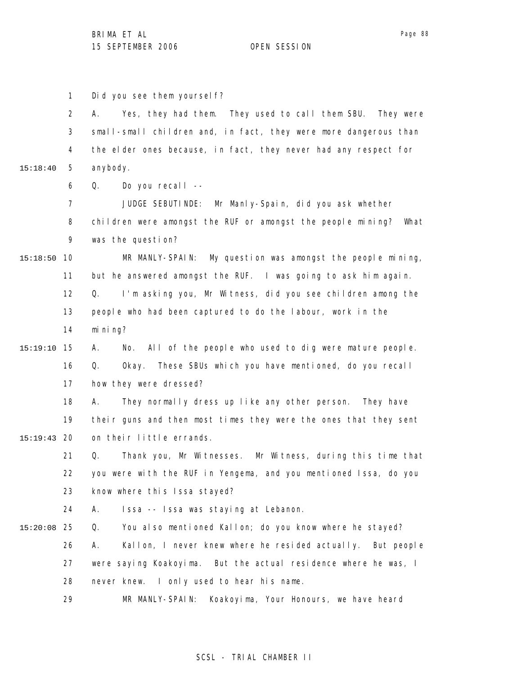1 Did you see them yourself?

2 3 4 5 6 15:18:40 A. Yes, they had them. They used to call them SBU. They were small-small children and, in fact, they were more dangerous than the elder ones because, in fact, they never had any respect for anybody. Q. Do you recall --

7 8 9 JUDGE SEBUTINDE: Mr Manly-Spain, did you ask whether children were amongst the RUF or amongst the people mining? What was the question?

10 15:18:50 11 12 13 14 MR MANLY-SPAIN: My question was amongst the people mining, but he answered amongst the RUF. I was going to ask him again. Q. I'm asking you, Mr Witness, did you see children among the people who had been captured to do the labour, work in the mining?

#### 15 15:19:10 16 17 A. No. All of the people who used to dig were mature people. Q. Okay. These SBUs which you have mentioned, do you recall how they were dressed?

18 19 20 15:19:43 A. They normally dress up like any other person. They have their guns and then most times they were the ones that they sent on their little errands.

21 22 23 Q. Thank you, Mr Witnesses. Mr Witness, during this time that you were with the RUF in Yengema, and you mentioned Issa, do you know where this Issa stayed?

24 A. Issa -- Issa was staying at Lebanon.

25 15:20:08 26 27 28 Q. You also mentioned Kallon; do you know where he stayed? A. Kallon, I never knew where he resided actually. But people were saying Koakoyima. But the actual residence where he was, I never knew. I only used to hear his name.

29 MR MANLY-SPAIN: Koakoyima, Your Honours, we have heard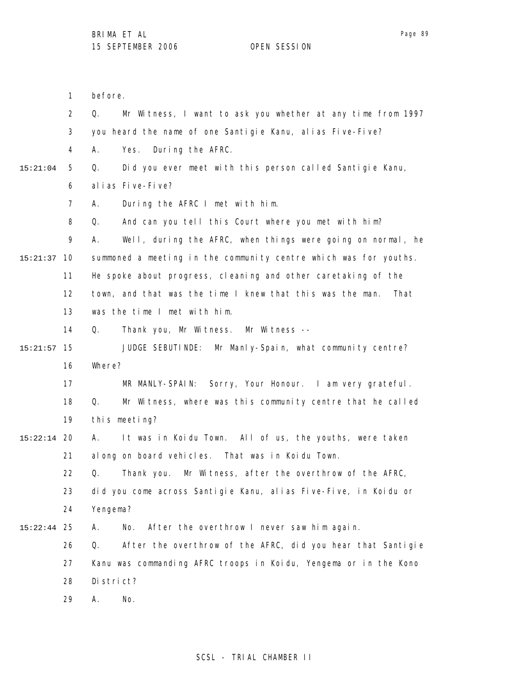Page 89

1 before.

|               | $\overline{2}$ | Mr Witness, I want to ask you whether at any time from 1997<br>Q. |
|---------------|----------------|-------------------------------------------------------------------|
|               | 3              | you heard the name of one Santigie Kanu, alias Five-Five?         |
|               | 4              | Yes.<br>А.<br>During the AFRC.                                    |
| 15:21:04      | 5              | Q.<br>Did you ever meet with this person called Santigie Kanu,    |
|               | 6              | alias Five-Five?                                                  |
|               | $\overline{7}$ | During the AFRC I met with him.<br>А.                             |
|               | 8              | And can you tell this Court where you met with him?<br>Q.         |
|               | 9              | Well, during the AFRC, when things were going on normal, he<br>А. |
| 15:21:37      | 10             | summoned a meeting in the community centre which was for youths.  |
|               | 11             | He spoke about progress, cleaning and other caretaking of the     |
|               | 12             | town, and that was the time I knew that this was the man.<br>That |
|               | 13             | was the time I met with him.                                      |
|               | 14             | Q.<br>Thank you, Mr Witness. Mr Witness --                        |
| 15:21:57      | 15             | JUDGE SEBUTINDE: Mr Manly-Spain, what community centre?           |
|               | 16             | Where?                                                            |
|               | 17             | MR MANLY-SPAIN: Sorry, Your Honour. I am very grateful.           |
|               | 18             | Mr Witness, where was this community centre that he called<br>Q.  |
|               | 19             | this meeting?                                                     |
| $15:22:14$ 20 |                | It was in Koidu Town. All of us, the youths, were taken<br>А.     |
|               | 21             | al ong on board vehicles. That was in Koidu Town.                 |
|               | 22             | Q.<br>Mr Witness, after the overthrow of the AFRC,<br>Thank you.  |
|               | 23             | did you come across Santigie Kanu, alias Five-Five, in Koidu or   |
|               | 24             | Yengema?                                                          |
| $15:22:44$ 25 |                | No.<br>After the overthrow I never saw him again.<br>А.           |
|               | 26             | Q.<br>After the overthrow of the AFRC, did you hear that Santigie |
|               | 27             | Kanu was commanding AFRC troops in Koidu, Yengema or in the Kono  |
|               | 28             | Di stri ct?                                                       |
|               | 29             | No.<br>А.                                                         |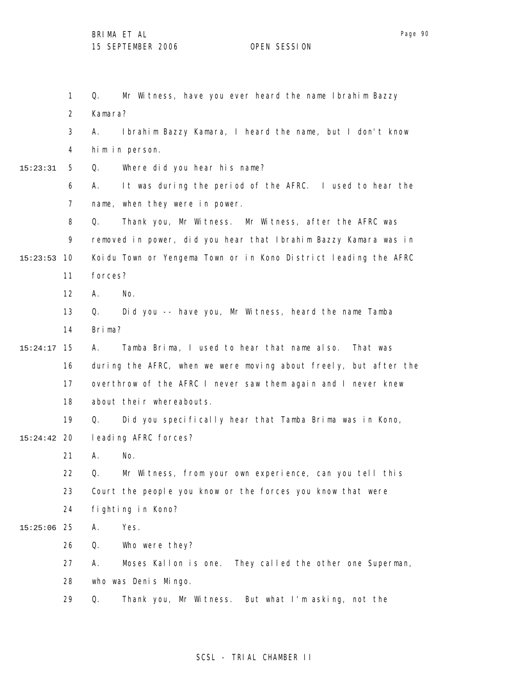1 2 3 4 5 6 7 8 9 10 15:23:53 11 12 13 14 15 15:24:17 16 17 18 19 20 15:24:42 21 22 23 24 25 15:25:06 26 27 28 29 15:23:31 Q. Mr Witness, have you ever heard the name Ibrahim Bazzy Kamara? A. Ibrahim Bazzy Kamara, I heard the name, but I don't know him in person. Q. Where did you hear his name? A. It was during the period of the AFRC. I used to hear the name, when they were in power. Q. Thank you, Mr Witness. Mr Witness, after the AFRC was removed in power, did you hear that Ibrahim Bazzy Kamara was in Koidu Town or Yengema Town or in Kono District leading the AFRC forces? A. No. Q. Did you -- have you, Mr Witness, heard the name Tamba Brima? A. Tamba Brima, I used to hear that name also. That was during the AFRC, when we were moving about freely, but after the overthrow of the AFRC I never saw them again and I never knew about their whereabouts. Q. Did you specifically hear that Tamba Brima was in Kono, leading AFRC forces? A. No. Q. Mr Witness, from your own experience, can you tell this Court the people you know or the forces you know that were fighting in Kono? A. Yes. Q. Who were they? A. Moses Kallon is one. They called the other one Superman, who was Denis Mingo. Q. Thank you, Mr Witness. But what I'm asking, not the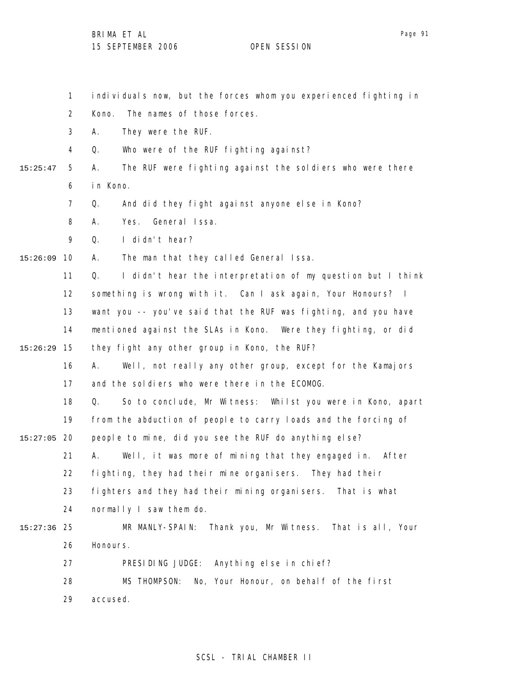2 3 4 Kono. The names of those forces. A. They were the RUF. Q. Who were of the RUF fighting against?

individuals now, but the forces whom you experienced fighting in

A. The RUF were fighting against the soldiers who were there

5 15:25:47

1

6

in Kono.

7 Q. And did they fight against anyone else in Kono?

8 A. Yes. General Issa.

9 Q. I didn't hear?

10 15:26:09 A. The man that they called General Issa.

11 12 13 14 15 15:26:29 16 Q. I didn't hear the interpretation of my question but I think something is wrong with it. Can I ask again, Your Honours? I want you -- you've said that the RUF was fighting, and you have mentioned against the SLAs in Kono. Were they fighting, or did they fight any other group in Kono, the RUF? A. Well, not really any other group, except for the Kamajors

17 and the soldiers who were there in the ECOMOG.

18 19 20 15:27:05 Q. So to conclude, Mr Witness: Whilst you were in Kono, apart from the abduction of people to carry loads and the forcing of people to mine, did you see the RUF do anything else?

21 22 A. Well, it was more of mining that they engaged in. After fighting, they had their mine organisers. They had their

23 fighters and they had their mining organisers. That is what

24 normally I saw them do.

25 15:27:36 26 MR MANLY-SPAIN: Thank you, Mr Witness. That is all, Your Honours.

> 27 PRESIDING JUDGE: Anything else in chief?

28 MS THOMPSON: No, Your Honour, on behalf of the first

29 accused.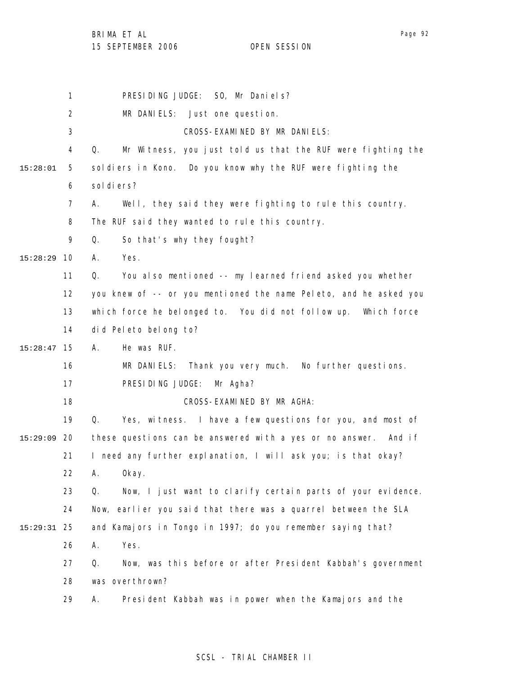BRIMA ET AL

15 SEPTEMBER 2006 OPEN SESSION

Page 92

1 2 3 4 5 6 7 8 9 10 15:28:29 11 12 13 14 15 15:28:47 16 17 18 19 20 15:29:09 21 22 23 24 25 15:29:31 26 27 28 29 15:28:01 PRESIDING JUDGE: SO, Mr Daniels? MR DANIELS: Just one question. CROSS-EXAMINED BY MR DANIELS: Q. Mr Witness, you just told us that the RUF were fighting the soldiers in Kono. Do you know why the RUF were fighting the sol di ers? A. Well, they said they were fighting to rule this country. The RUF said they wanted to rule this country. Q. So that's why they fought? A. Yes. Q. You also mentioned -- my learned friend asked you whether you knew of -- or you mentioned the name Peleto, and he asked you which force he belonged to. You did not follow up. Which force did Peleto belong to? A. He was RUF. MR DANIELS: Thank you very much. No further questions. PRESIDING JUDGE: Mr Agha? CROSS-EXAMINED BY MR AGHA: Q. Yes, witness. I have a few questions for you, and most of these questions can be answered with a yes or no answer. And if I need any further explanation, I will ask you; is that okay? A. Okay. Q. Now, I just want to clarify certain parts of your evidence. Now, earlier you said that there was a quarrel between the SLA and Kamajors in Tongo in 1997; do you remember saying that? A. Yes. Q. Now, was this before or after President Kabbah's government was overthrown? A. President Kabbah was in power when the Kamajors and the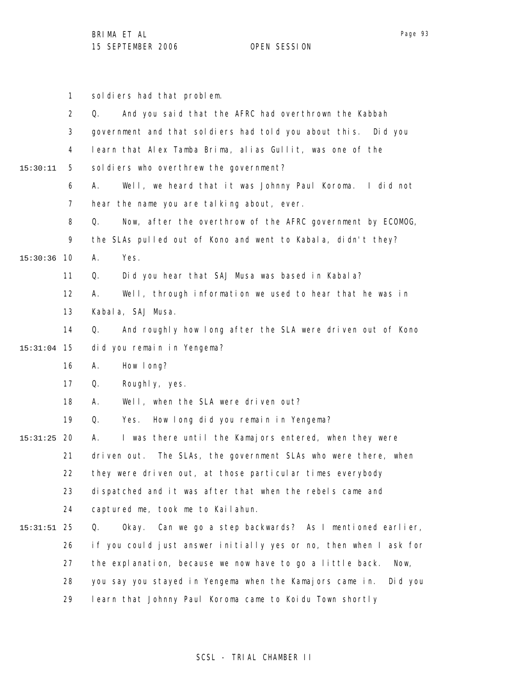Page 93

|          | $\mathbf{1}$      | soldiers had that problem.                                          |
|----------|-------------------|---------------------------------------------------------------------|
|          | $\overline{2}$    | And you said that the AFRC had overthrown the Kabbah<br>Q.          |
|          | 3                 | government and that soldiers had told you about this. Did you       |
|          | 4                 | learn that Alex Tamba Brima, alias Gullit, was one of the           |
| 15:30:11 | 5                 | soldiers who overthrew the government?                              |
|          | 6                 | Well, we heard that it was Johnny Paul Koroma. I did not<br>А.      |
|          | $\overline{7}$    | hear the name you are talking about, ever.                          |
|          | 8                 | Now, after the overthrow of the AFRC government by ECOMOG,<br>Q.    |
|          | 9                 | the SLAs pulled out of Kono and went to Kabala, didn't they?        |
| 15:30:36 | 10                | Yes.<br>Α.                                                          |
|          | 11                | Q.<br>Did you hear that SAJ Musa was based in Kabala?               |
|          | $12 \overline{ }$ | Well, through information we used to hear that he was in<br>А.      |
|          | 13                | Kabala, SAJ Musa.                                                   |
|          | 14                | Q.<br>And roughly how long after the SLA were driven out of Kono    |
| 15:31:04 | 15                | did you remain in Yengema?                                          |
|          | 16                | How I ong?<br>А.                                                    |
|          | 17                | Q.<br>Roughly, yes.                                                 |
|          | 18                | Well, when the SLA were driven out?<br>А.                           |
|          | 19                | Q.<br>Yes.<br>How long did you remain in Yengema?                   |
| 15:31:25 | 20                | I was there until the Kamajors entered, when they were<br>А.        |
|          | 21                | driven out. The SLAs, the government SLAs who were there, when      |
|          | 22                | they were driven out, at those particular times everybody           |
|          | 23                | dispatched and it was after that when the rebels came and           |
|          | 24                | captured me, took me to Kailahun.                                   |
| 15:31:51 | 25                | Okay. Can we go a step backwards? As I mentioned earlier,<br>Q.     |
|          | 26                | if you could just answer initially yes or no, then when I ask for   |
|          | 27                | the explanation, because we now have to go a little back.<br>Now,   |
|          | 28                | you say you stayed in Yengema when the Kamajors came in.<br>Did you |
|          | 29                | I earn that Johnny Paul Koroma came to Koidu Town shortly           |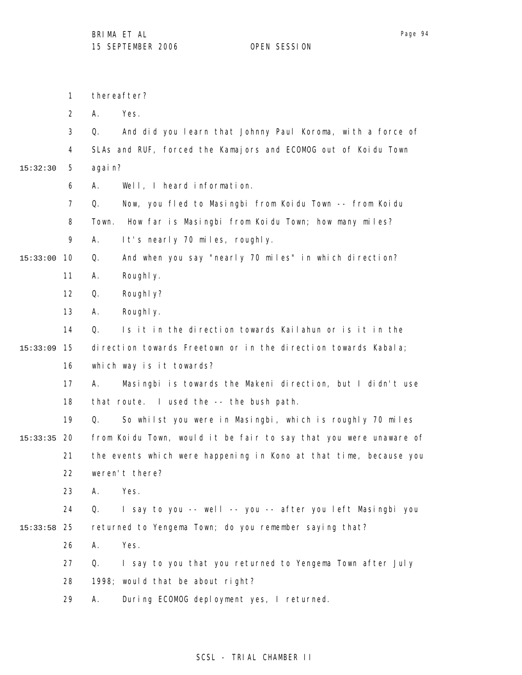1 2 3 4 5 6 7 8 9 15:33:00 10 11 12 13 14 15 15:33:09 16 17 18 19 20 15:33:35 21 22 23 24 25 15:33:58 26 27 28 29 15:32:30 thereafter? A. Yes. Q. And did you learn that Johnny Paul Koroma, with a force of SLAs and RUF, forced the Kamajors and ECOMOG out of Koidu Town again? A. Well, I heard information. Q. Now, you fled to Masingbi from Koidu Town -- from Koidu Town. How far is Masingbi from Koidu Town; how many miles? A. It's nearly 70 miles, roughly. Q. And when you say "nearly 70 miles" in which direction? A. Roughly. Q. Roughly? A. Roughly. Q. Is it in the direction towards Kailahun or is it in the direction towards Freetown or in the direction towards Kabala; which way is it towards? A. Masingbi is towards the Makeni direction, but I didn't use that route. I used the -- the bush path. Q. So whilst you were in Masingbi, which is roughly 70 miles from Koidu Town, would it be fair to say that you were unaware of the events which were happening in Kono at that time, because you weren't there? A. Yes. Q. I say to you -- well -- you -- after you left Masingbi you returned to Yengema Town; do you remember saying that? A. Yes. Q. I say to you that you returned to Yengema Town after July 1998; would that be about right? A. During ECOMOG deployment yes, I returned.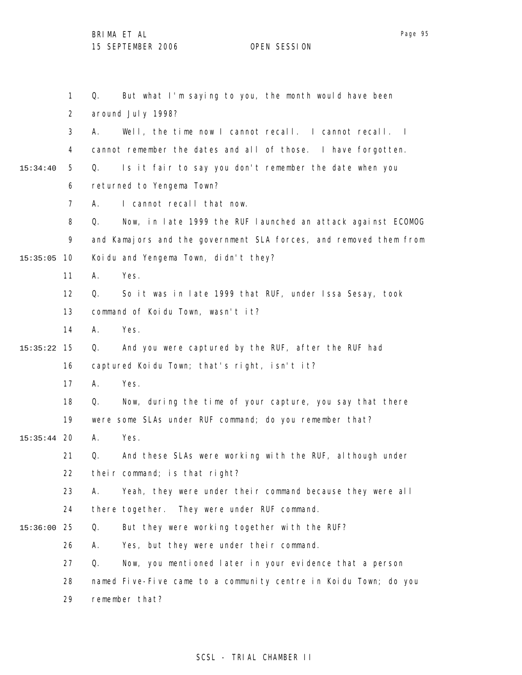|          | $\mathbf{1}$   | But what I'm saying to you, the month would have been<br>Q.       |
|----------|----------------|-------------------------------------------------------------------|
|          | $\overline{2}$ | around July 1998?                                                 |
|          | 3              | Well, the time now I cannot recall. I cannot recall. I<br>А.      |
|          | 4              | cannot remember the dates and all of those. I have forgotten.     |
| 15:34:40 | 5              | Is it fair to say you don't remember the date when you<br>Q.      |
|          | 6              | returned to Yengema Town?                                         |
|          | 7              | I cannot recall that now.<br>А.                                   |
|          | 8              | Now, in late 1999 the RUF launched an attack against ECOMOG<br>Q. |
|          | 9              | and Kamajors and the government SLA forces, and removed them from |
| 15:35:05 | 10             | Koidu and Yengema Town, didn't they?                              |
|          | 11             | Α.<br>Yes.                                                        |
|          | 12             | So it was in late 1999 that RUF, under Issa Sesay, took<br>Q.     |
|          | 13             | command of Koidu Town, wasn't it?                                 |
|          | 14             | А.<br>Yes.                                                        |
| 15:35:22 | 15             | And you were captured by the RUF, after the RUF had<br>Q.         |
|          | 16             | captured Koidu Town; that's right, isn't it?                      |
|          | 17             | Yes.<br>Α.                                                        |
|          | 18             | Now, during the time of your capture, you say that there<br>Q.    |
|          | 19             | were some SLAs under RUF command; do you remember that?           |
| 15:35:44 | 20             | Α.<br>Yes.                                                        |
|          | 21             | And these SLAs were working with the RUF, although under<br>Q.    |
|          | 22             | their command; is that right?                                     |
|          | 23             | Yeah, they were under their command because they were all<br>А.   |
|          | 24             | They were under RUF command.<br>there together.                   |
| 15:36:00 | 25             | But they were working together with the RUF?<br>Q.                |
|          | 26             | Yes, but they were under their command.<br>Α.                     |
|          | 27             | Q.<br>Now, you mentioned later in your evidence that a person     |
|          | 28             | named Five-Five came to a community centre in Koidu Town; do you  |
|          | 29             | remember that?                                                    |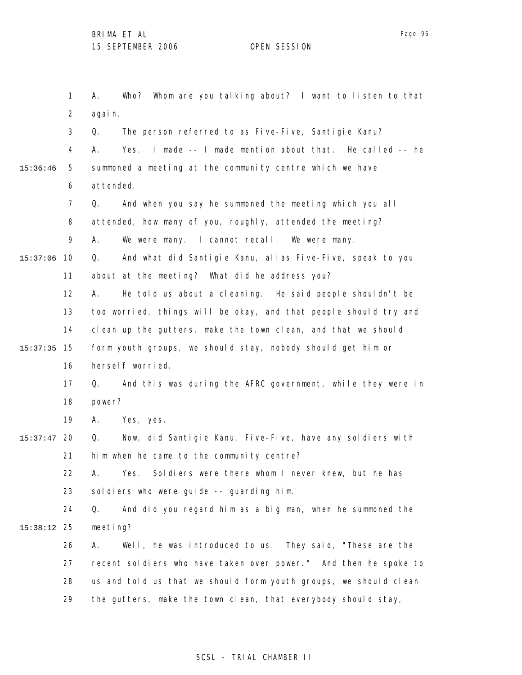1 2 3 4 5 6 7 8 9 15:37:06 10 11 12 13 14 15 15:37:35 16 17 18 19 20 15:37:47 21 22 23 24 25 15:38:12 26 27 28 29 15:36:46 A. Who? Whom are you talking about? I want to listen to that again. Q. The person referred to as Five-Five, Santigie Kanu? A. Yes. I made -- I made mention about that. He called -- he summoned a meeting at the community centre which we have attended. Q. And when you say he summoned the meeting which you all attended, how many of you, roughly, attended the meeting? A. We were many. I cannot recall. We were many. Q. And what did Santigie Kanu, alias Five-Five, speak to you about at the meeting? What did he address you? A. He told us about a cleaning. He said people shouldn't be too worried, things will be okay, and that people should try and clean up the gutters, make the town clean, and that we should form youth groups, we should stay, nobody should get him or herself worried. Q. And this was during the AFRC government, while they were in power? A. Yes, yes. Q. Now, did Santigie Kanu, Five-Five, have any soldiers with him when he came to the community centre? A. Yes. Soldiers were there whom I never knew, but he has sol diers who were guide -- guarding him. Q. And did you regard him as a big man, when he summoned the meeting? A. Well, he was introduced to us. They said, "These are the recent soldiers who have taken over power." And then he spoke to us and told us that we should form youth groups, we should clean the gutters, make the town clean, that everybody should stay,

#### SCSL - TRIAL CHAMBER II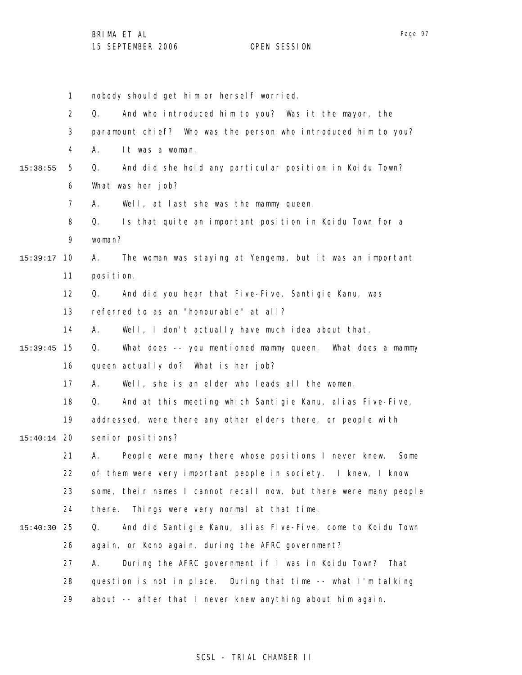|               | $\mathbf{1}$   | nobody should get him or herself worried.                          |
|---------------|----------------|--------------------------------------------------------------------|
|               | $\overline{2}$ | Q.<br>And who introduced him to you? Was it the mayor, the         |
|               | 3              | paramount chief? Who was the person who introduced him to you?     |
|               | 4              | It was a woman.<br>А.                                              |
| 15:38:55      | 5              | And did she hold any particular position in Koidu Town?<br>Q.      |
|               | 6              | What was her job?                                                  |
|               | $\overline{7}$ | Well, at last she was the mammy queen.<br>А.                       |
|               | 8              | Is that quite an important position in Koidu Town for a<br>Q.      |
|               | 9              | woman?                                                             |
| 15:39:17      | 10             | The woman was staying at Yengema, but it was an important<br>А.    |
|               | 11             | position.                                                          |
|               | 12             | And did you hear that Five-Five, Santigie Kanu, was<br>Q.          |
|               | 13             | referred to as an "honourable" at all?                             |
|               | 14             | Well, I don't actually have much idea about that.<br>А.            |
| 15:39:45      | 15             | What does -- you mentioned mammy queen. What does a mammy<br>Q.    |
|               | 16             | queen actually do? What is her job?                                |
|               | 17             | Well, she is an elder who leads all the women.<br>А.               |
|               | 18             | And at this meeting which Santigie Kanu, alias Five-Five,<br>Q.    |
|               | 19             | addressed, were there any other elders there, or people with       |
| $15:40:14$ 20 |                | senior positions?                                                  |
|               | 21             | People were many there whose positions I never knew.<br>Some<br>А. |
|               | 22             | of them were very important people in society. I knew, I know      |
|               | 23             | some, their names I cannot recall now, but there were many people  |
|               | 24             | Things were very normal at that time.<br>there.                    |
| 15:40:30      | 25             | And did Santigie Kanu, alias Five-Five, come to Koidu Town<br>Q.   |
|               | 26             | again, or Kono again, during the AFRC government?                  |
|               | 27             | During the AFRC government if I was in Koidu Town?<br>That<br>А.   |
|               | 28             | question is not in place. During that time -- what I'm talking     |
|               | 29             | about -- after that I never knew anything about him again.         |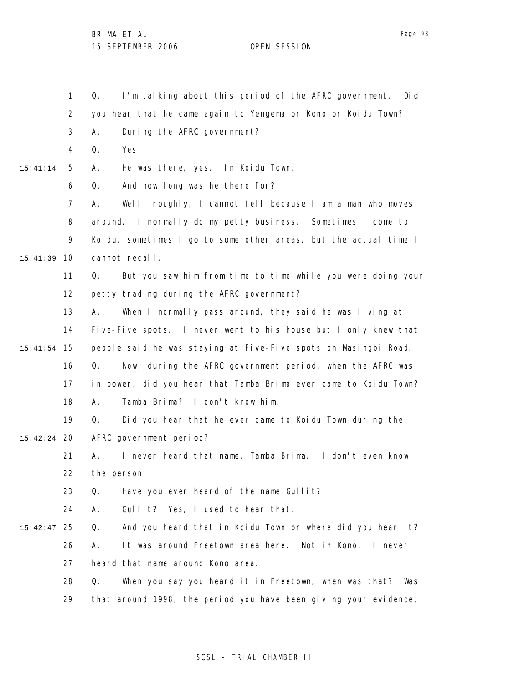1 2 3 4 5 6 7 8 9 10 15:41:39 11 12 13 14 15 15:41:54 16 17 18 19 20 15:42:24 21 22 23 24 25 15:42:47 26 27 28 29 15:41:14 Q. I'm talking about this period of the AFRC government. Did you hear that he came again to Yengema or Kono or Koidu Town? A. During the AFRC government? Q. Yes. A. He was there, yes. In Koidu Town. Q. And how long was he there for? A. Well, roughly, I cannot tell because I am a man who moves around. I normally do my petty business. Sometimes I come to Koidu, sometimes I go to some other areas, but the actual time I cannot recall. Q. But you saw him from time to time while you were doing your petty trading during the AFRC government? A. When I normally pass around, they said he was living at Five-Five spots. I never went to his house but I only knew that people said he was staying at Five-Five spots on Masingbi Road. Q. Now, during the AFRC government period, when the AFRC was in power, did you hear that Tamba Brima ever came to Koidu Town? A. Tamba Brima? I don't know him. Q. Did you hear that he ever came to Koidu Town during the AFRC government period? A. I never heard that name, Tamba Brima. I don't even know the person. Q. Have you ever heard of the name Gullit? A. Gullit? Yes, I used to hear that. Q. And you heard that in Koidu Town or where did you hear it? A. It was around Freetown area here. Not in Kono. I never heard that name around Kono area. Q. When you say you heard it in Freetown, when was that? Was that around 1998, the period you have been giving your evidence,

#### SCSL - TRIAL CHAMBER II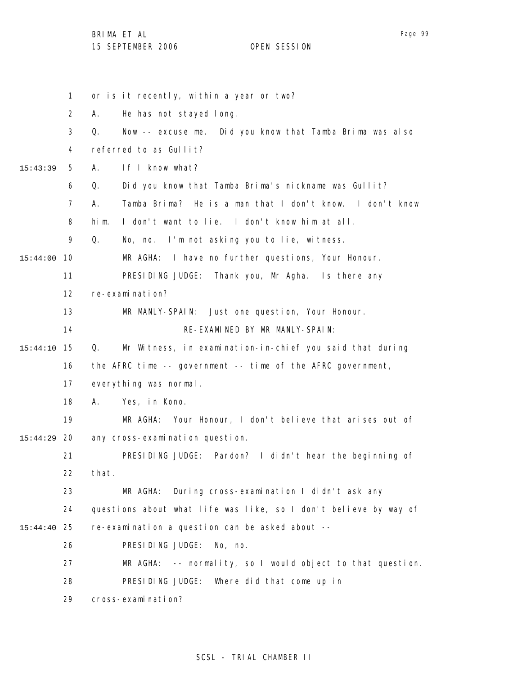BRIMA ET AL

15 SEPTEMBER 2006 OPEN SESSION

1 2 3 4 5 6 7 8 9 10 15:44:00 11 12 13 14 15 15:44:10 16 17 18 19 20 15:44:29 21 22 23 24 25 15:44:40 26 27 28 29 15:43:39 or is it recently, within a year or two? A. He has not stayed long. Q. Now -- excuse me. Did you know that Tamba Brima was also referred to as Gullit? A. If I know what? Q. Did you know that Tamba Brima's nickname was Gullit? A. Tamba Brima? He is a man that I don't know. I don't know him. I don't want to lie. I don't know him at all. Q. No, no. I'm not asking you to lie, witness. MR AGHA: I have no further questions, Your Honour. PRESIDING JUDGE: Thank you, Mr Agha. Is there any re-examination? MR MANLY-SPAIN: Just one question, Your Honour. RE-EXAMINED BY MR MANLY-SPAIN: Q. Mr Witness, in examination-in-chief you said that during the AFRC time -- government -- time of the AFRC government, everything was normal. A. Yes, in Kono. MR AGHA: Your Honour, I don't believe that arises out of any cross-examination question. PRESIDING JUDGE: Pardon? I didn't hear the beginning of that. MR AGHA: During cross-examination I didn't ask any questions about what life was like, so I don't believe by way of re-examination a question can be asked about -- PRESIDING JUDGE: No, no. MR AGHA: -- normality, so I would object to that question. PRESIDING JUDGE: Where did that come up in cross-examination?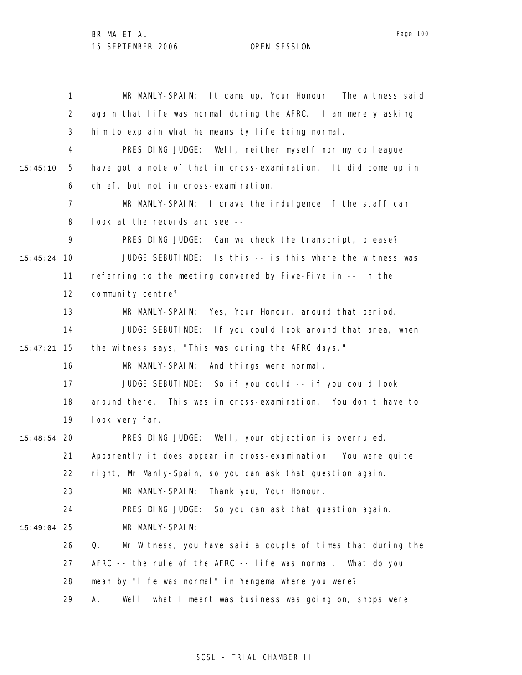1 2 3 4 5 6 7 8 9 10 15:45:24 11 12 13 14 15 15:47:21 16 17 18 19 20 15:48:54 21 22 23 24 25 15:49:04 26 27 28 29 15:45:10 MR MANLY-SPAIN: It came up, Your Honour. The witness said again that life was normal during the AFRC. I am merely asking him to explain what he means by life being normal. PRESIDING JUDGE: Well, neither myself nor my colleague have got a note of that in cross-examination. It did come up in chief, but not in cross-examination. MR MANLY-SPAIN: I crave the indulgence if the staff can look at the records and see -- PRESIDING JUDGE: Can we check the transcript, please? JUDGE SEBUTINDE: Is this -- is this where the witness was referring to the meeting convened by Five-Five in -- in the community centre? MR MANLY-SPAIN: Yes, Your Honour, around that period. JUDGE SEBUTINDE: If you could look around that area, when the witness says, "This was during the AFRC days." MR MANLY-SPAIN: And things were normal. JUDGE SEBUTINDE: So if you could -- if you could look around there. This was in cross-examination. You don't have to look very far. PRESIDING JUDGE: Well, your objection is overruled. Apparently it does appear in cross-examination. You were quite right, Mr Manly-Spain, so you can ask that question again. MR MANLY-SPAIN: Thank you, Your Honour. PRESIDING JUDGE: So you can ask that question again. MR MANLY-SPAIN: Q. Mr Witness, you have said a couple of times that during the AFRC -- the rule of the AFRC -- life was normal. What do you mean by "life was normal" in Yengema where you were? A. Well, what I meant was business was going on, shops were

#### SCSL - TRIAL CHAMBER II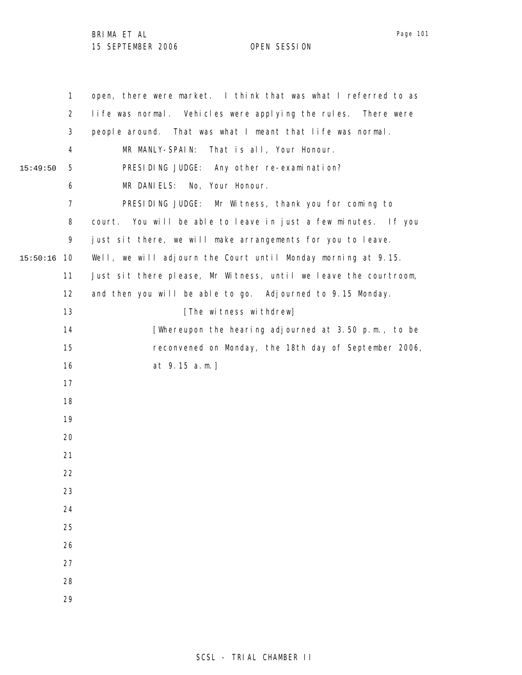1 2 3 4 5 6 7 8 9 10 15:50:16 11 12 13 14 15 16 17 18 19 20 21 22 23 24 25 26 27 28 29 15:49:50 open, there were market. I think that was what I referred to as life was normal. Vehicles were applying the rules. There were people around. That was what I meant that life was normal. MR MANLY-SPAIN: That is all, Your Honour. PRESIDING JUDGE: Any other re-examination? MR DANIELS: No, Your Honour. PRESIDING JUDGE: Mr Witness, thank you for coming to court. You will be able to leave in just a few minutes. If you just sit there, we will make arrangements for you to leave. Well, we will adjourn the Court until Monday morning at 9.15. Just sit there please, Mr Witness, until we leave the courtroom, and then you will be able to go. Adjourned to 9.15 Monday. [The witness withdrew] [Whereupon the hearing adjourned at 3.50 p.m., to be reconvened on Monday, the 18th day of September 2006, at 9.15 a.m.]